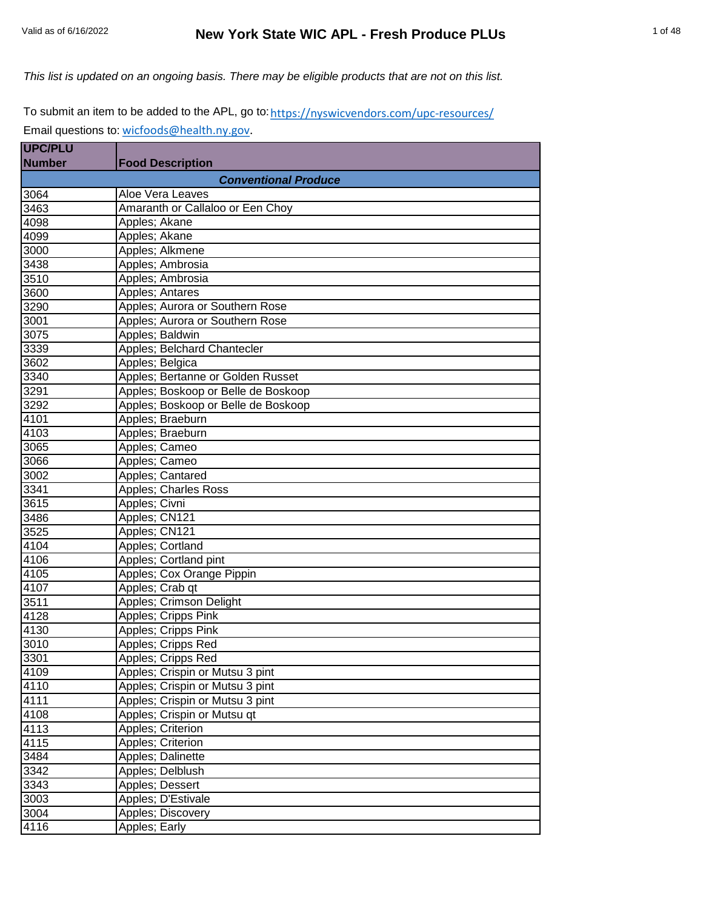*This list is updated on an ongoing basis. There may be eligible products that are not on this list.*

To submit an item to be added to the APL, go to: <u>https://nyswicvendors.com/upc-resources/</u> Email questions to: [wicfoods@health.ny.gov.](mailto:wicfoods@health.ny.gov)

| <b>UPC/PLU</b> |                                     |
|----------------|-------------------------------------|
| <b>Number</b>  | <b>Food Description</b>             |
|                | <b>Conventional Produce</b>         |
| 3064           | Aloe Vera Leaves                    |
| 3463           | Amaranth or Callaloo or Een Choy    |
| 4098           | Apples; Akane                       |
| 4099           | Apples; Akane                       |
| 3000           | Apples; Alkmene                     |
| 3438           | Apples; Ambrosia                    |
| 3510           | Apples; Ambrosia                    |
| 3600           | <b>Apples</b> ; Antares             |
| 3290           | Apples; Aurora or Southern Rose     |
| 3001           | Apples; Aurora or Southern Rose     |
| 3075           | Apples; Baldwin                     |
| 3339           | Apples; Belchard Chantecler         |
| 3602           | Apples; Belgica                     |
| 3340           | Apples; Bertanne or Golden Russet   |
| 3291           | Apples; Boskoop or Belle de Boskoop |
| 3292           | Apples; Boskoop or Belle de Boskoop |
| 4101           | Apples; Braeburn                    |
| 4103           | Apples; Braeburn                    |
| 3065           | Apples; Cameo                       |
| 3066           | Apples; Cameo                       |
| 3002           | Apples; Cantared                    |
| 3341           | Apples; Charles Ross                |
| 3615           | Apples; Civni                       |
| 3486           | Apples; CN121                       |
| 3525           | Apples; CN121                       |
| 4104           | Apples; Cortland                    |
| 4106           | Apples; Cortland pint               |
| 4105           | Apples; Cox Orange Pippin           |
| 4107           | Apples; Crab qt                     |
| 3511           | Apples; Crimson Delight             |
| 4128           | Apples; Cripps Pink                 |
| 4130           | Apples; Cripps Pink                 |
| 3010           | Apples; Cripps Red                  |
| 3301           | Apples; Cripps Red                  |
| 4109           | Apples; Crispin or Mutsu 3 pint     |
| 4110           | Apples; Crispin or Mutsu 3 pint     |
| 4111           | Apples; Crispin or Mutsu 3 pint     |
| 4108           | Apples; Crispin or Mutsu qt         |
| 4113           | <b>Apples; Criterion</b>            |
| 4115           | Apples; Criterion                   |
| 3484           | Apples; Dalinette                   |
| 3342           | Apples; Delblush                    |
| 3343           | Apples; Dessert                     |
| 3003           | Apples; D'Estivale                  |
| 3004           | Apples; Discovery                   |
| 4116           | Apples; Early                       |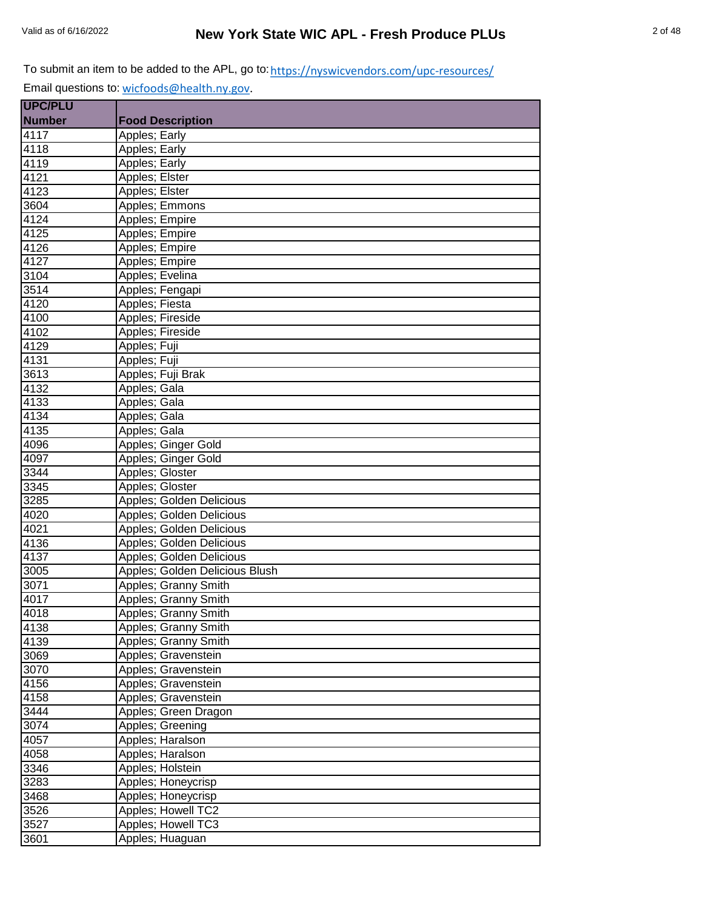| UPC/PLU           |                                |
|-------------------|--------------------------------|
| <b>Number</b>     | <b>Food Description</b>        |
| 4117              | Apples; Early                  |
| 4118              | Apples; Early                  |
| 4119              | Apples; Early                  |
| 4121              | Apples; Elster                 |
| 4123              | Apples; Elster                 |
| 3604              | Apples; Emmons                 |
| 4124              | Apples; Empire                 |
| 4125              | Apples; Empire                 |
| 4126              | Apples; Empire                 |
| 4127              | Apples; Empire                 |
| 3104              | Apples; Evelina                |
| 3514              | Apples; Fengapi                |
| 4120              | Apples; Fiesta                 |
| 4100              | Apples; Fireside               |
| 4102              | Apples; Fireside               |
| 4129              | Apples; Fuji                   |
| 4131              | Apples; Fuji                   |
| 3613              | Apples; Fuji Brak              |
| 4132              | Apples; Gala                   |
| 4133              | Apples; Gala                   |
| 4134              | Apples; Gala                   |
| 4135              | Apples; Gala                   |
| 4096              | Apples; Ginger Gold            |
| 4097              | Apples; Ginger Gold            |
| 3344              | Apples; Gloster                |
| 3345              | Apples; Gloster                |
| 3285              | Apples; Golden Delicious       |
| 4020              | Apples; Golden Delicious       |
| 4021              | Apples; Golden Delicious       |
| 4136              | Apples; Golden Delicious       |
| 4137              | Apples; Golden Delicious       |
| 3005              | Apples: Golden Delicious Blush |
| 3071              | Apples; Granny Smith           |
| $40\overline{17}$ | Apples; Granny Smith           |
| 4018              | Apples; Granny Smith           |
| 4138              | Apples; Granny Smith           |
| 4139              | Apples; Granny Smith           |
| 3069              | Apples; Gravenstein            |
| 3070              | Apples; Gravenstein            |
| 4156              | Apples; Gravenstein            |
| 4158              | Apples; Gravenstein            |
| 3444              | Apples; Green Dragon           |
| 3074              | Apples; Greening               |
| 4057              | Apples; Haralson               |
| 4058              | Apples; Haralson               |
| 3346              | Apples; Holstein               |
| 3283              | Apples; Honeycrisp             |
| 3468              | Apples; Honeycrisp             |
| 3526              | Apples; Howell TC2             |
| $\overline{3}527$ | Apples; Howell TC3             |
| 3601              | Apples; Huaguan                |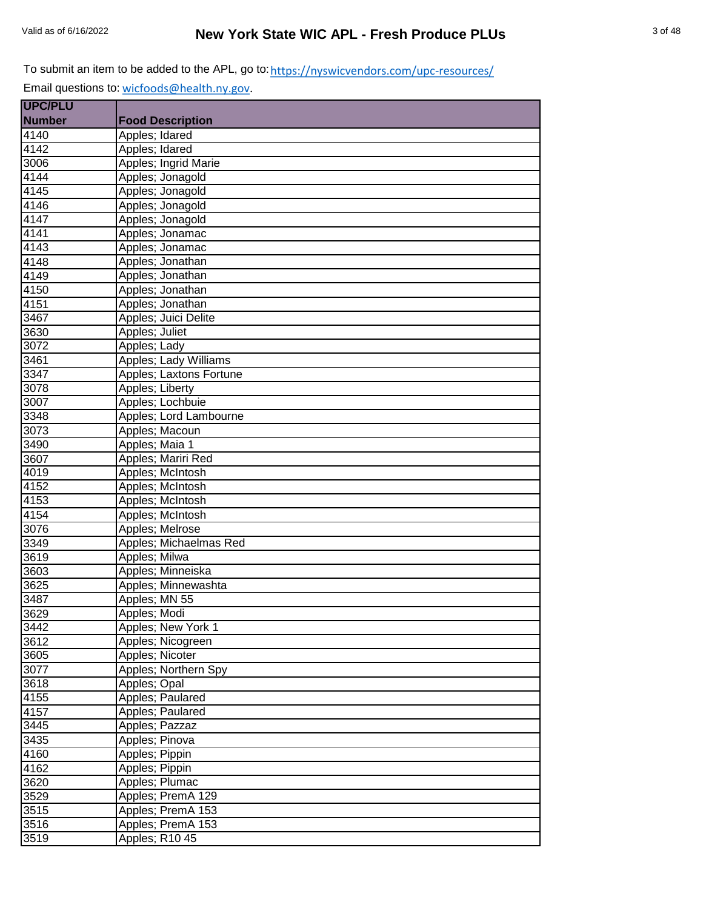**UPC/PLU**  Email questions to: [wicfoods@health.ny.gov.](mailto:wicfoods@health.ny.gov)

| <b>Number</b><br><b>Food Description</b><br>4140<br>Apples; Idared |  |
|--------------------------------------------------------------------|--|
|                                                                    |  |
|                                                                    |  |
| Apples; Idared<br>4142                                             |  |
| 3006<br>Apples; Ingrid Marie                                       |  |
| 4144<br>Apples; Jonagold                                           |  |
| 4145<br>Apples; Jonagold                                           |  |
| 4146<br>Apples; Jonagold                                           |  |
| 4147<br>Apples; Jonagold                                           |  |
| 4141<br>Apples; Jonamac                                            |  |
| 4143<br>Apples; Jonamac                                            |  |
| 4148<br>Apples; Jonathan                                           |  |
| Apples; Jonathan<br>4149                                           |  |
| Apples; Jonathan<br>4150                                           |  |
| Apples; Jonathan<br>4151                                           |  |
| Apples; Juici Delite<br>3467                                       |  |
| Apples; Juliet<br>3630                                             |  |
| 3072<br>Apples; Lady                                               |  |
| 3461<br>Apples; Lady Williams                                      |  |
| 3347<br>Apples; Laxtons Fortune                                    |  |
| 3078<br>Apples; Liberty                                            |  |
| 3007<br>Apples; Lochbuie                                           |  |
| 3348<br>Apples; Lord Lambourne                                     |  |
| 3073<br>Apples; Macoun                                             |  |
| Apples; Maia 1<br>3490                                             |  |
| Apples; Mariri Red<br>3607                                         |  |
| 4019<br>Apples; McIntosh                                           |  |
| 4152<br>Apples; McIntosh                                           |  |
| 4153<br>Apples; McIntosh                                           |  |
| Apples; McIntosh<br>4154                                           |  |
| 3076<br>Apples; Melrose                                            |  |
| Apples; Michaelmas Red<br>3349                                     |  |
| 3619<br>Apples; Milwa                                              |  |
| Apples; Minneiska<br>3603                                          |  |
| $\overline{3625}$<br>Apples; Minnewashta                           |  |
| Apples; MN 55<br>3487                                              |  |
| 3629<br>Apples; Modi                                               |  |
| Apples; New York 1<br>3442                                         |  |
| Apples; Nicogreen<br>3612                                          |  |
| 3605<br>Apples; Nicoter                                            |  |
| 3077<br>Apples; Northern Spy                                       |  |
| Apples; Opal<br>3618                                               |  |
| 4155<br>Apples; Paulared                                           |  |
| 4157<br>Apples; Paulared                                           |  |
| 3445<br>Apples; Pazzaz                                             |  |
| Apples; Pinova<br>3435                                             |  |
| Apples; Pippin<br>4160                                             |  |
| Apples; Pippin<br>4162                                             |  |
| Apples; Plumac<br>3620                                             |  |
| 3529<br>Apples; PremA 129                                          |  |
| 3515<br>Apples; PremA 153                                          |  |
| 3516<br>Apples; PremA 153                                          |  |
| 3519<br>Apples; R10 45                                             |  |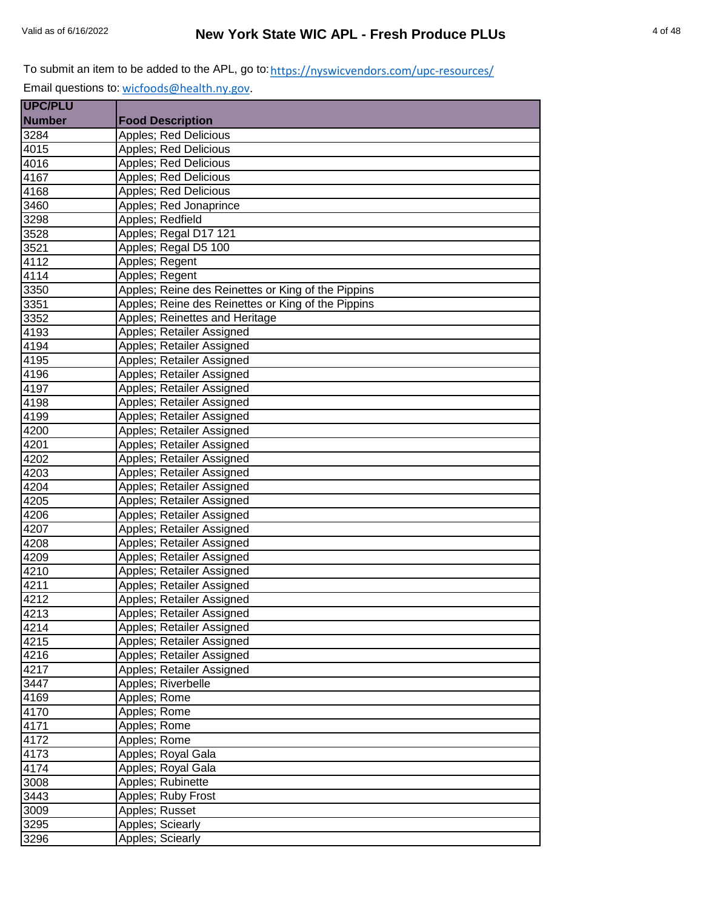| <b>UPC/PLU</b> |                                                    |
|----------------|----------------------------------------------------|
| <b>Number</b>  | <b>Food Description</b>                            |
| 3284           | <b>Apples: Red Delicious</b>                       |
| 4015           | Apples; Red Delicious                              |
| 4016           | Apples; Red Delicious                              |
| 4167           | Apples; Red Delicious                              |
| 4168           | Apples; Red Delicious                              |
| 3460           | Apples; Red Jonaprince                             |
| 3298           | Apples; Redfield                                   |
| 3528           | Apples; Regal D17 121                              |
| 3521           | Apples; Regal D5 100                               |
| 4112           | Apples; Regent                                     |
| 4114           | Apples; Regent                                     |
| 3350           | Apples; Reine des Reinettes or King of the Pippins |
| 3351           | Apples; Reine des Reinettes or King of the Pippins |
| 3352           | Apples; Reinettes and Heritage                     |
| 4193           | Apples; Retailer Assigned                          |
| 4194           | Apples; Retailer Assigned                          |
| 4195           | Apples; Retailer Assigned                          |
| 4196           | Apples; Retailer Assigned                          |
| 4197           | Apples; Retailer Assigned                          |
| 4198           | Apples; Retailer Assigned                          |
| 4199           | Apples; Retailer Assigned                          |
| 4200           | Apples; Retailer Assigned                          |
| 4201           | Apples; Retailer Assigned                          |
| 4202           | Apples; Retailer Assigned                          |
| 4203           | Apples; Retailer Assigned                          |
| 4204           | Apples; Retailer Assigned                          |
| 4205           | Apples; Retailer Assigned                          |
| 4206           | Apples; Retailer Assigned                          |
| 4207           | Apples; Retailer Assigned                          |
| 4208           | Apples; Retailer Assigned                          |
| 4209           | Apples; Retailer Assigned                          |
| 4210           | Apples; Retailer Assigned                          |
| 4211           | Apples; Retailer Assigned                          |
| 4212           | Apples; Retailer Assigned                          |
| 4213           | Apples; Retailer Assigned                          |
| 4214           | Apples; Retailer Assigned                          |
| 4215           | Apples; Retailer Assigned                          |
| 4216           | Apples; Retailer Assigned                          |
| 4217           | Apples; Retailer Assigned                          |
| 3447           | Apples; Riverbelle                                 |
| 4169           | Apples; Rome                                       |
| 4170           | Apples; Rome                                       |
| 4171           | Apples; Rome                                       |
| 4172           | Apples; Rome                                       |
| 4173           | Apples; Royal Gala                                 |
| 4174           | Apples; Royal Gala                                 |
| 3008           | Apples; Rubinette                                  |
| 3443           | Apples; Ruby Frost                                 |
| 3009           | Apples; Russet                                     |
| 3295           | Apples; Sciearly                                   |
| 3296           | <b>Apples; Sciearly</b>                            |
|                |                                                    |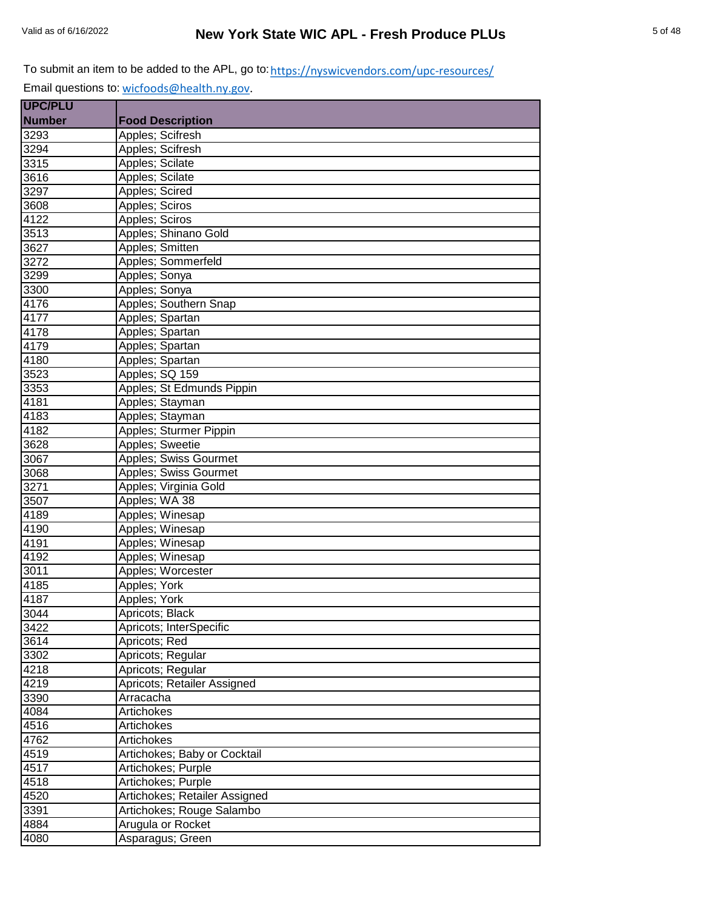| <b>UPC/PLU</b> |                               |
|----------------|-------------------------------|
| <b>Number</b>  | <b>Food Description</b>       |
| 3293           | Apples; Scifresh              |
| 3294           | Apples; Scifresh              |
| 3315           | Apples; Scilate               |
| 3616           | Apples; Scilate               |
| 3297           | Apples; Scired                |
| 3608           | Apples; Sciros                |
| 4122           | Apples; Sciros                |
| 3513           | Apples; Shinano Gold          |
| 3627           | Apples; Smitten               |
| 3272           | Apples; Sommerfeld            |
| 3299           | Apples; Sonya                 |
| 3300           | Apples; Sonya                 |
| 4176           | Apples; Southern Snap         |
| 4177           | Apples; Spartan               |
| 4178           | Apples; Spartan               |
| 4179           | Apples; Spartan               |
| 4180           | Apples; Spartan               |
| 3523           | Apples; SQ 159                |
| 3353           | Apples; St Edmunds Pippin     |
| 4181           | Apples; Stayman               |
| 4183           | Apples; Stayman               |
| 4182           | Apples; Sturmer Pippin        |
| 3628           | Apples; Sweetie               |
| 3067           | Apples; Swiss Gourmet         |
| 3068           | Apples; Swiss Gourmet         |
| 3271           | Apples; Virginia Gold         |
| 3507           | Apples; WA 38                 |
| 4189           | Apples; Winesap               |
| 4190           | Apples; Winesap               |
| 4191           | Apples; Winesap               |
| 4192           | Apples; Winesap               |
| 3011           | Apples; Worcester             |
| 4185           | Apples; York                  |
| 4187           | Apples; York                  |
| 3044           | Apricots; Black               |
| 3422           | Apricots; InterSpecific       |
| 3614           | Apricots; Red                 |
| 3302           | Apricots; Regular             |
| 4218           | Apricots; Regular             |
| 4219           | Apricots; Retailer Assigned   |
| 3390           | Arracacha                     |
| 4084           | Artichokes                    |
| 4516           | Artichokes                    |
| 4762           | Artichokes                    |
| 4519           | Artichokes; Baby or Cocktail  |
| 4517           | Artichokes; Purple            |
| 4518           | Artichokes; Purple            |
| 4520           | Artichokes; Retailer Assigned |
| 3391           | Artichokes; Rouge Salambo     |
| 4884           | Arugula or Rocket             |
| 4080           | Asparagus; Green              |
|                |                               |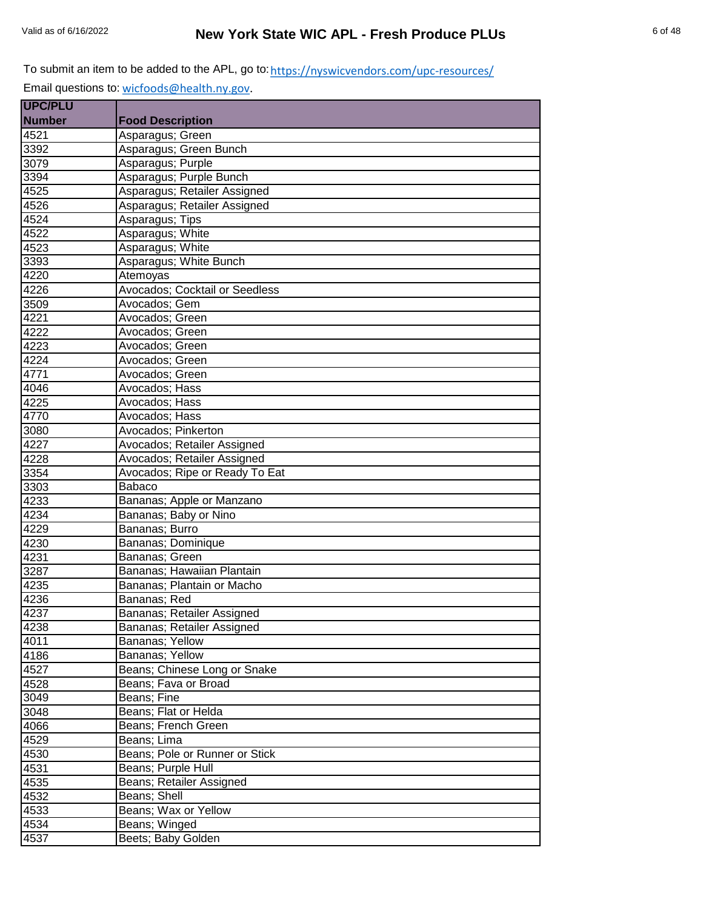| <b>UPC/PLU</b> |                                |
|----------------|--------------------------------|
| <b>Number</b>  | <b>Food Description</b>        |
| 4521           | Asparagus; Green               |
| 3392           | Asparagus; Green Bunch         |
| 3079           | Asparagus; Purple              |
| 3394           | Asparagus; Purple Bunch        |
| 4525           | Asparagus; Retailer Assigned   |
| 4526           | Asparagus; Retailer Assigned   |
| 4524           | Asparagus; Tips                |
| 4522           | Asparagus; White               |
| 4523           | Asparagus; White               |
| 3393           | Asparagus; White Bunch         |
| 4220           | Atemoyas                       |
| 4226           | Avocados; Cocktail or Seedless |
| 3509           | Avocados; Gem                  |
| 4221           | Avocados; Green                |
| 4222           | Avocados; Green                |
| 4223           | Avocados; Green                |
| 4224           | Avocados: Green                |
| 4771           | Avocados; Green                |
| 4046           | Avocados; Hass                 |
| 4225           | Avocados: Hass                 |
| 4770           | Avocados; Hass                 |
| 3080           | Avocados; Pinkerton            |
| 4227           | Avocados; Retailer Assigned    |
| 4228           | Avocados; Retailer Assigned    |
| 3354           | Avocados; Ripe or Ready To Eat |
| 3303           | Babaco                         |
| 4233           | Bananas; Apple or Manzano      |
| 4234           | Bananas; Baby or Nino          |
| 4229           | Bananas; Burro                 |
| 4230           | Bananas; Dominique             |
| 4231           | Bananas; Green                 |
| 3287           | Bananas; Hawaiian Plantain     |
| 4235           | Bananas; Plantain or Macho     |
| 4236           | Bananas; Red                   |
| 4237           | Bananas; Retailer Assigned     |
| 4238           | Bananas; Retailer Assigned     |
| 4011           | Bananas; Yellow                |
| 4186           | Bananas; Yellow                |
| 4527           | Beans; Chinese Long or Snake   |
| 4528           | Beans; Fava or Broad           |
| 3049           | Beans; Fine                    |
| 3048           | Beans; Flat or Helda           |
| 4066           | Beans; French Green            |
| 4529           | Beans; Lima                    |
| 4530           | Beans; Pole or Runner or Stick |
| 4531           | Beans; Purple Hull             |
| 4535           | Beans; Retailer Assigned       |
| 4532           | Beans; Shell                   |
| 4533           | Beans; Wax or Yellow           |
| 4534           | Beans; Winged                  |
| 4537           | Beets; Baby Golden             |
|                |                                |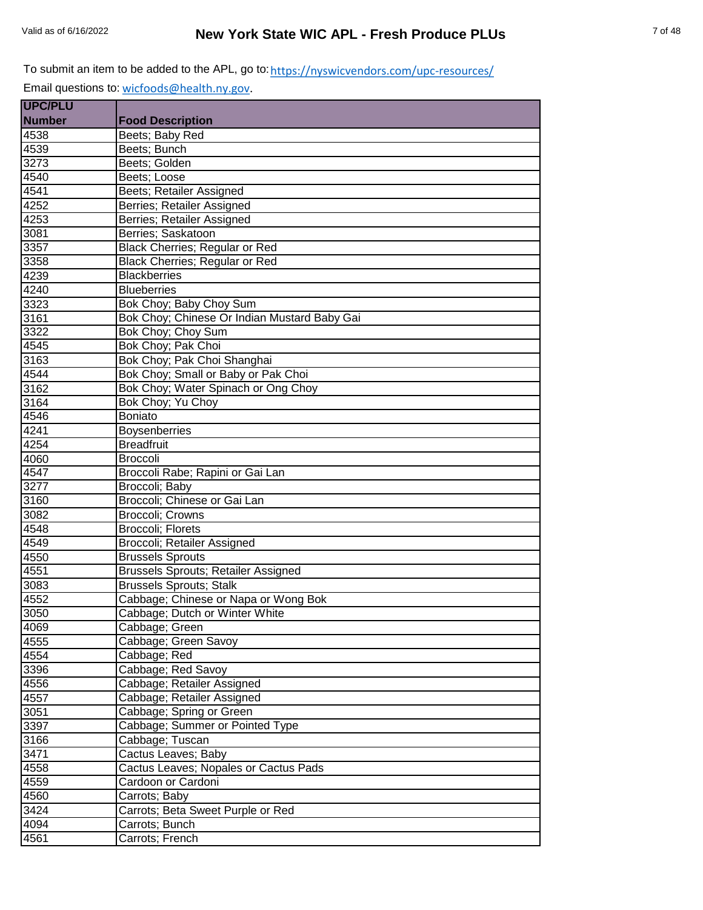| <b>UPC/PLU</b> |                                              |
|----------------|----------------------------------------------|
| <b>Number</b>  | <b>Food Description</b>                      |
| 4538           | Beets; Baby Red                              |
| 4539           | Beets; Bunch                                 |
| 3273           | Beets; Golden                                |
| 4540           | Beets; Loose                                 |
| 4541           | Beets; Retailer Assigned                     |
| 4252           | Berries; Retailer Assigned                   |
| 4253           | Berries; Retailer Assigned                   |
| 3081           | Berries; Saskatoon                           |
| 3357           | Black Cherries; Regular or Red               |
| 3358           | Black Cherries; Regular or Red               |
| 4239           | <b>Blackberries</b>                          |
| 4240           | <b>Blueberries</b>                           |
| 3323           | Bok Choy; Baby Choy Sum                      |
| 3161           | Bok Choy; Chinese Or Indian Mustard Baby Gai |
| 3322           | Bok Choy; Choy Sum                           |
| 4545           | Bok Choy; Pak Choi                           |
| 3163           | Bok Choy; Pak Choi Shanghai                  |
| 4544           | Bok Choy; Small or Baby or Pak Choi          |
| 3162           | Bok Choy; Water Spinach or Ong Choy          |
| 3164           | Bok Choy; Yu Choy                            |
| 4546           | <b>Boniato</b>                               |
| 4241           | Boysenberries                                |
| 4254           | <b>Breadfruit</b>                            |
| 4060           | <b>Broccoli</b>                              |
| 4547           | Broccoli Rabe; Rapini or Gai Lan             |
| 3277           | Broccoli; Baby                               |
| 3160           | Broccoli; Chinese or Gai Lan                 |
| 3082           | Broccoli; Crowns                             |
| 4548           | <b>Broccoli</b> ; Florets                    |
| 4549           | Broccoli; Retailer Assigned                  |
| 4550           | <b>Brussels Sprouts</b>                      |
| 4551           | <b>Brussels Sprouts; Retailer Assigned</b>   |
| 3083           | <b>Brussels Sprouts; Stalk</b>               |
| 4552           | Cabbage; Chinese or Napa or Wong Bok         |
| 3050           | Cabbage; Dutch or Winter White               |
| 4069           | Cabbage; Green                               |
| 4555           | Cabbage; Green Savoy                         |
| 4554           | Cabbage; Red                                 |
| 3396           | Cabbage; Red Savoy                           |
| 4556           | Cabbage; Retailer Assigned                   |
| 4557           | Cabbage; Retailer Assigned                   |
| 3051           | Cabbage; Spring or Green                     |
| 3397           | Cabbage; Summer or Pointed Type              |
| 3166           | Cabbage; Tuscan                              |
| 3471           | Cactus Leaves; Baby                          |
| 4558           | Cactus Leaves; Nopales or Cactus Pads        |
| 4559           | Cardoon or Cardoni                           |
| 4560           | Carrots; Baby                                |
| 3424           | Carrots; Beta Sweet Purple or Red            |
| 4094           | Carrots; Bunch                               |
| 4561           | Carrots; French                              |
|                |                                              |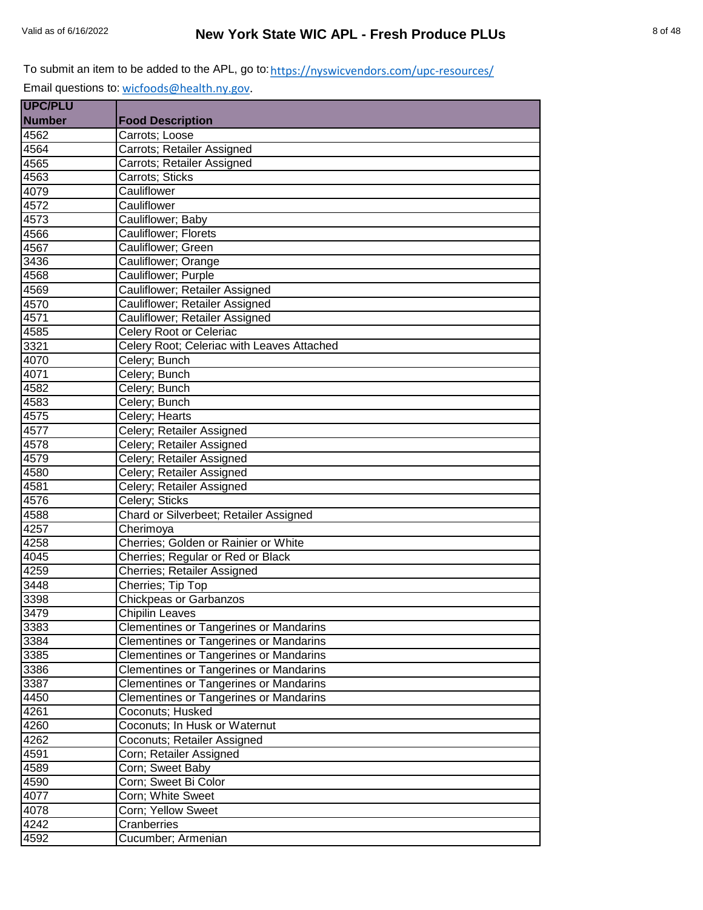| <b>UPC/PLU</b> |                                               |
|----------------|-----------------------------------------------|
| <b>Number</b>  | <b>Food Description</b>                       |
| 4562           | Carrots; Loose                                |
| 4564           | Carrots; Retailer Assigned                    |
| 4565           | Carrots; Retailer Assigned                    |
| 4563           | Carrots; Sticks                               |
| 4079           | Cauliflower                                   |
| 4572           | Cauliflower                                   |
| 4573           | Cauliflower; Baby                             |
| 4566           | Cauliflower; Florets                          |
| 4567           | Cauliflower; Green                            |
| 3436           | Cauliflower; Orange                           |
| 4568           | Cauliflower; Purple                           |
| 4569           | Cauliflower; Retailer Assigned                |
| 4570           | Cauliflower; Retailer Assigned                |
| 4571           | Cauliflower; Retailer Assigned                |
| 4585           | Celery Root or Celeriac                       |
| 3321           | Celery Root; Celeriac with Leaves Attached    |
| 4070           | Celery; Bunch                                 |
| 4071           | Celery; Bunch                                 |
| 4582           | Celery; Bunch                                 |
| 4583           | Celery; Bunch                                 |
| 4575           | Celery; Hearts                                |
| 4577           | Celery; Retailer Assigned                     |
| 4578           | Celery; Retailer Assigned                     |
| 4579           | Celery; Retailer Assigned                     |
| 4580           | Celery; Retailer Assigned                     |
| 4581           | Celery; Retailer Assigned                     |
| 4576           | Celery; Sticks                                |
| 4588           | Chard or Silverbeet; Retailer Assigned        |
| 4257           | Cherimoya                                     |
| 4258           | Cherries; Golden or Rainier or White          |
| 4045           | Cherries; Regular or Red or Black             |
| 4259           | Cherries; Retailer Assigned                   |
| 3448           | Cherries; Tip Top                             |
| 3398           | <b>Chickpeas or Garbanzos</b>                 |
| 3479           | <b>Chipilin Leaves</b>                        |
| 3383           | <b>Clementines or Tangerines or Mandarins</b> |
| 3384           | <b>Clementines or Tangerines or Mandarins</b> |
| 3385           | <b>Clementines or Tangerines or Mandarins</b> |
| 3386           | <b>Clementines or Tangerines or Mandarins</b> |
| 3387           | <b>Clementines or Tangerines or Mandarins</b> |
| 4450           | <b>Clementines or Tangerines or Mandarins</b> |
| 4261           | Coconuts; Husked                              |
| 4260           | Coconuts; In Husk or Waternut                 |
| 4262           | Coconuts; Retailer Assigned                   |
| 4591           | Corn; Retailer Assigned                       |
| 4589           | Corn; Sweet Baby                              |
| 4590           | Corn; Sweet Bi Color                          |
| 4077           | Corn; White Sweet                             |
| 4078           | Corn; Yellow Sweet                            |
| 4242           | <b>Cranberries</b>                            |
| 4592           | Cucumber; Armenian                            |
|                |                                               |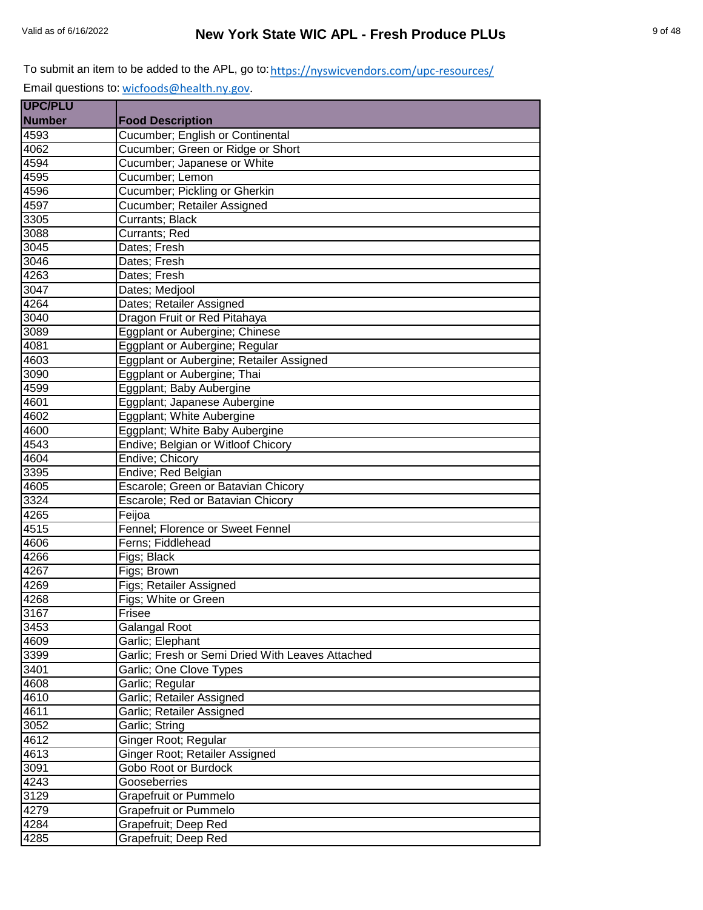| <b>UPC/PLU</b> |                                                  |
|----------------|--------------------------------------------------|
| <b>Number</b>  | <b>Food Description</b>                          |
| 4593           | Cucumber; English or Continental                 |
| 4062           | Cucumber; Green or Ridge or Short                |
| 4594           | Cucumber; Japanese or White                      |
| 4595           | Cucumber; Lemon                                  |
| 4596           | Cucumber; Pickling or Gherkin                    |
| 4597           | Cucumber; Retailer Assigned                      |
| 3305           | <b>Currants</b> ; Black                          |
| 3088           | Currants; Red                                    |
| 3045           | Dates: Fresh                                     |
| 3046           | Dates; Fresh                                     |
| 4263           | Dates; Fresh                                     |
| 3047           | Dates; Medjool                                   |
| 4264           | Dates; Retailer Assigned                         |
| 3040           | Dragon Fruit or Red Pitahaya                     |
| 3089           | Eggplant or Aubergine; Chinese                   |
| 4081           | Eggplant or Aubergine; Regular                   |
| 4603           | Eggplant or Aubergine; Retailer Assigned         |
| 3090           | Eggplant or Aubergine; Thai                      |
| 4599           | Eggplant; Baby Aubergine                         |
| 4601           | Eggplant; Japanese Aubergine                     |
| 4602           | Eggplant; White Aubergine                        |
| 4600           | Eggplant; White Baby Aubergine                   |
| 4543           | Endive; Belgian or Witloof Chicory               |
| 4604           | Endive; Chicory                                  |
| 3395           | Endive; Red Belgian                              |
| 4605           | Escarole; Green or Batavian Chicory              |
| 3324           | Escarole; Red or Batavian Chicory                |
| 4265           | Feijoa                                           |
| 4515           | Fennel; Florence or Sweet Fennel                 |
| 4606           | Ferns; Fiddlehead                                |
| 4266           | Figs; Black                                      |
| 4267           | Figs; Brown                                      |
| 4269           | Figs; Retailer Assigned                          |
| 4268           | Figs; White or Green                             |
| 3167           | Frisee                                           |
| 3453           | Galangal Root                                    |
| 4609           | Garlic; Elephant                                 |
| 3399           | Garlic; Fresh or Semi Dried With Leaves Attached |
| 3401           | Garlic; One Clove Types                          |
| 4608           | Garlic; Regular                                  |
| 4610           | Garlic; Retailer Assigned                        |
| 4611           | Garlic; Retailer Assigned                        |
| 3052           | Garlic; String                                   |
| 4612           | Ginger Root; Regular                             |
| 4613           | Ginger Root; Retailer Assigned                   |
| 3091           | Gobo Root or Burdock                             |
| 4243           | Gooseberries                                     |
| 3129           | Grapefruit or Pummelo                            |
| 4279           | <b>Grapefruit or Pummelo</b>                     |
| 4284           | Grapefruit; Deep Red                             |
| 4285           | Grapefruit; Deep Red                             |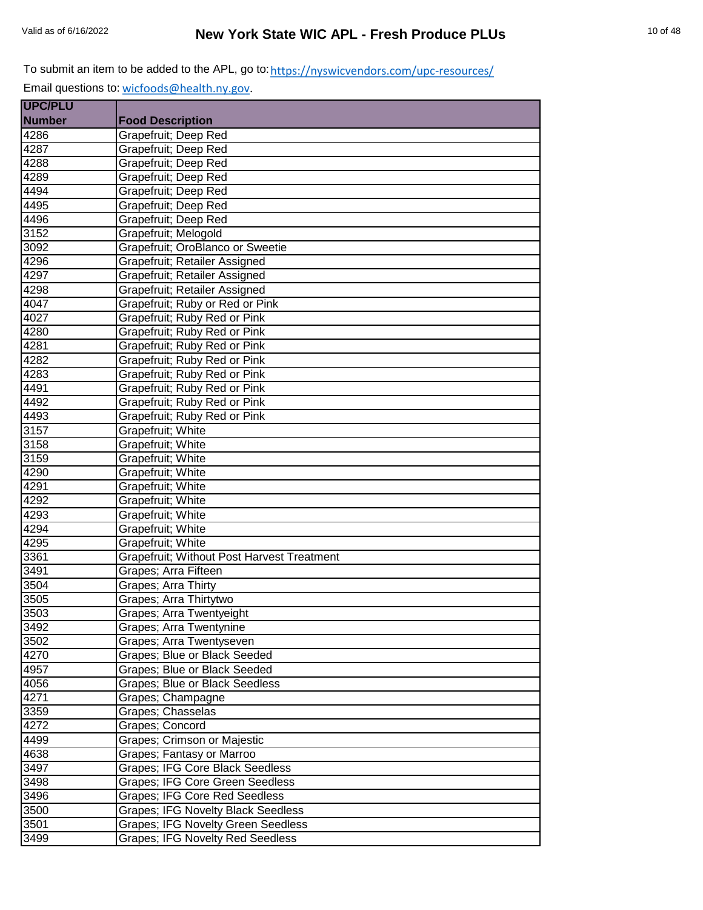| <b>UPC/PLU</b> |                                            |
|----------------|--------------------------------------------|
| <b>Number</b>  | <b>Food Description</b>                    |
| 4286           | Grapefruit; Deep Red                       |
| 4287           | Grapefruit; Deep Red                       |
| 4288           | Grapefruit; Deep Red                       |
| 4289           | Grapefruit; Deep Red                       |
| 4494           | Grapefruit; Deep Red                       |
| 4495           | Grapefruit; Deep Red                       |
| 4496           | Grapefruit; Deep Red                       |
| 3152           | Grapefruit; Melogold                       |
| 3092           | Grapefruit; OroBlanco or Sweetie           |
| 4296           | Grapefruit; Retailer Assigned              |
| 4297           | Grapefruit; Retailer Assigned              |
| 4298           | Grapefruit; Retailer Assigned              |
| 4047           | Grapefruit; Ruby or Red or Pink            |
| 4027           | Grapefruit; Ruby Red or Pink               |
| 4280           | Grapefruit; Ruby Red or Pink               |
| 4281           | Grapefruit; Ruby Red or Pink               |
| 4282           | Grapefruit; Ruby Red or Pink               |
| 4283           | Grapefruit; Ruby Red or Pink               |
| 4491           | Grapefruit; Ruby Red or Pink               |
| 4492           | Grapefruit; Ruby Red or Pink               |
| 4493           | Grapefruit; Ruby Red or Pink               |
| 3157           | Grapefruit; White                          |
| 3158           | Grapefruit; White                          |
| 3159           | Grapefruit; White                          |
| 4290           | Grapefruit; White                          |
| 4291           | Grapefruit; White                          |
| 4292           | Grapefruit; White                          |
| 4293           | Grapefruit; White                          |
| 4294           | Grapefruit; White                          |
| 4295           | Grapefruit; White                          |
| 3361           | Grapefruit; Without Post Harvest Treatment |
| 3491           | Grapes; Arra Fifteen                       |
| 3504           | <b>Grapes</b> ; Arra Thirty                |
| 3505           | Grapes; Arra Thirtytwo                     |
| 3503           | Grapes; Arra Twentyeight                   |
| 3492           | Grapes; Arra Twentynine                    |
| 3502           | Grapes; Arra Twentyseven                   |
| 4270           | Grapes; Blue or Black Seeded               |
| 4957           | Grapes; Blue or Black Seeded               |
| 4056           | Grapes; Blue or Black Seedless             |
| 4271           | Grapes; Champagne                          |
| 3359           | Grapes; Chasselas                          |
| 4272           | Grapes; Concord                            |
| 4499           | Grapes; Crimson or Majestic                |
| 4638           | Grapes; Fantasy or Marroo                  |
| 3497           | <b>Grapes; IFG Core Black Seedless</b>     |
| 3498           | Grapes; IFG Core Green Seedless            |
| 3496           | <b>Grapes; IFG Core Red Seedless</b>       |
| 3500           | <b>Grapes; IFG Novelty Black Seedless</b>  |
| 3501           | <b>Grapes; IFG Novelty Green Seedless</b>  |
| 3499           | <b>Grapes; IFG Novelty Red Seedless</b>    |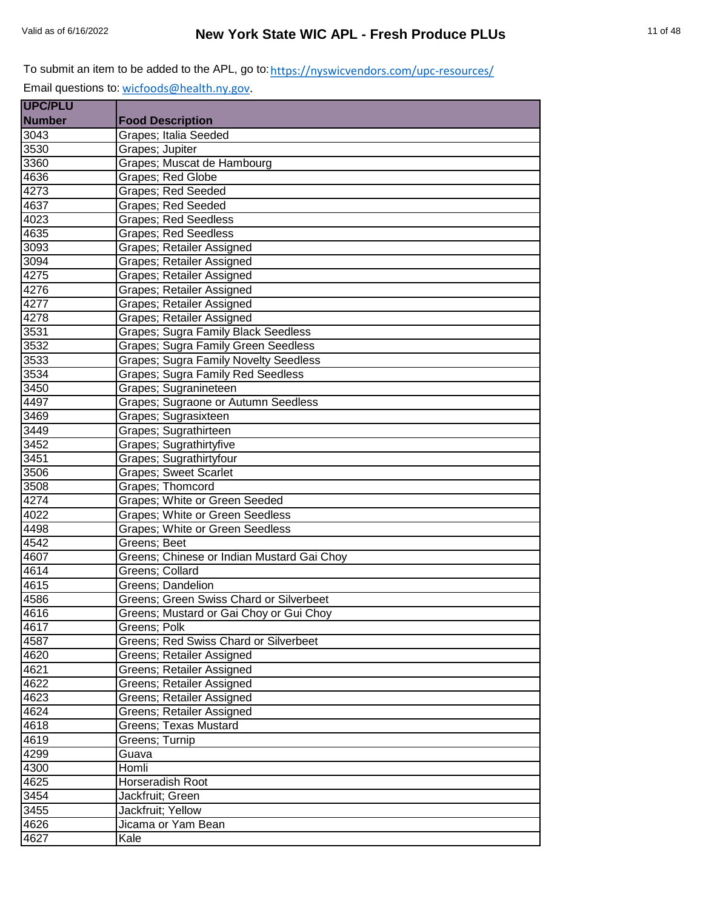| <b>UPC/PLU</b> |                                              |
|----------------|----------------------------------------------|
| <b>Number</b>  | <b>Food Description</b>                      |
| 3043           | Grapes; Italia Seeded                        |
| 3530           | Grapes; Jupiter                              |
| 3360           | Grapes; Muscat de Hambourg                   |
| 4636           | Grapes; Red Globe                            |
| 4273           | Grapes; Red Seeded                           |
| 4637           | Grapes; Red Seeded                           |
| 4023           | <b>Grapes; Red Seedless</b>                  |
| 4635           | <b>Grapes: Red Seedless</b>                  |
| 3093           | Grapes; Retailer Assigned                    |
| 3094           | Grapes; Retailer Assigned                    |
| 4275           | Grapes; Retailer Assigned                    |
| 4276           | Grapes; Retailer Assigned                    |
| 4277           | Grapes; Retailer Assigned                    |
| 4278           | Grapes; Retailer Assigned                    |
| 3531           | Grapes; Sugra Family Black Seedless          |
| 3532           | Grapes; Sugra Family Green Seedless          |
| 3533           | <b>Grapes; Sugra Family Novelty Seedless</b> |
| 3534           | Grapes; Sugra Family Red Seedless            |
| 3450           | Grapes; Sugranineteen                        |
| 4497           | Grapes; Sugraone or Autumn Seedless          |
| 3469           | Grapes; Sugrasixteen                         |
| 3449           | Grapes; Sugrathirteen                        |
| 3452           | Grapes; Sugrathirtyfive                      |
| 3451           | Grapes; Sugrathirtyfour                      |
| 3506           | <b>Grapes; Sweet Scarlet</b>                 |
| 3508           | Grapes; Thomcord                             |
| 4274           | Grapes; White or Green Seeded                |
| 4022           | Grapes; White or Green Seedless              |
| 4498           | Grapes; White or Green Seedless              |
| 4542           | Greens; Beet                                 |
| 4607           | Greens; Chinese or Indian Mustard Gai Choy   |
| 4614           | Greens; Collard                              |
| 4615           | Greens; Dandelion                            |
| 4586           | Greens; Green Swiss Chard or Silverbeet      |
| 4616           | Greens; Mustard or Gai Choy or Gui Choy      |
| 4617           | Greens; Polk                                 |
| 4587           | Greens; Red Swiss Chard or Silverbeet        |
| 4620           | Greens; Retailer Assigned                    |
| 4621           | <b>Greens</b> ; Retailer Assigned            |
| 4622           | Greens; Retailer Assigned                    |
| 4623           | Greens; Retailer Assigned                    |
| 4624           | Greens; Retailer Assigned                    |
| 4618           | Greens; Texas Mustard                        |
| 4619           | Greens; Turnip                               |
| 4299           | Guava                                        |
| 4300           | Homli                                        |
| 4625           | Horseradish Root                             |
| 3454           | Jackfruit; Green                             |
| 3455           | Jackfruit; Yellow                            |
| 4626           | Jicama or Yam Bean                           |
| 4627           | Kale                                         |
|                |                                              |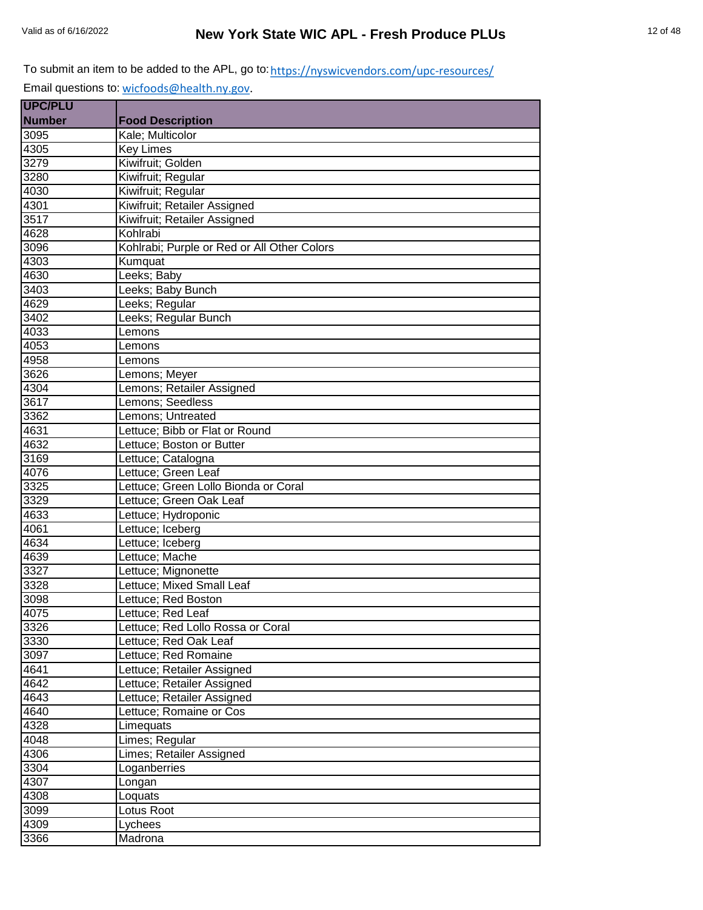| UPC/PLU           |                                             |
|-------------------|---------------------------------------------|
| <b>Number</b>     | <b>Food Description</b>                     |
| 3095              | Kale; Multicolor                            |
| 4305              | <b>Key Limes</b>                            |
| 3279              | Kiwifruit; Golden                           |
| 3280              | Kiwifruit; Regular                          |
| 4030              | Kiwifruit; Regular                          |
| 4301              | Kiwifruit; Retailer Assigned                |
| 3517              | Kiwifruit; Retailer Assigned                |
| 4628              | Kohlrabi                                    |
| 3096              | Kohlrabi; Purple or Red or All Other Colors |
| $43\overline{03}$ | Kumquat                                     |
| 4630              | Leeks; Baby                                 |
| 3403              | Leeks; Baby Bunch                           |
| 4629              | Leeks; Regular                              |
| 3402              | Leeks; Regular Bunch                        |
| 4033              | Lemons                                      |
| 4053              | Lemons                                      |
| 4958              | Lemons                                      |
| 3626              | Lemons; Meyer                               |
| 4304              | Lemons; Retailer Assigned                   |
| 3617              | Lemons; Seedless                            |
| 3362              | Lemons; Untreated                           |
| 4631              | Lettuce; Bibb or Flat or Round              |
| 4632              | Lettuce; Boston or Butter                   |
| 3169              | Lettuce; Catalogna                          |
| 4076              | Lettuce; Green Leaf                         |
| 3325              | Lettuce; Green Lollo Bionda or Coral        |
| 3329              | Lettuce; Green Oak Leaf                     |
| 4633              | Lettuce; Hydroponic                         |
| 4061              | Lettuce; Iceberg                            |
| 4634              | Lettuce; Iceberg                            |
| 4639              | Lettuce; Mache                              |
| 3327              | Lettuce; Mignonette                         |
| 3328              | Lettuce; Mixed Small Leaf                   |
| 3098              | Lettuce; Red Boston                         |
| 4075              | Lettuce; Red Leaf                           |
| 3326              | Lettuce; Red Lollo Rossa or Coral           |
| 3330              | Lettuce; Red Oak Leaf                       |
| 3097              | Lettuce; Red Romaine                        |
| 4641              | Lettuce; Retailer Assigned                  |
| 4642              | Lettuce; Retailer Assigned                  |
| 4643              | Lettuce; Retailer Assigned                  |
| 4640              | Lettuce; Romaine or Cos                     |
| 4328              | Limequats                                   |
| 4048              | Limes; Regular                              |
| 4306              | Limes; Retailer Assigned                    |
| 3304              | Loganberries                                |
| 4307              | Longan                                      |
| 4308              | Loquats                                     |
| 3099              | Lotus Root                                  |
| 4309              | Lychees                                     |
| 3366              | Madrona                                     |
|                   |                                             |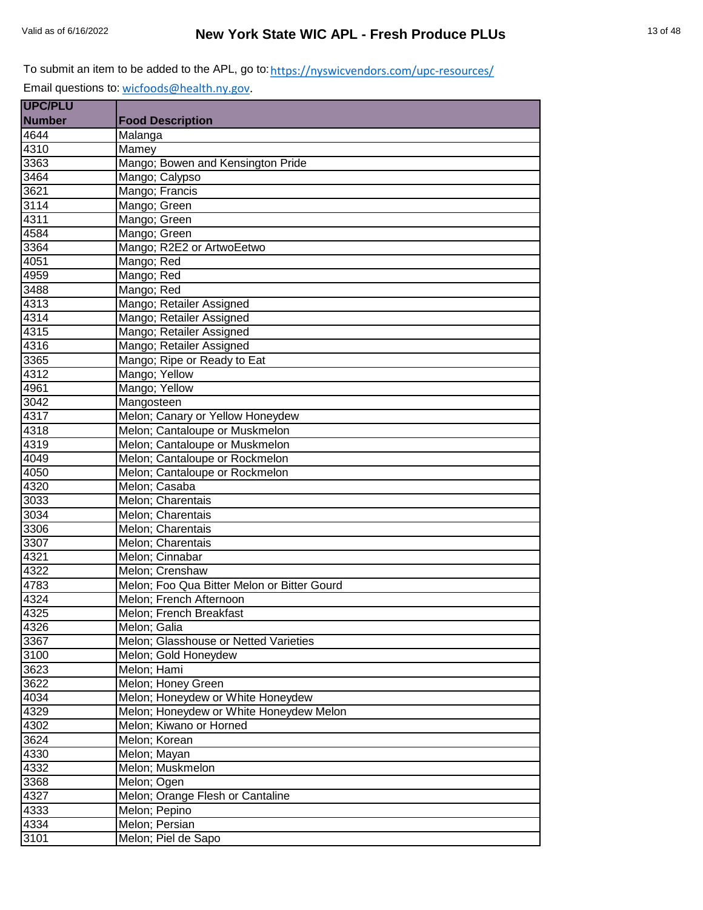| <b>UPC/PLU</b> |                                             |
|----------------|---------------------------------------------|
| <b>Number</b>  | <b>Food Description</b>                     |
| 4644           | Malanga                                     |
| 4310           | Mamey                                       |
| 3363           | Mango; Bowen and Kensington Pride           |
| 3464           | Mango; Calypso                              |
| 3621           | Mango; Francis                              |
| 3114           | Mango; Green                                |
| 4311           | Mango; Green                                |
| 4584           | Mango; Green                                |
| 3364           | Mango; R2E2 or ArtwoEetwo                   |
| 4051           | Mango; Red                                  |
| 4959           | Mango; Red                                  |
| 3488           | Mango; Red                                  |
| 4313           | Mango; Retailer Assigned                    |
| 4314           | Mango; Retailer Assigned                    |
| 4315           | Mango; Retailer Assigned                    |
| 4316           | Mango; Retailer Assigned                    |
| 3365           | Mango; Ripe or Ready to Eat                 |
| 4312           | Mango; Yellow                               |
| 4961           | Mango; Yellow                               |
| 3042           | Mangosteen                                  |
| 4317           | Melon; Canary or Yellow Honeydew            |
| 4318           | Melon; Cantaloupe or Muskmelon              |
| 4319           | Melon; Cantaloupe or Muskmelon              |
| 4049           | Melon; Cantaloupe or Rockmelon              |
| 4050           | Melon; Cantaloupe or Rockmelon              |
| 4320           | Melon; Casaba                               |
| 3033           | Melon; Charentais                           |
| 3034           | Melon; Charentais                           |
| 3306           | Melon; Charentais                           |
| 3307           | Melon; Charentais                           |
| 4321           | Melon; Cinnabar                             |
| 4322           | Melon; Crenshaw                             |
| 4783           | Melon; Foo Qua Bitter Melon or Bitter Gourd |
| 4324           | Melon; French Afternoon                     |
| 4325           | Melon; French Breakfast                     |
| 4326           | Melon; Galia                                |
| 3367           | Melon; Glasshouse or Netted Varieties       |
| 3100           | Melon; Gold Honeydew                        |
| 3623           | Melon; Hami                                 |
| 3622           | Melon; Honey Green                          |
| 4034           | Melon; Honeydew or White Honeydew           |
| 4329           | Melon; Honeydew or White Honeydew Melon     |
| 4302           | Melon; Kiwano or Horned                     |
| 3624           | Melon; Korean                               |
| 4330           | Melon; Mayan                                |
| 4332           | Melon; Muskmelon                            |
| 3368           | Melon; Ogen                                 |
| 4327           | Melon; Orange Flesh or Cantaline            |
| 4333           | Melon; Pepino                               |
| 4334           | Melon; Persian                              |
| 3101           | Melon; Piel de Sapo                         |
|                |                                             |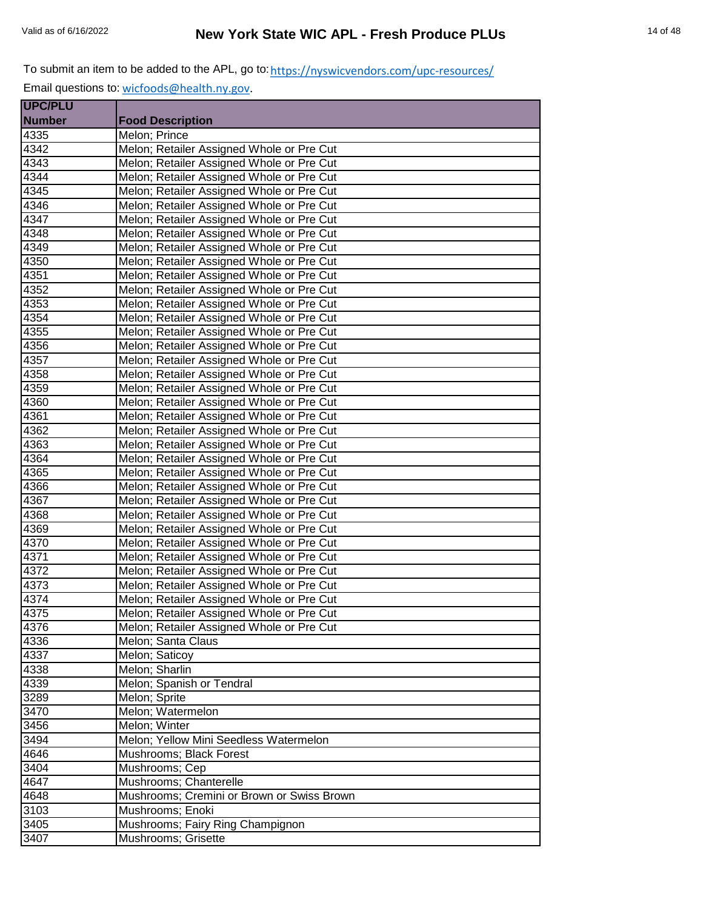| <b>UPC/PLU</b>    |                                            |
|-------------------|--------------------------------------------|
| <b>Number</b>     | <b>Food Description</b>                    |
| 4335              | Melon; Prince                              |
| 4342              | Melon; Retailer Assigned Whole or Pre Cut  |
| 4343              | Melon; Retailer Assigned Whole or Pre Cut  |
| 4344              | Melon; Retailer Assigned Whole or Pre Cut  |
| 4345              | Melon; Retailer Assigned Whole or Pre Cut  |
| 4346              | Melon; Retailer Assigned Whole or Pre Cut  |
| 4347              | Melon; Retailer Assigned Whole or Pre Cut  |
| 4348              | Melon; Retailer Assigned Whole or Pre Cut  |
| 4349              | Melon; Retailer Assigned Whole or Pre Cut  |
| 4350              | Melon; Retailer Assigned Whole or Pre Cut  |
| 4351              | Melon; Retailer Assigned Whole or Pre Cut  |
| $435\overline{2}$ | Melon; Retailer Assigned Whole or Pre Cut  |
| 4353              | Melon; Retailer Assigned Whole or Pre Cut  |
| 4354              | Melon; Retailer Assigned Whole or Pre Cut  |
| 4355              | Melon; Retailer Assigned Whole or Pre Cut  |
| 4356              | Melon; Retailer Assigned Whole or Pre Cut  |
| 4357              | Melon; Retailer Assigned Whole or Pre Cut  |
| 4358              | Melon; Retailer Assigned Whole or Pre Cut  |
| 4359              | Melon; Retailer Assigned Whole or Pre Cut  |
| 4360              | Melon; Retailer Assigned Whole or Pre Cut  |
| 4361              | Melon; Retailer Assigned Whole or Pre Cut  |
| 4362              | Melon; Retailer Assigned Whole or Pre Cut  |
| 4363              | Melon; Retailer Assigned Whole or Pre Cut  |
| 4364              | Melon; Retailer Assigned Whole or Pre Cut  |
| 4365              | Melon; Retailer Assigned Whole or Pre Cut  |
| 4366              | Melon; Retailer Assigned Whole or Pre Cut  |
| 4367              | Melon; Retailer Assigned Whole or Pre Cut  |
| 4368              | Melon; Retailer Assigned Whole or Pre Cut  |
| 4369              | Melon; Retailer Assigned Whole or Pre Cut  |
| 4370              | Melon; Retailer Assigned Whole or Pre Cut  |
| 4371              | Melon; Retailer Assigned Whole or Pre Cut  |
| 4372              | Melon; Retailer Assigned Whole or Pre Cut  |
| 4373              | Melon; Retailer Assigned Whole or Pre Cut  |
| 4374              | Melon; Retailer Assigned Whole or Pre Cut  |
| 4375              | Melon; Retailer Assigned Whole or Pre Cut  |
| 4376              | Melon; Retailer Assigned Whole or Pre Cut  |
| 4336              | Melon; Santa Claus                         |
| 4337              | Melon; Saticoy                             |
| 4338              | Melon; Sharlin                             |
| 4339              | Melon; Spanish or Tendral                  |
| 3289              | Melon; Sprite                              |
| 3470              | Melon; Watermelon                          |
| 3456              | Melon; Winter                              |
| 3494              | Melon; Yellow Mini Seedless Watermelon     |
| 4646              | Mushrooms; Black Forest                    |
| 3404              | Mushrooms; Cep                             |
| 4647              | Mushrooms; Chanterelle                     |
| 4648              | Mushrooms; Cremini or Brown or Swiss Brown |
| 3103              | Mushrooms; Enoki                           |
| 3405              | Mushrooms; Fairy Ring Champignon           |
| 3407              | Mushrooms; Grisette                        |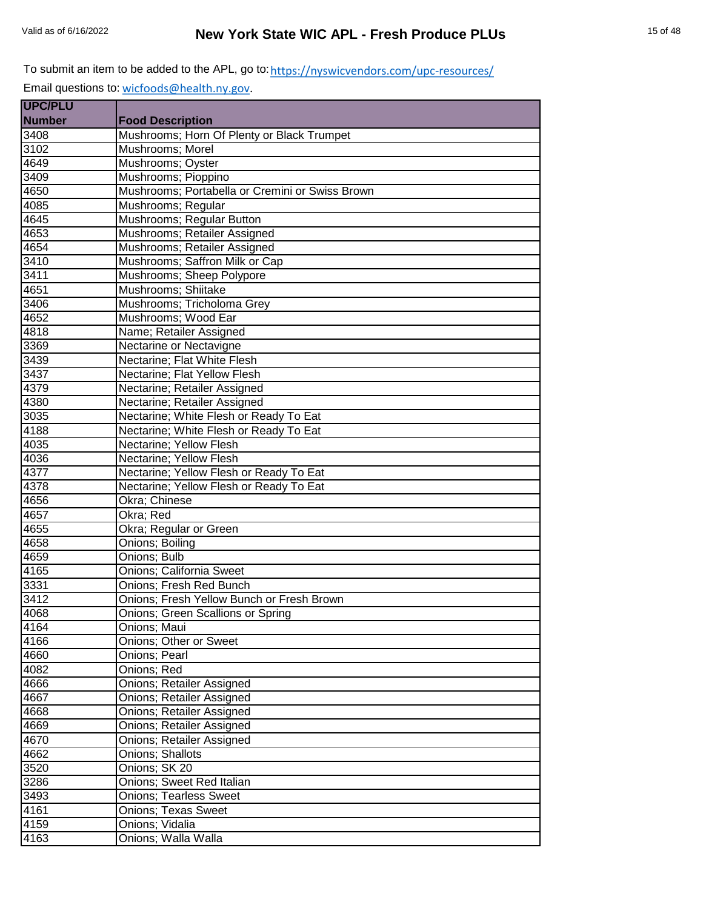| <b>UPC/PLU</b>    |                                                 |
|-------------------|-------------------------------------------------|
| <b>Number</b>     | <b>Food Description</b>                         |
| 3408              | Mushrooms; Horn Of Plenty or Black Trumpet      |
| 3102              | Mushrooms; Morel                                |
| 4649              | Mushrooms; Oyster                               |
| $\overline{3409}$ | Mushrooms; Pioppino                             |
| 4650              | Mushrooms; Portabella or Cremini or Swiss Brown |
| 4085              | Mushrooms; Regular                              |
| 4645              | Mushrooms; Regular Button                       |
| 4653              | Mushrooms; Retailer Assigned                    |
| 4654              | Mushrooms; Retailer Assigned                    |
| 3410              | Mushrooms; Saffron Milk or Cap                  |
| 3411              | Mushrooms; Sheep Polypore                       |
| 4651              | Mushrooms; Shiitake                             |
| 3406              | Mushrooms; Tricholoma Grey                      |
| 4652              | Mushrooms; Wood Ear                             |
| 4818              | Name; Retailer Assigned                         |
| 3369              | Nectarine or Nectavigne                         |
| 3439              | Nectarine; Flat White Flesh                     |
| 3437              | Nectarine; Flat Yellow Flesh                    |
| 4379              | Nectarine; Retailer Assigned                    |
| 4380              | Nectarine; Retailer Assigned                    |
| $\frac{1}{3035}$  | Nectarine; White Flesh or Ready To Eat          |
| 4188              | Nectarine; White Flesh or Ready To Eat          |
| 4035              | Nectarine; Yellow Flesh                         |
| 4036              | Nectarine; Yellow Flesh                         |
| 4377              | Nectarine; Yellow Flesh or Ready To Eat         |
| 4378              | Nectarine; Yellow Flesh or Ready To Eat         |
| 4656              | Okra; Chinese                                   |
| 4657              | Okra; Red                                       |
| 4655              | Okra; Regular or Green                          |
| 4658              | Onions; Boiling                                 |
| 4659              | Onions; Bulb                                    |
| 4165              | <b>Onions</b> ; California Sweet                |
| 3331              | Onions; Fresh Red Bunch                         |
| 3412              | Onions; Fresh Yellow Bunch or Fresh Brown       |
| 4068              | Onions; Green Scallions or Spring               |
| 4164              | Onions; Maui                                    |
| 4166              | Onions; Other or Sweet                          |
| 4660              | <b>Onions</b> ; Pearl                           |
| 4082              | Onions; Red                                     |
| 4666              | Onions; Retailer Assigned                       |
| 4667              | Onions; Retailer Assigned                       |
| 4668              | Onions; Retailer Assigned                       |
| 4669              | <b>Onions; Retailer Assigned</b>                |
| 4670              | Onions; Retailer Assigned                       |
| 4662              | <b>Onions: Shallots</b>                         |
| 3520              | Onions; SK 20                                   |
| 3286              | Onions; Sweet Red Italian                       |
| 3493              | <b>Onions; Tearless Sweet</b>                   |
| 4161              | <b>Onions; Texas Sweet</b>                      |
| 4159              |                                                 |
|                   | Onions; Vidalia                                 |
| 4163              | Onions; Walla Walla                             |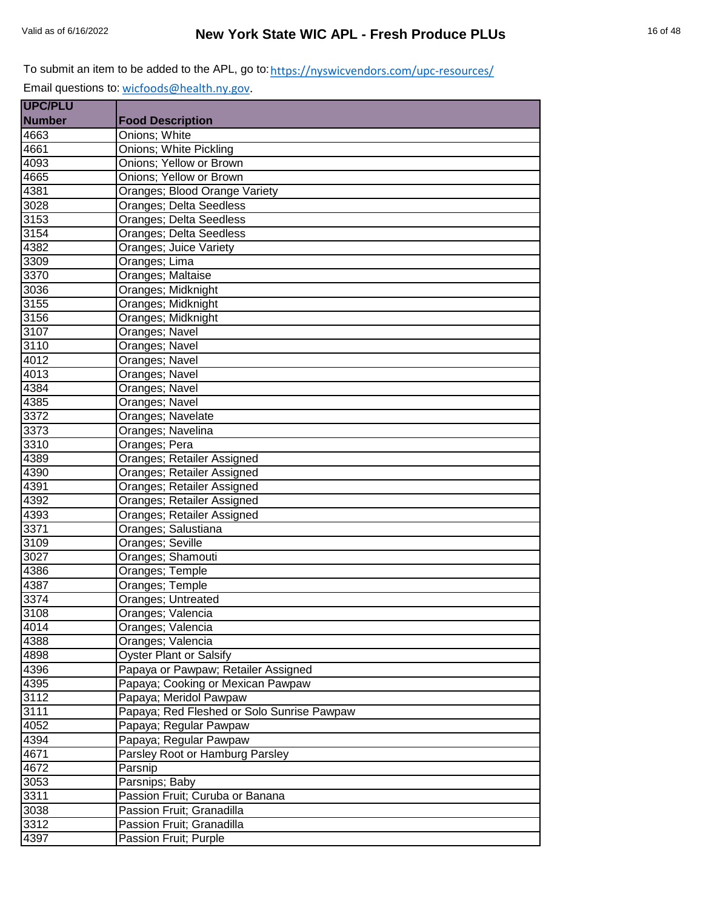Email questions to: [wicfoods@health.ny.gov.](mailto:wicfoods@health.ny.gov)

| <b>UPC/PLU</b> |                                            |
|----------------|--------------------------------------------|
| <b>Number</b>  | <b>Food Description</b>                    |
| 4663           | Onions; White                              |
| 4661           | Onions; White Pickling                     |
| 4093           | Onions; Yellow or Brown                    |
| 4665           | Onions; Yellow or Brown                    |
| 4381           | Oranges; Blood Orange Variety              |
| 3028           | Oranges; Delta Seedless                    |
| 3153           | Oranges; Delta Seedless                    |
| 3154           | Oranges; Delta Seedless                    |
| 4382           | Oranges; Juice Variety                     |
| 3309           | Oranges; Lima                              |
| 3370           | Oranges; Maltaise                          |
| 3036           | Oranges; Midknight                         |
| 3155           | Oranges; Midknight                         |
| 3156           | Oranges; Midknight                         |
| 3107           | Oranges; Navel                             |
| 3110           | Oranges; Navel                             |
| 4012           | Oranges; Navel                             |
| 4013           | Oranges; Navel                             |
| 4384           | Oranges; Navel                             |
| 4385           | Oranges; Navel                             |
| 3372           | Oranges; Navelate                          |
| 3373           | Oranges; Navelina                          |
| 3310           | Oranges; Pera                              |
| 4389           | Oranges; Retailer Assigned                 |
| 4390           | Oranges; Retailer Assigned                 |
| 4391           | Oranges; Retailer Assigned                 |
| 4392           | Oranges; Retailer Assigned                 |
| 4393           | <b>Oranges; Retailer Assigned</b>          |
| 3371           | Oranges; Salustiana                        |
| 3109           | Oranges; Seville                           |
| 3027           | Oranges; Shamouti                          |
| 4386           | Oranges; Temple                            |
| 4387           | Oranges; Temple                            |
| 3374           | Oranges; Untreated                         |
| 3108           | Oranges; Valencia                          |
| 4014           | Oranges; Valencia                          |
| 4388           | Oranges; Valencia                          |
| 4898           | <b>Oyster Plant or Salsify</b>             |
| 4396           | Papaya or Pawpaw; Retailer Assigned        |
| 4395           | Papaya; Cooking or Mexican Pawpaw          |
| 3112           | Papaya; Meridol Pawpaw                     |
| 3111           | Papaya; Red Fleshed or Solo Sunrise Pawpaw |
| 4052           | Papaya; Regular Pawpaw                     |
| 4394           | Papaya; Regular Pawpaw                     |
| 4671           | Parsley Root or Hamburg Parsley            |
| 4672           | Parsnip                                    |
| 3053           | Parsnips; Baby                             |
| 3311           | Passion Fruit; Curuba or Banana            |
| 3038           | Passion Fruit; Granadilla                  |
| 3312           | Passion Fruit; Granadilla                  |
| 4397           | Passion Fruit; Purple                      |
|                |                                            |

÷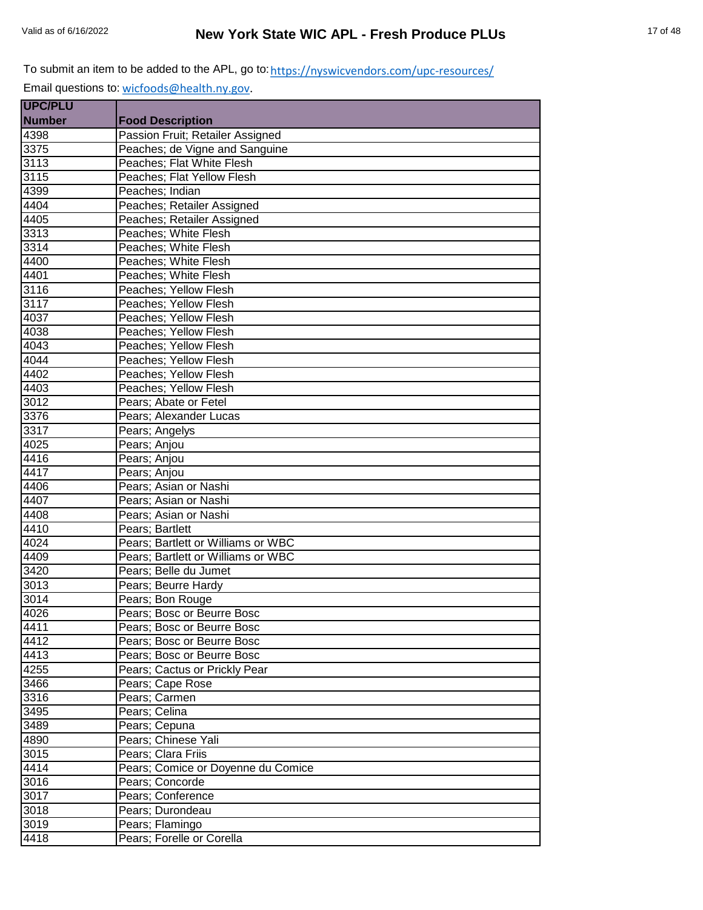| <b>UPC/PLU</b> |                                    |
|----------------|------------------------------------|
| <b>Number</b>  | <b>Food Description</b>            |
| 4398           | Passion Fruit; Retailer Assigned   |
| 3375           | Peaches; de Vigne and Sanguine     |
| 3113           | Peaches; Flat White Flesh          |
| 3115           | Peaches; Flat Yellow Flesh         |
| 4399           | Peaches; Indian                    |
| 4404           | Peaches; Retailer Assigned         |
| 4405           | Peaches; Retailer Assigned         |
| 3313           | Peaches; White Flesh               |
| 3314           | Peaches; White Flesh               |
| 4400           | Peaches; White Flesh               |
| 4401           | Peaches; White Flesh               |
| 3116           | Peaches; Yellow Flesh              |
| 3117           | Peaches; Yellow Flesh              |
| 4037           | Peaches; Yellow Flesh              |
| 4038           | Peaches; Yellow Flesh              |
| 4043           | Peaches; Yellow Flesh              |
| 4044           | Peaches; Yellow Flesh              |
| 4402           | Peaches; Yellow Flesh              |
| 4403           | Peaches; Yellow Flesh              |
| 3012           | Pears; Abate or Fetel              |
| 3376           | Pears; Alexander Lucas             |
| 3317           | Pears; Angelys                     |
| 4025           | Pears; Anjou                       |
| 4416           | Pears; Anjou                       |
| 4417           | Pears; Anjou                       |
| 4406           | Pears; Asian or Nashi              |
| 4407           | Pears; Asian or Nashi              |
| 4408           | Pears; Asian or Nashi              |
| 4410           | Pears; Bartlett                    |
| 4024           | Pears; Bartlett or Williams or WBC |
| 4409           | Pears; Bartlett or Williams or WBC |
| 3420           | Pears; Belle du Jumet              |
| 3013           | Pears; Beurre Hardy                |
| 3014           | Pears; Bon Rouge                   |
| 4026           | Pears; Bosc or Beurre Bosc         |
| 4411           | Pears; Bosc or Beurre Bosc         |
| 4412           | Pears: Bosc or Beurre Bosc         |
| 4413           | Pears; Bosc or Beurre Bosc         |
| 4255           | Pears; Cactus or Prickly Pear      |
| 3466           | Pears; Cape Rose                   |
| 3316           | Pears; Carmen                      |
| 3495           | Pears; Celina                      |
| 3489           | Pears; Cepuna                      |
| 4890           | Pears; Chinese Yali                |
| 3015           | Pears; Clara Friis                 |
| 4414           | Pears; Comice or Doyenne du Comice |
| 3016           | Pears; Concorde                    |
| 3017           | Pears; Conference                  |
| 3018           | Pears; Durondeau                   |
| 3019           | Pears; Flamingo                    |
| 4418           | Pears; Forelle or Corella          |
|                |                                    |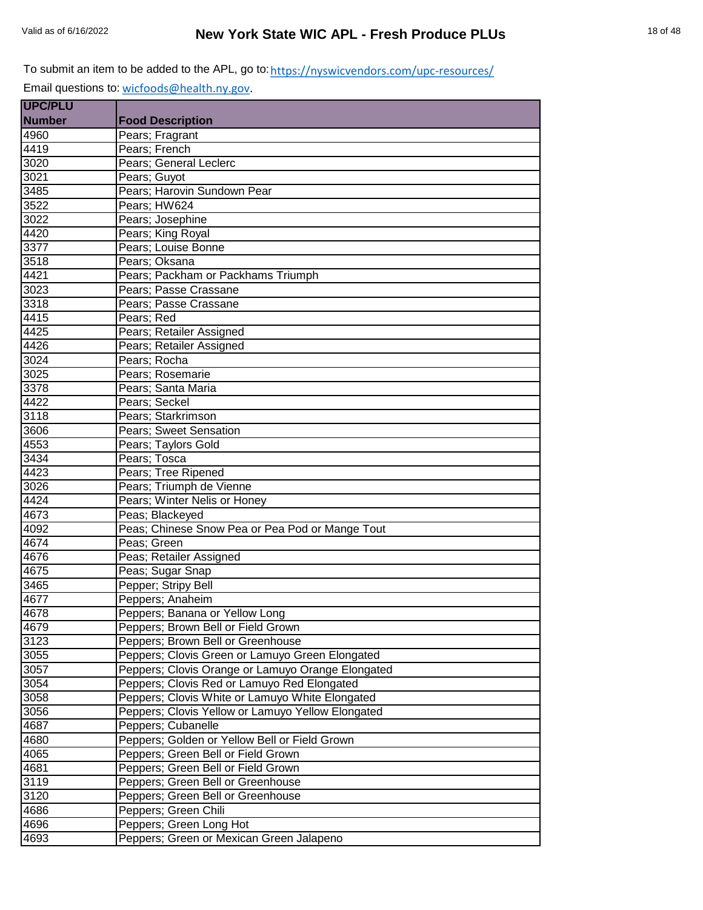| <b>UPC/PLU</b>    |                                                   |
|-------------------|---------------------------------------------------|
| <b>Number</b>     | <b>Food Description</b>                           |
| 4960              | Pears; Fragrant                                   |
| 4419              | Pears; French                                     |
| 3020              | Pears; General Leclerc                            |
| 3021              | Pears; Guyot                                      |
| 3485              | Pears; Harovin Sundown Pear                       |
| 3522              | Pears; HW624                                      |
| 3022              | Pears; Josephine                                  |
| 4420              | Pears; King Royal                                 |
| 3377              | Pears; Louise Bonne                               |
| 3518              | Pears; Oksana                                     |
| 4421              | Pears; Packham or Packhams Triumph                |
| 3023              | Pears; Passe Crassane                             |
| 3318              | Pears; Passe Crassane                             |
| 4415              | Pears; Red                                        |
| 4425              | Pears; Retailer Assigned                          |
| 4426              | Pears; Retailer Assigned                          |
| 3024              | Pears; Rocha                                      |
| 3025              | Pears: Rosemarie                                  |
| $\overline{3378}$ | Pears; Santa Maria                                |
| 4422              | Pears; Seckel                                     |
| 3118              | Pears; Starkrimson                                |
| 3606              | Pears; Sweet Sensation                            |
| 4553              | Pears; Taylors Gold                               |
| 3434              | Pears; Tosca                                      |
| 4423              | Pears; Tree Ripened                               |
| 3026              | Pears; Triumph de Vienne                          |
| 4424              | Pears; Winter Nelis or Honey                      |
| 4673              | Peas; Blackeyed                                   |
| 4092              | Peas; Chinese Snow Pea or Pea Pod or Mange Tout   |
| 4674              | Peas; Green                                       |
| 4676              | Peas; Retailer Assigned                           |
| 4675              | Peas; Sugar Snap                                  |
| 3465              | Pepper; Stripy Bell                               |
| 4677              | Peppers; Anaheim                                  |
| 4678              | Peppers; Banana or Yellow Long                    |
| 4679              | Peppers; Brown Bell or Field Grown                |
| 3123              | Peppers; Brown Bell or Greenhouse                 |
| 3055              | Peppers; Clovis Green or Lamuyo Green Elongated   |
| 3057              | Peppers; Clovis Orange or Lamuyo Orange Elongated |
| 3054              | Peppers; Clovis Red or Lamuyo Red Elongated       |
| 3058              | Peppers; Clovis White or Lamuyo White Elongated   |
| 3056              | Peppers; Clovis Yellow or Lamuyo Yellow Elongated |
| 4687              | Peppers; Cubanelle                                |
| 4680              | Peppers; Golden or Yellow Bell or Field Grown     |
| 4065              | Peppers; Green Bell or Field Grown                |
| 4681              | Peppers; Green Bell or Field Grown                |
| 3119              | Peppers; Green Bell or Greenhouse                 |
| 3120              | Peppers; Green Bell or Greenhouse                 |
| 4686              | Peppers; Green Chili                              |
| 4696              | Peppers; Green Long Hot                           |
| 4693              | Peppers; Green or Mexican Green Jalapeno          |
|                   |                                                   |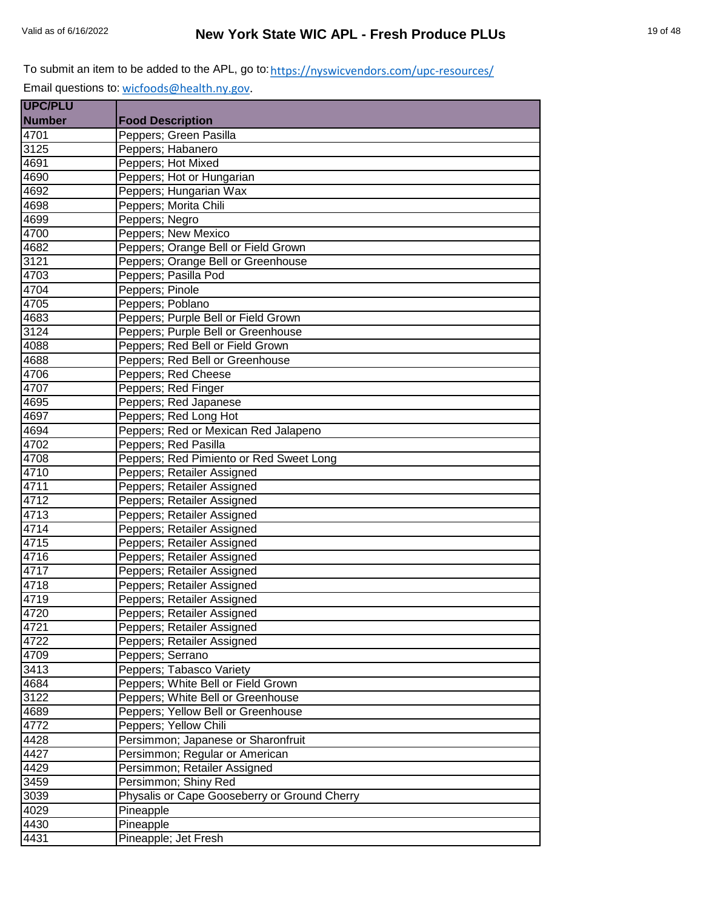| <b>UPC/PLU</b> |                                              |
|----------------|----------------------------------------------|
| <b>Number</b>  | <b>Food Description</b>                      |
| 4701           | Peppers; Green Pasilla                       |
| 3125           | Peppers; Habanero                            |
| 4691           | Peppers; Hot Mixed                           |
| 4690           | Peppers; Hot or Hungarian                    |
| 4692           | Peppers; Hungarian Wax                       |
| 4698           | Peppers; Morita Chili                        |
| 4699           | Peppers; Negro                               |
| 4700           | Peppers; New Mexico                          |
| 4682           | Peppers; Orange Bell or Field Grown          |
| 3121           | Peppers; Orange Bell or Greenhouse           |
| 4703           | Peppers; Pasilla Pod                         |
| 4704           | Peppers; Pinole                              |
| 4705           | Peppers; Poblano                             |
| 4683           | Peppers; Purple Bell or Field Grown          |
| 3124           | Peppers; Purple Bell or Greenhouse           |
| 4088           | Peppers; Red Bell or Field Grown             |
| 4688           | Peppers; Red Bell or Greenhouse              |
| 4706           | Peppers; Red Cheese                          |
| 4707           | Peppers; Red Finger                          |
| 4695           | Peppers; Red Japanese                        |
| 4697           | Peppers; Red Long Hot                        |
| 4694           | Peppers; Red or Mexican Red Jalapeno         |
| 4702           | Peppers; Red Pasilla                         |
| 4708           | Peppers; Red Pimiento or Red Sweet Long      |
| 4710           | Peppers; Retailer Assigned                   |
| 4711           | Peppers; Retailer Assigned                   |
| 4712           | Peppers; Retailer Assigned                   |
| 4713           | Peppers; Retailer Assigned                   |
| 4714           | Peppers; Retailer Assigned                   |
| 4715           | Peppers; Retailer Assigned                   |
| 4716           | Peppers; Retailer Assigned                   |
| 4717           | Peppers; Retailer Assigned                   |
| 4718           | Peppers; Retailer Assigned                   |
| 4719           | Peppers; Retailer Assigned                   |
| 4720           | Peppers; Retailer Assigned                   |
| 4721           | Peppers; Retailer Assigned                   |
| 4722           | Peppers; Retailer Assigned                   |
| 4709           | Peppers; Serrano                             |
| 3413           | Peppers; Tabasco Variety                     |
| 4684           | Peppers; White Bell or Field Grown           |
| 3122           | Peppers; White Bell or Greenhouse            |
| 4689           | Peppers; Yellow Bell or Greenhouse           |
| 4772           | Peppers; Yellow Chili                        |
| 4428           | Persimmon; Japanese or Sharonfruit           |
| 4427           | Persimmon; Regular or American               |
| 4429           | Persimmon; Retailer Assigned                 |
| 3459           | Persimmon; Shiny Red                         |
| 3039           | Physalis or Cape Gooseberry or Ground Cherry |
| 4029           | Pineapple                                    |
| 4430           | Pineapple                                    |
| 4431           | Pineapple; Jet Fresh                         |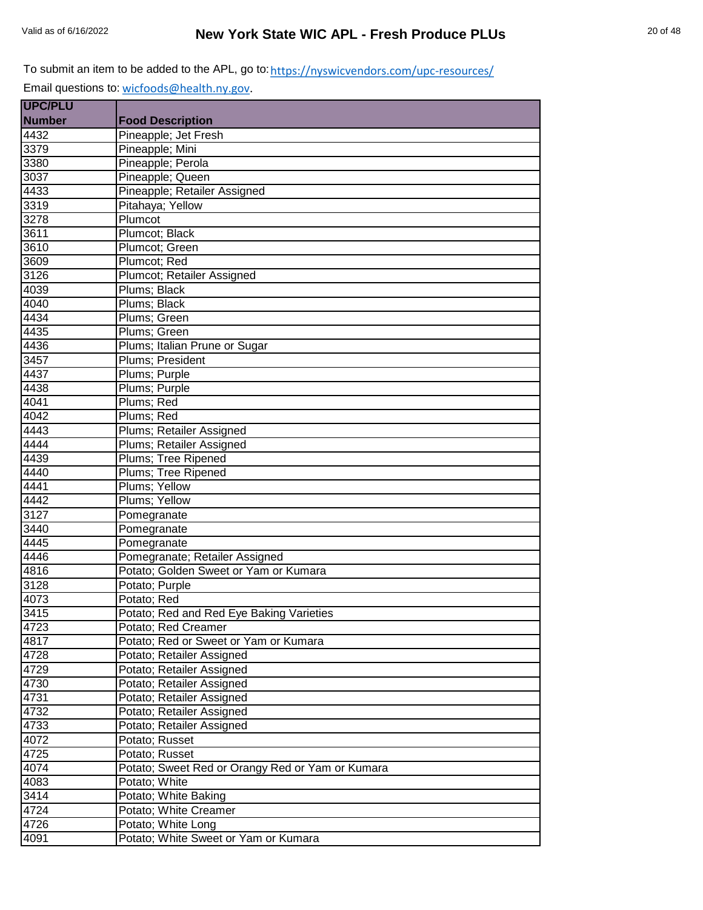| <b>UPC/PLU</b> |                                                  |
|----------------|--------------------------------------------------|
| <b>Number</b>  | <b>Food Description</b>                          |
| 4432           | Pineapple; Jet Fresh                             |
| 3379           | Pineapple; Mini                                  |
| 3380           | Pineapple; Perola                                |
| 3037           | Pineapple; Queen                                 |
| 4433           | Pineapple; Retailer Assigned                     |
| 3319           | Pitahaya; Yellow                                 |
| 3278           | Plumcot                                          |
| 3611           | Plumcot; Black                                   |
| 3610           | Plumcot; Green                                   |
| 3609           | Plumcot; Red                                     |
| 3126           | Plumcot; Retailer Assigned                       |
| 4039           | Plums; Black                                     |
| 4040           | Plums; Black                                     |
| 4434           | Plums; Green                                     |
| 4435           | Plums; Green                                     |
| 4436           | Plums; Italian Prune or Sugar                    |
| 3457           | Plums; President                                 |
| 4437           | Plums; Purple                                    |
| 4438           | Plums; Purple                                    |
| 4041           | Plums; Red                                       |
| 4042           | Plums; Red                                       |
| 4443           | Plums; Retailer Assigned                         |
| 4444           | Plums; Retailer Assigned                         |
| 4439           | Plums; Tree Ripened                              |
| 4440           | Plums; Tree Ripened                              |
| 4441           | Plums; Yellow                                    |
| 4442           | Plums; Yellow                                    |
| 3127           | Pomegranate                                      |
| 3440           | Pomegranate                                      |
| 4445           | Pomegranate                                      |
| 4446           | Pomegranate; Retailer Assigned                   |
| 4816           | Potato; Golden Sweet or Yam or Kumara            |
| 3128           | Potato; Purple                                   |
| 4073           | Potato; Red                                      |
| 3415           | Potato; Red and Red Eye Baking Varieties         |
| 4723           | Potato; Red Creamer                              |
| 4817           | Potato; Red or Sweet or Yam or Kumara            |
| 4728           | Potato; Retailer Assigned                        |
| 4729           | Potato; Retailer Assigned                        |
| 4730           | Potato; Retailer Assigned                        |
| 4731           | Potato; Retailer Assigned                        |
| 4732           | Potato; Retailer Assigned                        |
| 4733           | Potato; Retailer Assigned                        |
| 4072           | Potato; Russet                                   |
| 4725           | Potato; Russet                                   |
| 4074           | Potato; Sweet Red or Orangy Red or Yam or Kumara |
| 4083           | Potato; White                                    |
| 3414           | Potato; White Baking                             |
| 4724           | Potato; White Creamer                            |
| 4726           | Potato; White Long                               |
| 4091           | Potato; White Sweet or Yam or Kumara             |
|                |                                                  |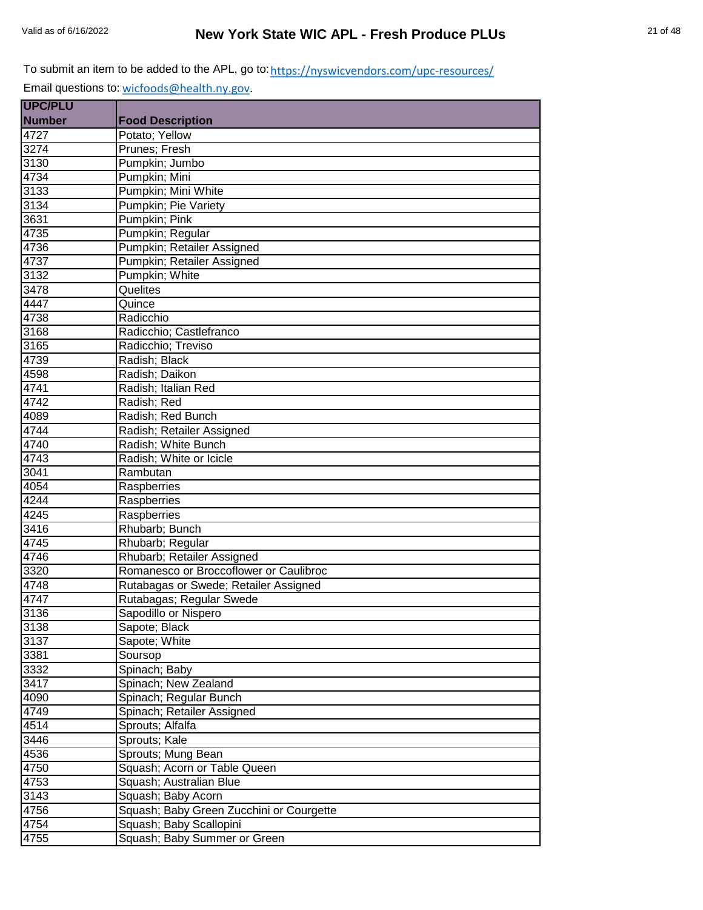| <b>Number</b><br><b>Food Description</b> |                                          |
|------------------------------------------|------------------------------------------|
|                                          |                                          |
| 4727<br>Potato; Yellow                   |                                          |
| 3274<br>Prunes; Fresh                    |                                          |
| 3130<br>Pumpkin; Jumbo                   |                                          |
| 4734<br>Pumpkin; Mini                    |                                          |
| 3133<br>Pumpkin; Mini White              |                                          |
| 3134<br>Pumpkin; Pie Variety             |                                          |
| Pumpkin; Pink<br>3631                    |                                          |
| 4735<br>Pumpkin; Regular                 |                                          |
| 4736                                     | Pumpkin; Retailer Assigned               |
| 4737                                     | Pumpkin; Retailer Assigned               |
| 3132<br>Pumpkin; White                   |                                          |
| 3478<br>Quelites                         |                                          |
| 4447<br>Quince                           |                                          |
| 4738<br>Radicchio                        |                                          |
| 3168<br>Radicchio; Castlefranco          |                                          |
| 3165<br>Radicchio; Treviso               |                                          |
| 4739<br>Radish; Black                    |                                          |
| 4598<br>Radish; Daikon                   |                                          |
| 4741<br>Radish; Italian Red              |                                          |
| 4742<br>Radish; Red                      |                                          |
| 4089<br>Radish; Red Bunch                |                                          |
| 4744<br>Radish; Retailer Assigned        |                                          |
| Radish; White Bunch<br>4740              |                                          |
| 4743<br>Radish; White or Icicle          |                                          |
| 3041<br>Rambutan                         |                                          |
| 4054<br>Raspberries                      |                                          |
| 4244<br>Raspberries                      |                                          |
| 4245<br>Raspberries                      |                                          |
| 3416<br>Rhubarb; Bunch                   |                                          |
| 4745<br>Rhubarb; Regular                 |                                          |
| 4746                                     | Rhubarb; Retailer Assigned               |
| 3320                                     | Romanesco or Broccoflower or Caulibroc   |
| 4748                                     | Rutabagas or Swede; Retailer Assigned    |
| 4747                                     | Rutabagas; Regular Swede                 |
| 3136<br>Sapodillo or Nispero             |                                          |
| 3138<br>Sapote; Black                    |                                          |
| 3137<br>Sapote; White                    |                                          |
| 3381<br>Soursop                          |                                          |
| Spinach; Baby<br>3332                    |                                          |
| 3417<br>Spinach; New Zealand             |                                          |
| 4090<br>Spinach; Regular Bunch           |                                          |
| 4749                                     | Spinach; Retailer Assigned               |
| 4514<br>Sprouts; Alfalfa                 |                                          |
| 3446<br>Sprouts; Kale                    |                                          |
| 4536<br>Sprouts; Mung Bean               |                                          |
| 4750                                     | Squash; Acorn or Table Queen             |
| 4753<br>Squash; Australian Blue          |                                          |
| 3143<br>Squash; Baby Acorn               |                                          |
| 4756                                     | Squash; Baby Green Zucchini or Courgette |
| 4754<br>Squash; Baby Scallopini          |                                          |
| 4755                                     | Squash; Baby Summer or Green             |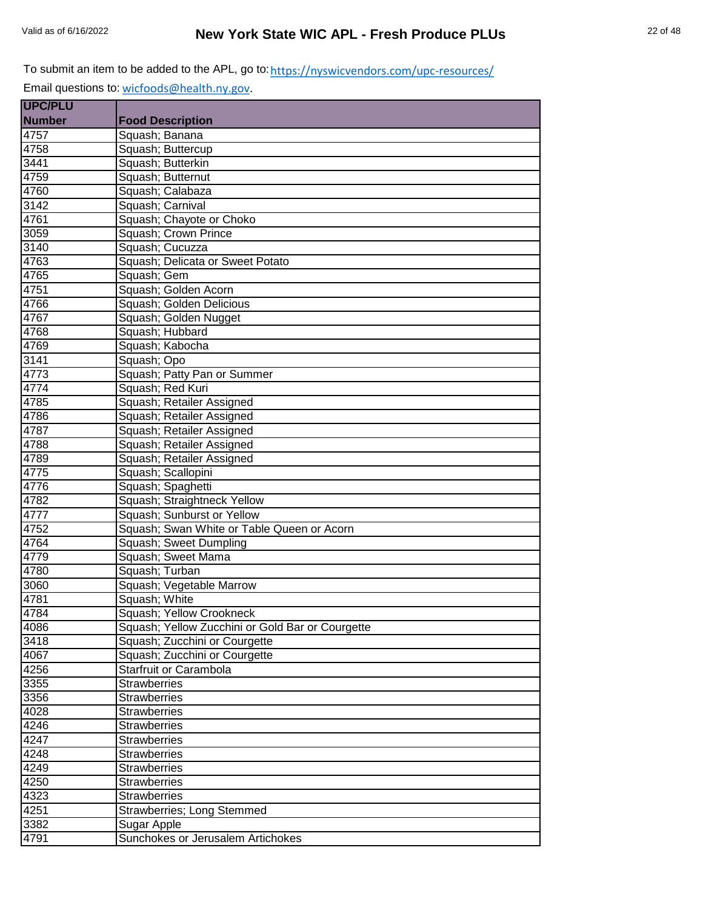| <b>UPC/PLU</b> |                                                  |
|----------------|--------------------------------------------------|
| <b>Number</b>  | <b>Food Description</b>                          |
| 4757           | Squash; Banana                                   |
| 4758           | Squash; Buttercup                                |
| 3441           | Squash; Butterkin                                |
| 4759           | Squash; Butternut                                |
| 4760           | Squash; Calabaza                                 |
| 3142           | Squash; Carnival                                 |
| 4761           | Squash; Chayote or Choko                         |
| 3059           | Squash; Crown Prince                             |
| 3140           | Squash; Cucuzza                                  |
| 4763           | Squash; Delicata or Sweet Potato                 |
| 4765           | Squash; Gem                                      |
| 4751           | Squash; Golden Acorn                             |
| 4766           | Squash; Golden Delicious                         |
| 4767           | Squash; Golden Nugget                            |
| 4768           | Squash; Hubbard                                  |
| 4769           | Squash; Kabocha                                  |
| 3141           | Squash; Opo                                      |
| 4773           | Squash; Patty Pan or Summer                      |
| 4774           | Squash; Red Kuri                                 |
| 4785           | Squash; Retailer Assigned                        |
| 4786           | Squash; Retailer Assigned                        |
| 4787           | Squash; Retailer Assigned                        |
| 4788           | Squash; Retailer Assigned                        |
| 4789           | Squash; Retailer Assigned                        |
| 4775           | Squash; Scallopini                               |
| 4776           | Squash; Spaghetti                                |
| 4782           | Squash; Straightneck Yellow                      |
| 4777           | Squash; Sunburst or Yellow                       |
| 4752           | Squash; Swan White or Table Queen or Acorn       |
| 4764           | Squash; Sweet Dumpling                           |
| 4779           | Squash; Sweet Mama                               |
| 4780           | Squash; Turban                                   |
| 3060           | Squash; Vegetable Marrow                         |
| 4781           | Squash; White                                    |
| 4784           | Squash; Yellow Crookneck                         |
| 4086           | Squash; Yellow Zucchini or Gold Bar or Courgette |
| 3418           | Squash; Zucchini or Courgette                    |
| 4067           | Squash; Zucchini or Courgette                    |
| 4256           | Starfruit or Carambola                           |
| 3355           | <b>Strawberries</b>                              |
| 3356           | <b>Strawberries</b>                              |
| 4028           | <b>Strawberries</b>                              |
| 4246           | <b>Strawberries</b>                              |
| 4247           | <b>Strawberries</b>                              |
| 4248           | <b>Strawberries</b>                              |
| 4249           | <b>Strawberries</b>                              |
| 4250           | <b>Strawberries</b>                              |
| 4323           | <b>Strawberries</b>                              |
| 4251           | Strawberries; Long Stemmed                       |
| 3382           | Sugar Apple                                      |
| 4791           | Sunchokes or Jerusalem Artichokes                |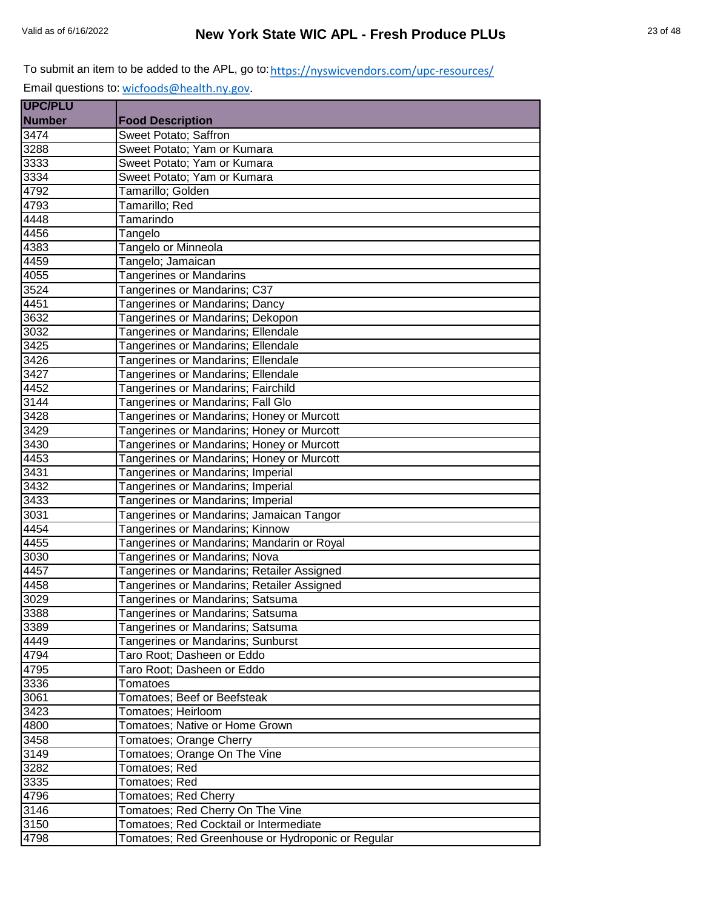| <b>UPC/PLU</b>    |                                                   |
|-------------------|---------------------------------------------------|
| <b>Number</b>     | <b>Food Description</b>                           |
| 3474              | Sweet Potato; Saffron                             |
| 3288              | Sweet Potato; Yam or Kumara                       |
| 3333              | Sweet Potato; Yam or Kumara                       |
| 3334              | Sweet Potato; Yam or Kumara                       |
| 4792              | Tamarillo; Golden                                 |
| 4793              | Tamarillo; Red                                    |
| 4448              | Tamarindo                                         |
| 4456              | Tangelo                                           |
| 4383              | Tangelo or Minneola                               |
| 4459              | Tangelo; Jamaican                                 |
| 4055              | <b>Tangerines or Mandarins</b>                    |
| 3524              | Tangerines or Mandarins; C37                      |
| 4451              | Tangerines or Mandarins; Dancy                    |
| 3632              | Tangerines or Mandarins; Dekopon                  |
| 3032              | <b>Tangerines or Mandarins; Ellendale</b>         |
| 3425              | Tangerines or Mandarins; Ellendale                |
| 3426              | Tangerines or Mandarins; Ellendale                |
| $\overline{3427}$ | Tangerines or Mandarins; Ellendale                |
| 4452              | Tangerines or Mandarins; Fairchild                |
| 3144              | Tangerines or Mandarins; Fall Glo                 |
| 3428              | Tangerines or Mandarins; Honey or Murcott         |
| 3429              | Tangerines or Mandarins; Honey or Murcott         |
| 3430              | Tangerines or Mandarins; Honey or Murcott         |
| 4453              | Tangerines or Mandarins; Honey or Murcott         |
| 3431              | Tangerines or Mandarins; Imperial                 |
| 3432              | Tangerines or Mandarins; Imperial                 |
| 3433              | Tangerines or Mandarins; Imperial                 |
| 3031              | Tangerines or Mandarins; Jamaican Tangor          |
| 4454              | Tangerines or Mandarins; Kinnow                   |
| 4455              | Tangerines or Mandarins; Mandarin or Royal        |
| 3030              | Tangerines or Mandarins; Nova                     |
| 4457              | Tangerines or Mandarins; Retailer Assigned        |
| 4458              | Tangerines or Mandarins; Retailer Assigned        |
| 3029              | Tangerines or Mandarins; Satsuma                  |
| 3388              | Tangerines or Mandarins; Satsuma                  |
| 3389              | Tangerines or Mandarins; Satsuma                  |
| 4449              | Tangerines or Mandarins; Sunburst                 |
| 4794              | Taro Root; Dasheen or Eddo                        |
| 4795              | Taro Root; Dasheen or Eddo                        |
| 3336              | <b>Tomatoes</b>                                   |
| 3061              | Tomatoes; Beef or Beefsteak                       |
| 3423              | Tomatoes; Heirloom                                |
| 4800              | Tomatoes: Native or Home Grown                    |
| $\overline{3458}$ | Tomatoes; Orange Cherry                           |
| 3149              | Tomatoes; Orange On The Vine                      |
| $\overline{3}282$ | Tomatoes; Red                                     |
| $\frac{1}{3335}$  | Tomatoes; Red                                     |
| 4796              | Tomatoes; Red Cherry                              |
| 3146              | Tomatoes; Red Cherry On The Vine                  |
| 3150              | Tomatoes; Red Cocktail or Intermediate            |
| 4798              | Tomatoes; Red Greenhouse or Hydroponic or Regular |
|                   |                                                   |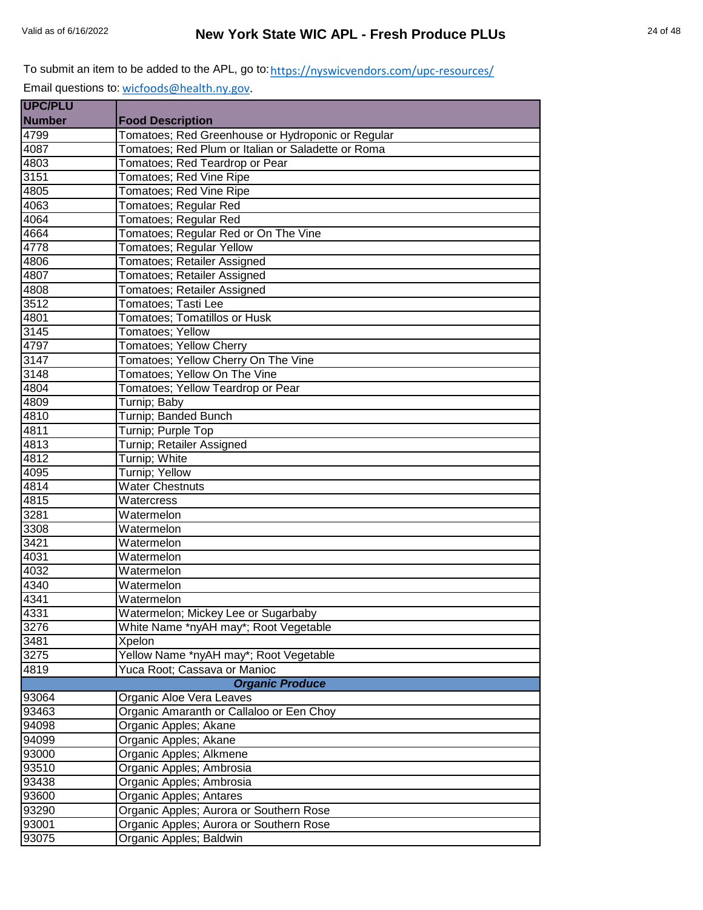| <b>UPC/PLU</b> |                                                    |
|----------------|----------------------------------------------------|
| <b>Number</b>  | <b>Food Description</b>                            |
| 4799           | Tomatoes; Red Greenhouse or Hydroponic or Regular  |
| 4087           | Tomatoes; Red Plum or Italian or Saladette or Roma |
| 4803           | Tomatoes; Red Teardrop or Pear                     |
| 3151           | Tomatoes; Red Vine Ripe                            |
| 4805           | Tomatoes; Red Vine Ripe                            |
| 4063           | Tomatoes; Regular Red                              |
| 4064           | Tomatoes; Regular Red                              |
| 4664           | Tomatoes; Regular Red or On The Vine               |
| 4778           | Tomatoes; Regular Yellow                           |
| 4806           | Tomatoes; Retailer Assigned                        |
| 4807           | Tomatoes; Retailer Assigned                        |
| 4808           | Tomatoes; Retailer Assigned                        |
| 3512           | <b>Tomatoes; Tasti Lee</b>                         |
| 4801           | <b>Tomatoes; Tomatillos or Husk</b>                |
| 3145           | Tomatoes; Yellow                                   |
| 4797           | Tomatoes; Yellow Cherry                            |
| 3147           | Tomatoes; Yellow Cherry On The Vine                |
| 3148           | Tomatoes; Yellow On The Vine                       |
| 4804           | Tomatoes; Yellow Teardrop or Pear                  |
| 4809           | Turnip; Baby                                       |
| 4810           | Turnip; Banded Bunch                               |
| 4811           | Turnip; Purple Top                                 |
| 4813           | Turnip; Retailer Assigned                          |
| 4812           | Turnip; White                                      |
| 4095           | Turnip; Yellow                                     |
| 4814           | <b>Water Chestnuts</b>                             |
| 4815           | Watercress                                         |
| 3281           | Watermelon                                         |
| 3308           | Watermelon                                         |
| 3421           | Watermelon                                         |
| 4031           | Watermelon                                         |
| 4032           | Watermelon                                         |
| 4340           | Watermelon                                         |
| 4341           | Watermelon                                         |
| 4331           | Watermelon; Mickey Lee or Sugarbaby                |
| 3276           | White Name *nyAH may*; Root Vegetable              |
| 3481           | Xpelon                                             |
| 3275           | Yellow Name *nyAH may*; Root Vegetable             |
| 4819           | Yuca Root; Cassava or Manioc                       |
|                | <b>Organic Produce</b>                             |
| 93064          | Organic Aloe Vera Leaves                           |
| 93463          | Organic Amaranth or Callaloo or Een Choy           |
| 94098          | Organic Apples; Akane                              |
| 94099          | Organic Apples; Akane                              |
| 93000          | Organic Apples; Alkmene                            |
| 93510          | Organic Apples; Ambrosia                           |
| 93438          | Organic Apples; Ambrosia                           |
| 93600          | Organic Apples; Antares                            |
| 93290          | Organic Apples; Aurora or Southern Rose            |
| 93001          | Organic Apples; Aurora or Southern Rose            |
| 93075          | Organic Apples; Baldwin                            |
|                |                                                    |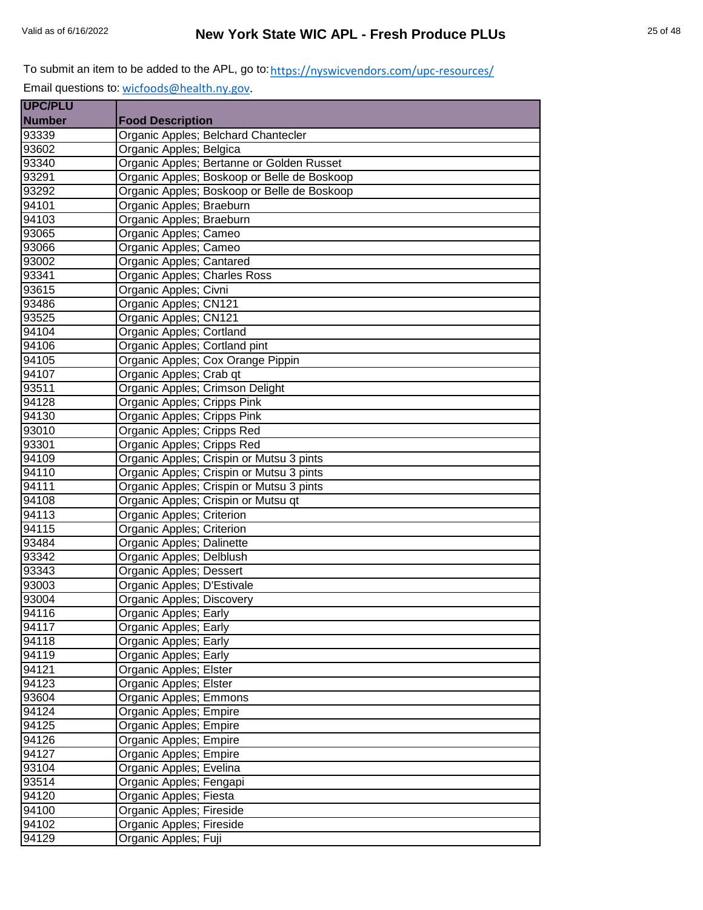| <b>Food Description</b>                     |
|---------------------------------------------|
| Organic Apples; Belchard Chantecler         |
| Organic Apples; Belgica                     |
| Organic Apples; Bertanne or Golden Russet   |
| Organic Apples; Boskoop or Belle de Boskoop |
| Organic Apples; Boskoop or Belle de Boskoop |
| Organic Apples; Braeburn                    |
| Organic Apples; Braeburn                    |
| Organic Apples; Cameo                       |
| Organic Apples; Cameo                       |
| Organic Apples; Cantared                    |
| Organic Apples; Charles Ross                |
| Organic Apples; Civni                       |
| Organic Apples; CN121                       |
| Organic Apples; CN121                       |
| Organic Apples; Cortland                    |
| Organic Apples; Cortland pint               |
| Organic Apples; Cox Orange Pippin           |
| Organic Apples; Crab qt                     |
| Organic Apples; Crimson Delight             |
| Organic Apples; Cripps Pink                 |
| Organic Apples; Cripps Pink                 |
| Organic Apples; Cripps Red                  |
| Organic Apples; Cripps Red                  |
| Organic Apples; Crispin or Mutsu 3 pints    |
| Organic Apples; Crispin or Mutsu 3 pints    |
| Organic Apples; Crispin or Mutsu 3 pints    |
| Organic Apples; Crispin or Mutsu qt         |
| Organic Apples; Criterion                   |
| Organic Apples; Criterion                   |
| Organic Apples; Dalinette                   |
| Organic Apples; Delblush                    |
| Organic Apples; Dessert                     |
| Organic Apples; D'Estivale                  |
| Organic Apples; Discovery                   |
| Organic Apples; Early                       |
| Organic Apples; Early                       |
| Organic Apples; Early                       |
| Organic Apples; Early                       |
| Organic Apples; Elster                      |
| Organic Apples; Elster                      |
| Organic Apples; Emmons                      |
| Organic Apples; Empire                      |
| Organic Apples; Empire                      |
| Organic Apples; Empire                      |
| Organic Apples; Empire                      |
| Organic Apples; Evelina                     |
| Organic Apples; Fengapi                     |
| Organic Apples; Fiesta                      |
| Organic Apples; Fireside                    |
| Organic Apples; Fireside                    |
| Organic Apples; Fuji                        |
|                                             |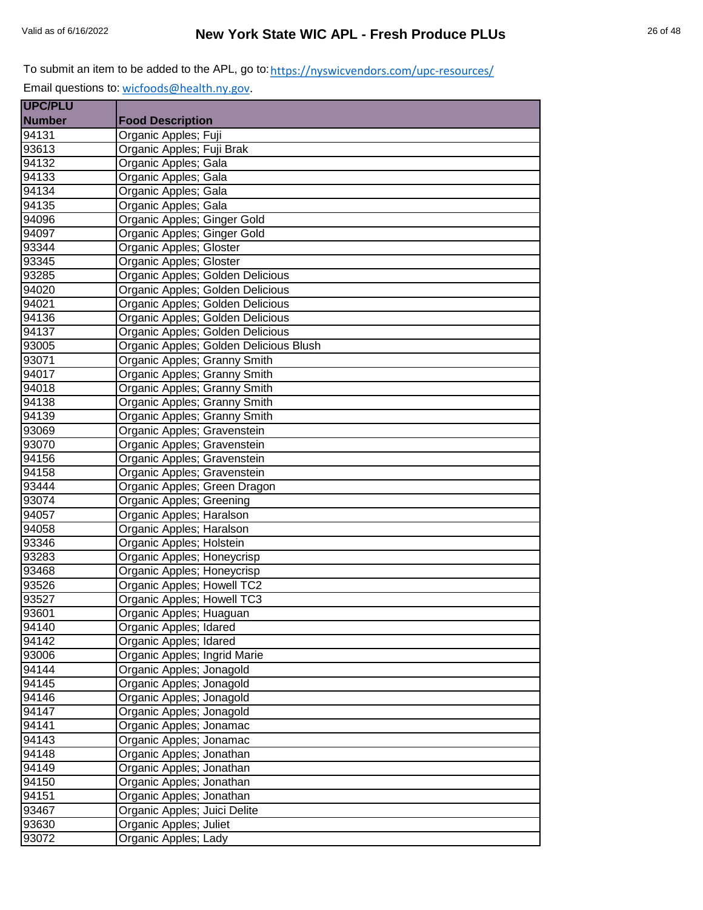| <b>UPC/PLU</b> |                                        |
|----------------|----------------------------------------|
| <b>Number</b>  | <b>Food Description</b>                |
| 94131          | Organic Apples; Fuji                   |
| 93613          | Organic Apples; Fuji Brak              |
| 94132          | Organic Apples; Gala                   |
| 94133          | Organic Apples; Gala                   |
| 94134          | Organic Apples; Gala                   |
| 94135          | Organic Apples; Gala                   |
| 94096          | Organic Apples; Ginger Gold            |
| 94097          | Organic Apples; Ginger Gold            |
| 93344          | Organic Apples; Gloster                |
| 93345          | Organic Apples; Gloster                |
| 93285          | Organic Apples; Golden Delicious       |
| 94020          | Organic Apples; Golden Delicious       |
| 94021          | Organic Apples; Golden Delicious       |
| 94136          | Organic Apples; Golden Delicious       |
| 94137          | Organic Apples; Golden Delicious       |
| 93005          | Organic Apples; Golden Delicious Blush |
| 93071          | Organic Apples; Granny Smith           |
| 94017          | Organic Apples; Granny Smith           |
| 94018          | Organic Apples; Granny Smith           |
| 94138          | Organic Apples; Granny Smith           |
| 94139          | Organic Apples; Granny Smith           |
| 93069          | Organic Apples; Gravenstein            |
| 93070          | Organic Apples; Gravenstein            |
| 94156          | Organic Apples; Gravenstein            |
| 94158          | Organic Apples; Gravenstein            |
| 93444          | Organic Apples; Green Dragon           |
| 93074          | Organic Apples; Greening               |
| 94057          | Organic Apples; Haralson               |
| 94058          | Organic Apples; Haralson               |
| 93346          | Organic Apples; Holstein               |
| 93283          | Organic Apples; Honeycrisp             |
| 93468          | Organic Apples; Honeycrisp             |
| 93526          | Organic Apples; Howell TC2             |
| 93527          | Organic Apples; Howell TC3             |
| 93601          | Organic Apples; Huaguan                |
| 94140          | Organic Apples; Idared                 |
| 94142          | Organic Apples; Idared                 |
| 93006          | Organic Apples; Ingrid Marie           |
| 94144          | Organic Apples; Jonagold               |
| 94145          | Organic Apples; Jonagold               |
| 94146          | Organic Apples; Jonagold               |
| 94147          | Organic Apples; Jonagold               |
| 94141          | Organic Apples; Jonamac                |
| 94143          | Organic Apples; Jonamac                |
| 94148          | Organic Apples; Jonathan               |
| 94149          | Organic Apples; Jonathan               |
| 94150          | Organic Apples; Jonathan               |
| 94151          | Organic Apples; Jonathan               |
| 93467          | Organic Apples; Juici Delite           |
| 93630          | Organic Apples; Juliet                 |
| 93072          | Organic Apples; Lady                   |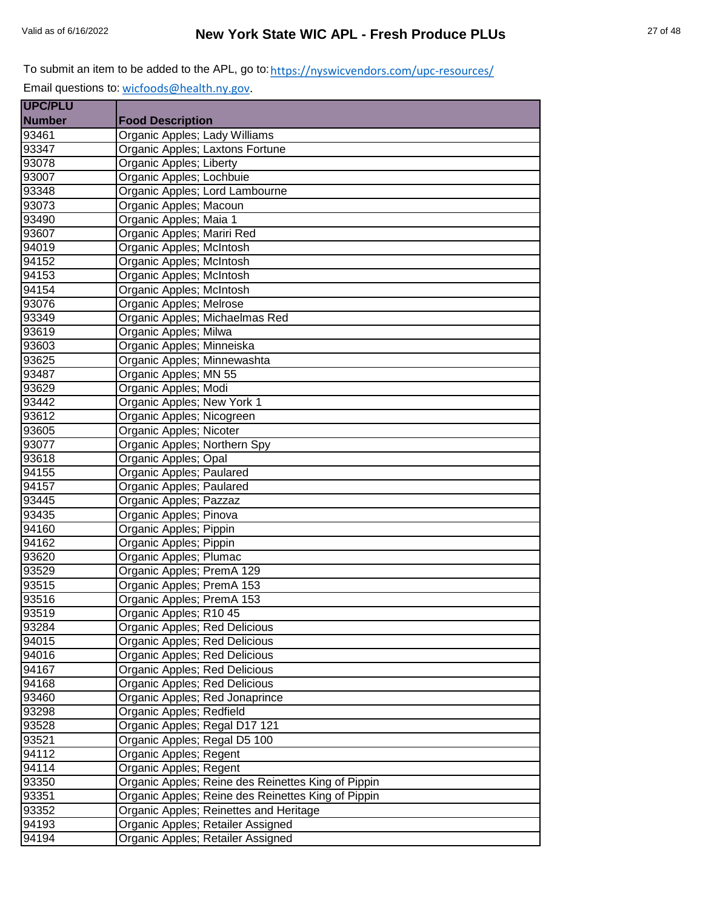| <b>UPC/PLU</b> |                                                    |
|----------------|----------------------------------------------------|
| <b>Number</b>  | <b>Food Description</b>                            |
| 93461          | Organic Apples; Lady Williams                      |
| 93347          | Organic Apples; Laxtons Fortune                    |
| 93078          | Organic Apples; Liberty                            |
| 93007          | Organic Apples; Lochbuie                           |
| 93348          | Organic Apples; Lord Lambourne                     |
| 93073          | Organic Apples; Macoun                             |
| 93490          | Organic Apples; Maia 1                             |
| 93607          | Organic Apples; Mariri Red                         |
| 94019          | Organic Apples; McIntosh                           |
| 94152          | Organic Apples; McIntosh                           |
| 94153          | Organic Apples; McIntosh                           |
| 94154          | Organic Apples; McIntosh                           |
| 93076          | Organic Apples; Melrose                            |
| 93349          | Organic Apples; Michaelmas Red                     |
| 93619          | Organic Apples; Milwa                              |
| 93603          | Organic Apples; Minneiska                          |
| 93625          | Organic Apples; Minnewashta                        |
| 93487          | Organic Apples; MN 55                              |
| 93629          | Organic Apples; Modi                               |
| 93442          | Organic Apples; New York 1                         |
| 93612          | Organic Apples; Nicogreen                          |
| 93605          | Organic Apples; Nicoter                            |
| 93077          | Organic Apples; Northern Spy                       |
| 93618          | Organic Apples; Opal                               |
| 94155          | Organic Apples; Paulared                           |
| 94157          | Organic Apples; Paulared                           |
| 93445          | Organic Apples; Pazzaz                             |
| 93435          | Organic Apples; Pinova                             |
| 94160          | Organic Apples; Pippin                             |
| 94162          | Organic Apples; Pippin                             |
| 93620          | Organic Apples; Plumac                             |
| 93529          | Organic Apples; PremA 129                          |
| 93515          | Organic Apples; PremA 153                          |
| 93516          | Organic Apples; PremA 153                          |
| 93519          | Organic Apples; R10 45                             |
| 93284          | Organic Apples; Red Delicious                      |
| 94015          | Organic Apples; Red Delicious                      |
| 94016          | Organic Apples; Red Delicious                      |
| 94167          | Organic Apples; Red Delicious                      |
| 94168          | Organic Apples; Red Delicious                      |
| 93460          | Organic Apples; Red Jonaprince                     |
| 93298          | Organic Apples; Redfield                           |
| 93528          | Organic Apples; Regal D17 121                      |
| 93521          | Organic Apples; Regal D5 100                       |
| 94112          | Organic Apples; Regent                             |
| 94114          | Organic Apples; Regent                             |
| 93350          | Organic Apples; Reine des Reinettes King of Pippin |
| 93351          | Organic Apples; Reine des Reinettes King of Pippin |
| 93352          | Organic Apples; Reinettes and Heritage             |
| 94193          | Organic Apples; Retailer Assigned                  |
| 94194          | Organic Apples; Retailer Assigned                  |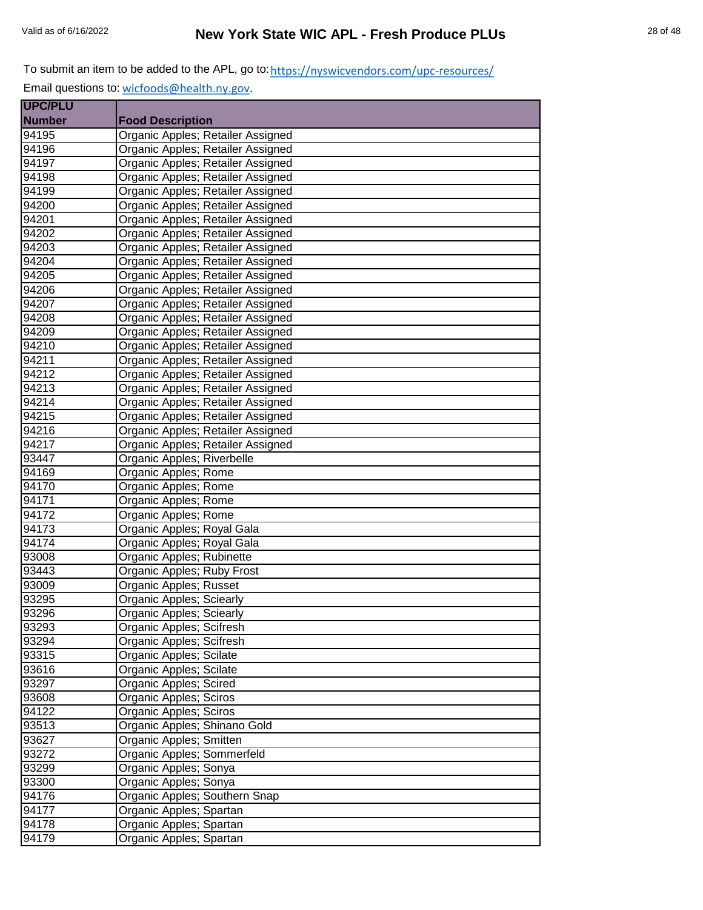| <b>UPC/PLU</b> |                                   |
|----------------|-----------------------------------|
| <b>Number</b>  | <b>Food Description</b>           |
| 94195          | Organic Apples; Retailer Assigned |
| 94196          | Organic Apples; Retailer Assigned |
| 94197          | Organic Apples; Retailer Assigned |
| 94198          | Organic Apples; Retailer Assigned |
| 94199          | Organic Apples; Retailer Assigned |
| 94200          | Organic Apples; Retailer Assigned |
| 94201          | Organic Apples; Retailer Assigned |
| 94202          | Organic Apples; Retailer Assigned |
| 94203          | Organic Apples; Retailer Assigned |
| 94204          | Organic Apples; Retailer Assigned |
| 94205          | Organic Apples; Retailer Assigned |
| 94206          | Organic Apples; Retailer Assigned |
| 94207          | Organic Apples; Retailer Assigned |
| 94208          | Organic Apples; Retailer Assigned |
| 94209          | Organic Apples; Retailer Assigned |
| 94210          | Organic Apples; Retailer Assigned |
| 94211          | Organic Apples; Retailer Assigned |
| 94212          | Organic Apples; Retailer Assigned |
| 94213          | Organic Apples; Retailer Assigned |
| 94214          | Organic Apples; Retailer Assigned |
| 94215          | Organic Apples; Retailer Assigned |
| 94216          | Organic Apples; Retailer Assigned |
| 94217          | Organic Apples; Retailer Assigned |
| 93447          | Organic Apples; Riverbelle        |
| 94169          | Organic Apples; Rome              |
| 94170          | Organic Apples; Rome              |
| 94171          | Organic Apples; Rome              |
| 94172          | Organic Apples; Rome              |
| 94173          | Organic Apples; Royal Gala        |
| 94174          | Organic Apples; Royal Gala        |
| 93008          | Organic Apples; Rubinette         |
| 93443          | Organic Apples; Ruby Frost        |
| 93009          | <b>Organic Apples; Russet</b>     |
| 93295          | Organic Apples; Sciearly          |
| 93296          | <b>Organic Apples; Sciearly</b>   |
| 93293          | Organic Apples; Scifresh          |
| 93294          | Organic Apples; Scifresh          |
| 93315          | Organic Apples; Scilate           |
| 93616          | Organic Apples; Scilate           |
| 93297          | Organic Apples; Scired            |
| 93608          | Organic Apples; Sciros            |
| 94122          | Organic Apples; Sciros            |
| 93513          | Organic Apples; Shinano Gold      |
| 93627          | Organic Apples; Smitten           |
| 93272          | Organic Apples; Sommerfeld        |
| 93299          | Organic Apples; Sonya             |
| 93300          | Organic Apples; Sonya             |
| 94176          | Organic Apples; Southern Snap     |
| 94177          | Organic Apples; Spartan           |
| 94178          | Organic Apples; Spartan           |
| 94179          | Organic Apples; Spartan           |
|                |                                   |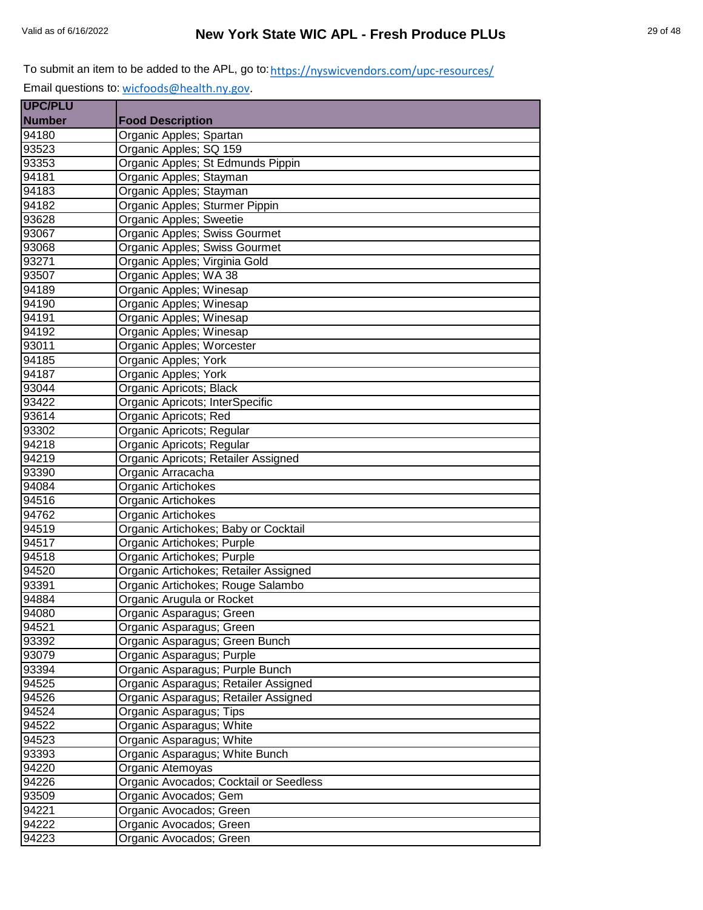| <b>UPC/PLU</b> |                                        |
|----------------|----------------------------------------|
| <b>Number</b>  | <b>Food Description</b>                |
| 94180          | Organic Apples; Spartan                |
| 93523          | Organic Apples; SQ 159                 |
| 93353          | Organic Apples; St Edmunds Pippin      |
| 94181          | Organic Apples; Stayman                |
| 94183          | Organic Apples; Stayman                |
| 94182          | Organic Apples; Sturmer Pippin         |
| 93628          | Organic Apples; Sweetie                |
| 93067          | Organic Apples; Swiss Gourmet          |
| 93068          | Organic Apples; Swiss Gourmet          |
| 93271          | Organic Apples; Virginia Gold          |
| 93507          | Organic Apples; WA 38                  |
| 94189          | Organic Apples; Winesap                |
| 94190          | Organic Apples; Winesap                |
| 94191          | Organic Apples; Winesap                |
| 94192          | Organic Apples; Winesap                |
| 93011          | Organic Apples; Worcester              |
| 94185          | Organic Apples; York                   |
| 94187          | Organic Apples; York                   |
| 93044          | Organic Apricots; Black                |
| 93422          | Organic Apricots; InterSpecific        |
| 93614          | Organic Apricots; Red                  |
| 93302          | Organic Apricots; Regular              |
| 94218          | Organic Apricots; Regular              |
| 94219          | Organic Apricots; Retailer Assigned    |
| 93390          | Organic Arracacha                      |
| 94084          | Organic Artichokes                     |
| 94516          | Organic Artichokes                     |
| 94762          | Organic Artichokes                     |
| 94519          | Organic Artichokes; Baby or Cocktail   |
| 94517          | Organic Artichokes; Purple             |
| 94518          | Organic Artichokes; Purple             |
| 94520          | Organic Artichokes; Retailer Assigned  |
| 93391          | Organic Artichokes; Rouge Salambo      |
| 94884          | Organic Arugula or Rocket              |
| 94080          | Organic Asparagus; Green               |
| 94521          | Organic Asparagus; Green               |
| 93392          | Organic Asparagus; Green Bunch         |
| 93079          | Organic Asparagus; Purple              |
| 93394          | Organic Asparagus; Purple Bunch        |
| 94525          | Organic Asparagus; Retailer Assigned   |
| 94526          | Organic Asparagus; Retailer Assigned   |
| 94524          | Organic Asparagus; Tips                |
| 94522          | Organic Asparagus; White               |
| 94523          | Organic Asparagus; White               |
| 93393          | Organic Asparagus; White Bunch         |
| 94220          | Organic Atemoyas                       |
| 94226          | Organic Avocados; Cocktail or Seedless |
| 93509          | Organic Avocados; Gem                  |
| 94221          | Organic Avocados; Green                |
| 94222          | Organic Avocados; Green                |
| 94223          | Organic Avocados; Green                |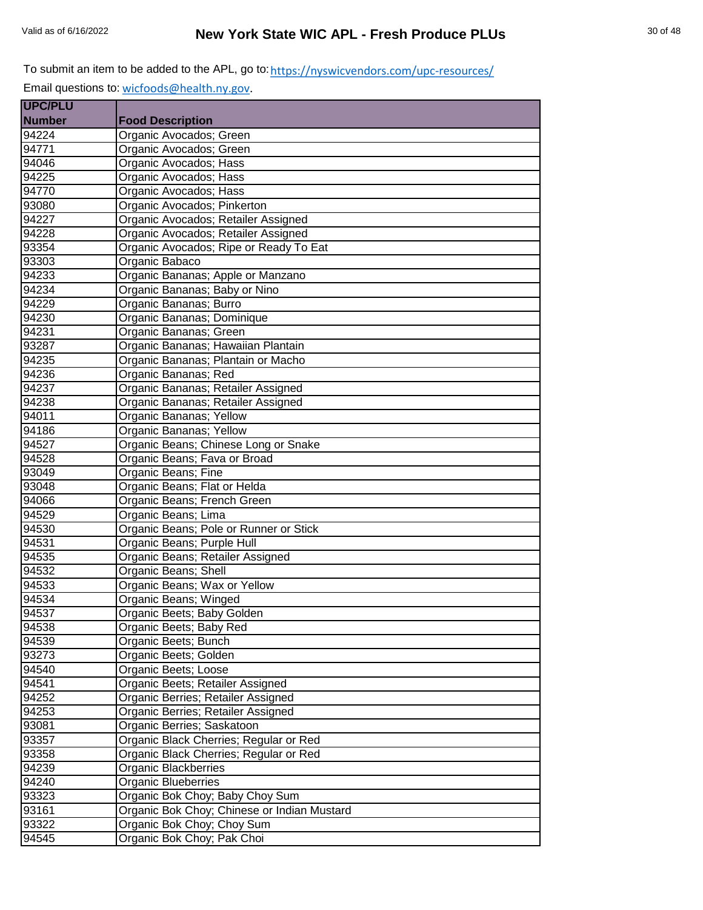| <b>UPC/PLU</b> |                                             |
|----------------|---------------------------------------------|
| <b>Number</b>  | <b>Food Description</b>                     |
| 94224          | Organic Avocados; Green                     |
| 94771          | Organic Avocados; Green                     |
| 94046          | Organic Avocados; Hass                      |
| 94225          | Organic Avocados; Hass                      |
| 94770          | Organic Avocados; Hass                      |
| 93080          | Organic Avocados; Pinkerton                 |
| 94227          | Organic Avocados; Retailer Assigned         |
| 94228          | Organic Avocados; Retailer Assigned         |
| 93354          | Organic Avocados; Ripe or Ready To Eat      |
| 93303          | Organic Babaco                              |
| 94233          | Organic Bananas; Apple or Manzano           |
| 94234          | Organic Bananas; Baby or Nino               |
| 94229          | Organic Bananas; Burro                      |
| 94230          | Organic Bananas; Dominique                  |
| 94231          | Organic Bananas; Green                      |
| 93287          | Organic Bananas; Hawaiian Plantain          |
| 94235          | Organic Bananas; Plantain or Macho          |
| 94236          | Organic Bananas; Red                        |
| 94237          | Organic Bananas; Retailer Assigned          |
| 94238          | Organic Bananas; Retailer Assigned          |
| 94011          | Organic Bananas; Yellow                     |
| 94186          | Organic Bananas; Yellow                     |
| 94527          | Organic Beans; Chinese Long or Snake        |
| 94528          | Organic Beans; Fava or Broad                |
| 93049          | Organic Beans; Fine                         |
| 93048          | Organic Beans; Flat or Helda                |
| 94066          | Organic Beans; French Green                 |
| 94529          | Organic Beans; Lima                         |
| 94530          | Organic Beans; Pole or Runner or Stick      |
| 94531          | Organic Beans; Purple Hull                  |
| 94535          | Organic Beans; Retailer Assigned            |
| 94532          | Organic Beans; Shell                        |
| 94533          | Organic Beans; Wax or Yellow                |
| 94534          | Organic Beans; Winged                       |
| 94537          | Organic Beets; Baby Golden                  |
| 94538          | Organic Beets; Baby Red                     |
| 94539          | Organic Beets; Bunch                        |
| 93273          | Organic Beets; Golden                       |
| 94540          | Organic Beets; Loose                        |
| 94541          | Organic Beets; Retailer Assigned            |
| 94252          | Organic Berries; Retailer Assigned          |
| 94253          | Organic Berries; Retailer Assigned          |
| 93081          | Organic Berries; Saskatoon                  |
| 93357          | Organic Black Cherries; Regular or Red      |
| 93358          | Organic Black Cherries; Regular or Red      |
| 94239          | Organic Blackberries                        |
| 94240          | Organic Blueberries                         |
| 93323          | Organic Bok Choy; Baby Choy Sum             |
| 93161          | Organic Bok Choy; Chinese or Indian Mustard |
| 93322          | Organic Bok Choy; Choy Sum                  |
| 94545          | Organic Bok Choy; Pak Choi                  |
|                |                                             |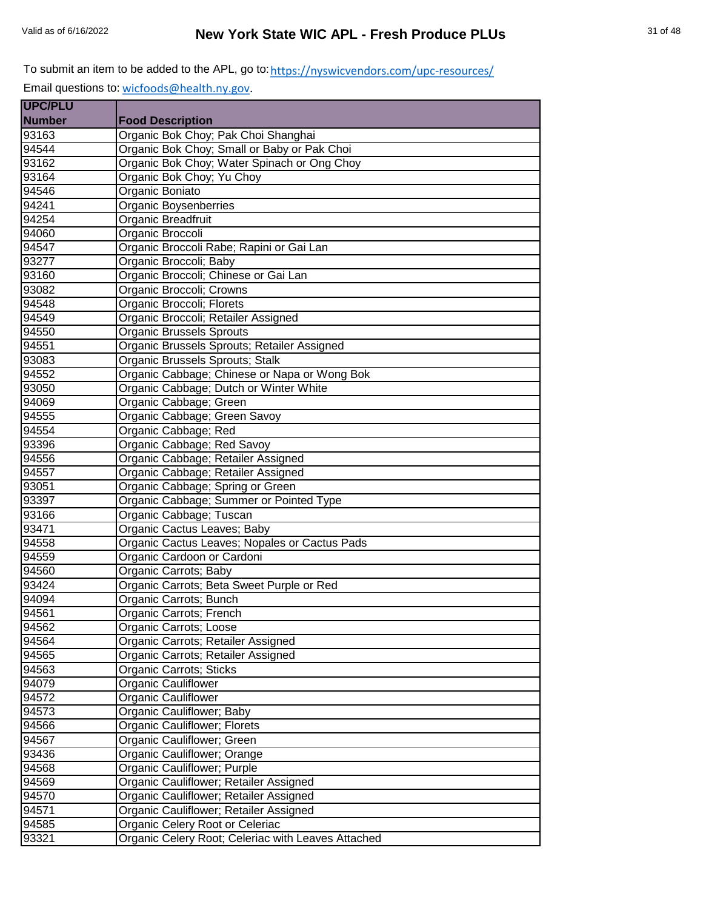| <b>UPC/PLU</b> |                                                    |
|----------------|----------------------------------------------------|
| <b>Number</b>  | <b>Food Description</b>                            |
| 93163          | Organic Bok Choy; Pak Choi Shanghai                |
| 94544          | Organic Bok Choy; Small or Baby or Pak Choi        |
| 93162          | Organic Bok Choy; Water Spinach or Ong Choy        |
| 93164          | Organic Bok Choy; Yu Choy                          |
| 94546          | Organic Boniato                                    |
| 94241          | Organic Boysenberries                              |
| 94254          | Organic Breadfruit                                 |
| 94060          | Organic Broccoli                                   |
| 94547          | Organic Broccoli Rabe; Rapini or Gai Lan           |
| 93277          | Organic Broccoli; Baby                             |
| 93160          | Organic Broccoli; Chinese or Gai Lan               |
| 93082          | Organic Broccoli; Crowns                           |
| 94548          | Organic Broccoli; Florets                          |
| 94549          | Organic Broccoli; Retailer Assigned                |
| 94550          | <b>Organic Brussels Sprouts</b>                    |
| 94551          | Organic Brussels Sprouts; Retailer Assigned        |
| 93083          | Organic Brussels Sprouts; Stalk                    |
| 94552          | Organic Cabbage; Chinese or Napa or Wong Bok       |
| 93050          | Organic Cabbage; Dutch or Winter White             |
| 94069          | Organic Cabbage; Green                             |
| 94555          | Organic Cabbage; Green Savoy                       |
| 94554          | Organic Cabbage; Red                               |
| 93396          | Organic Cabbage; Red Savoy                         |
| 94556          | Organic Cabbage; Retailer Assigned                 |
| 94557          | Organic Cabbage; Retailer Assigned                 |
| 93051          | Organic Cabbage; Spring or Green                   |
| 93397          | Organic Cabbage; Summer or Pointed Type            |
| 93166          | Organic Cabbage; Tuscan                            |
| 93471          | Organic Cactus Leaves; Baby                        |
| 94558          | Organic Cactus Leaves; Nopales or Cactus Pads      |
| 94559          | Organic Cardoon or Cardoni                         |
| 94560          | Organic Carrots; Baby                              |
| 93424          | Organic Carrots; Beta Sweet Purple or Red          |
| 94094          | Organic Carrots; Bunch                             |
| 94561          | Organic Carrots; French                            |
| 94562          | Organic Carrots; Loose                             |
| 94564          | Organic Carrots; Retailer Assigned                 |
| 94565          | Organic Carrots; Retailer Assigned                 |
| 94563          | Organic Carrots; Sticks                            |
| 94079          | <b>Organic Cauliflower</b>                         |
| 94572          | <b>Organic Cauliflower</b>                         |
| 94573          | <b>Organic Cauliflower; Baby</b>                   |
| 94566          | Organic Cauliflower; Florets                       |
| 94567          | Organic Cauliflower; Green                         |
| 93436          | Organic Cauliflower; Orange                        |
| 94568          | Organic Cauliflower; Purple                        |
| 94569          | Organic Cauliflower; Retailer Assigned             |
| 94570          | Organic Cauliflower; Retailer Assigned             |
| 94571          | Organic Cauliflower; Retailer Assigned             |
| 94585          | Organic Celery Root or Celeriac                    |
| 93321          | Organic Celery Root; Celeriac with Leaves Attached |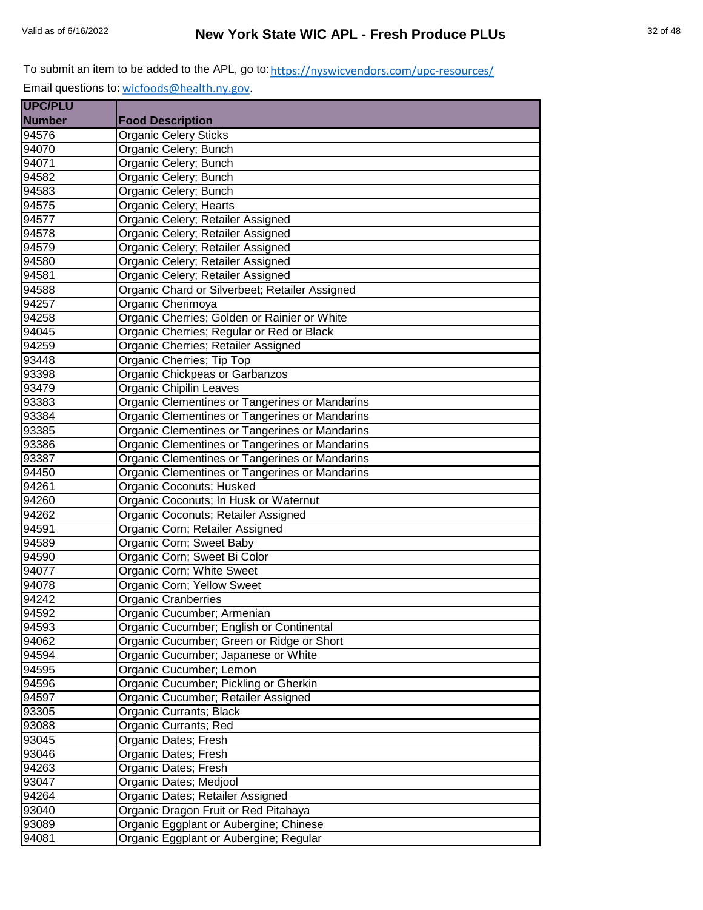| <b>UPC/PLU</b>    |                                                |
|-------------------|------------------------------------------------|
| <b>Number</b>     | <b>Food Description</b>                        |
| 94576             | <b>Organic Celery Sticks</b>                   |
| 94070             | Organic Celery; Bunch                          |
| 94071             | Organic Celery; Bunch                          |
| 94582             | Organic Celery; Bunch                          |
| 94583             | Organic Celery; Bunch                          |
| 94575             | Organic Celery; Hearts                         |
| 94577             | Organic Celery; Retailer Assigned              |
| 94578             | Organic Celery; Retailer Assigned              |
| 94579             | Organic Celery; Retailer Assigned              |
| 94580             | Organic Celery; Retailer Assigned              |
| 94581             | Organic Celery; Retailer Assigned              |
| 94588             | Organic Chard or Silverbeet; Retailer Assigned |
| 94257             | Organic Cherimoya                              |
| 94258             | Organic Cherries; Golden or Rainier or White   |
| $\frac{1}{94045}$ | Organic Cherries; Regular or Red or Black      |
| 94259             | Organic Cherries; Retailer Assigned            |
| 93448             | Organic Cherries; Tip Top                      |
| 93398             | Organic Chickpeas or Garbanzos                 |
| 93479             | <b>Organic Chipilin Leaves</b>                 |
| 93383             | Organic Clementines or Tangerines or Mandarins |
| 93384             | Organic Clementines or Tangerines or Mandarins |
| 93385             | Organic Clementines or Tangerines or Mandarins |
| 93386             | Organic Clementines or Tangerines or Mandarins |
| 93387             | Organic Clementines or Tangerines or Mandarins |
| 94450             | Organic Clementines or Tangerines or Mandarins |
| 94261             | Organic Coconuts; Husked                       |
| 94260             | Organic Coconuts; In Husk or Waternut          |
| 94262             | Organic Coconuts; Retailer Assigned            |
| 94591             | Organic Corn; Retailer Assigned                |
| 94589             | Organic Corn; Sweet Baby                       |
| 94590             | Organic Corn; Sweet Bi Color                   |
| 94077             | Organic Corn; White Sweet                      |
| 94078             | Organic Corn; Yellow Sweet                     |
| 94242             | <b>Organic Cranberries</b>                     |
| 94592             | Organic Cucumber; Armenian                     |
| 94593             | Organic Cucumber; English or Continental       |
| 94062             | Organic Cucumber; Green or Ridge or Short      |
| 94594             | Organic Cucumber; Japanese or White            |
| 94595             | Organic Cucumber; Lemon                        |
| 94596             | Organic Cucumber; Pickling or Gherkin          |
| 94597             | Organic Cucumber; Retailer Assigned            |
| 93305             | Organic Currants; Black                        |
| 93088             | Organic Currants; Red                          |
| 93045             | Organic Dates; Fresh                           |
| 93046             | Organic Dates; Fresh                           |
| 94263             | Organic Dates; Fresh                           |
| 93047             | Organic Dates; Medjool                         |
| 94264             | Organic Dates; Retailer Assigned               |
| 93040             | Organic Dragon Fruit or Red Pitahaya           |
| 93089             | Organic Eggplant or Aubergine; Chinese         |
| 94081             | Organic Eggplant or Aubergine; Regular         |
|                   |                                                |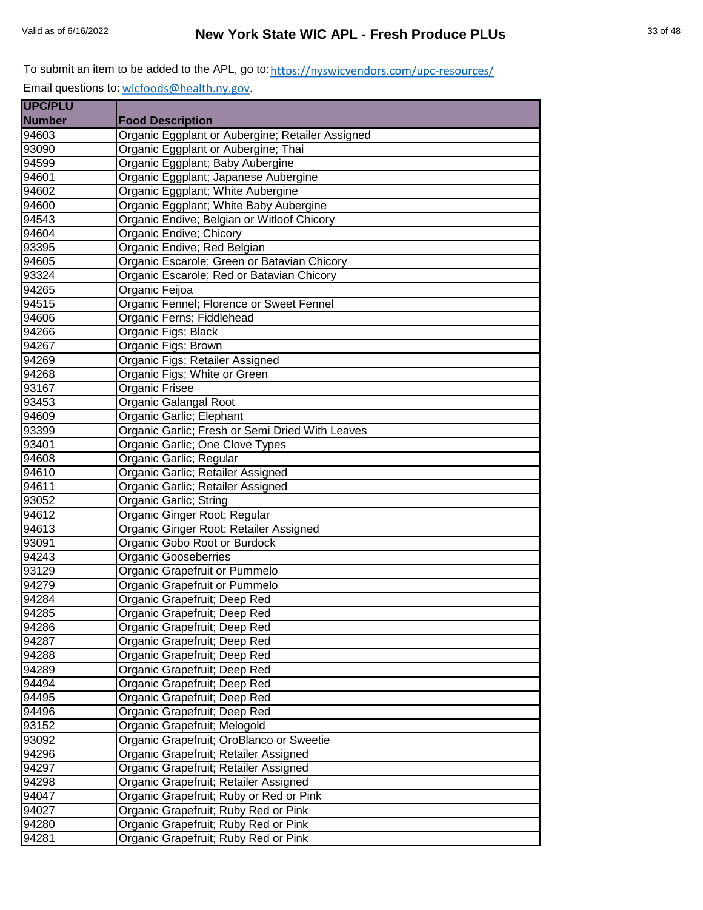| <b>UPC/PLU</b> |                                                  |
|----------------|--------------------------------------------------|
| <b>Number</b>  | <b>Food Description</b>                          |
| 94603          | Organic Eggplant or Aubergine; Retailer Assigned |
| 93090          | Organic Eggplant or Aubergine; Thai              |
| 94599          | Organic Eggplant; Baby Aubergine                 |
| 94601          | Organic Eggplant; Japanese Aubergine             |
| 94602          | Organic Eggplant; White Aubergine                |
| 94600          | Organic Eggplant; White Baby Aubergine           |
| 94543          | Organic Endive; Belgian or Witloof Chicory       |
| 94604          | Organic Endive; Chicory                          |
| 93395          | Organic Endive; Red Belgian                      |
| 94605          | Organic Escarole; Green or Batavian Chicory      |
| 93324          | Organic Escarole; Red or Batavian Chicory        |
| 94265          | Organic Feijoa                                   |
| 94515          | Organic Fennel; Florence or Sweet Fennel         |
| 94606          | Organic Ferns; Fiddlehead                        |
| 94266          | Organic Figs; Black                              |
| 94267          | Organic Figs; Brown                              |
| 94269          | Organic Figs; Retailer Assigned                  |
| 94268          | Organic Figs; White or Green                     |
| 93167          | Organic Frisee                                   |
| 93453          | Organic Galangal Root                            |
| 94609          | Organic Garlic; Elephant                         |
| 93399          | Organic Garlic; Fresh or Semi Dried With Leaves  |
| 93401          | Organic Garlic; One Clove Types                  |
| 94608          | Organic Garlic; Regular                          |
| 94610          | Organic Garlic; Retailer Assigned                |
| 94611          | Organic Garlic; Retailer Assigned                |
| 93052          | Organic Garlic; String                           |
| 94612          | Organic Ginger Root; Regular                     |
| 94613          | Organic Ginger Root; Retailer Assigned           |
| 93091          | Organic Gobo Root or Burdock                     |
| 94243          | <b>Organic Gooseberries</b>                      |
| 93129          | Organic Grapefruit or Pummelo                    |
| 94279          | Organic Grapefruit or Pummelo                    |
| 94284          | Organic Grapefruit; Deep Red                     |
| 94285          | Organic Grapefruit; Deep Red                     |
| 94286          | Organic Grapefruit; Deep Red                     |
| 94287          | Organic Grapefruit; Deep Red                     |
| 94288          | Organic Grapefruit; Deep Red                     |
| 94289          | Organic Grapefruit; Deep Red                     |
| 94494          | Organic Grapefruit; Deep Red                     |
| 94495          | Organic Grapefruit; Deep Red                     |
| 94496          | Organic Grapefruit; Deep Red                     |
| 93152          | Organic Grapefruit; Melogold                     |
| 93092          | Organic Grapefruit; OroBlanco or Sweetie         |
| 94296          | Organic Grapefruit; Retailer Assigned            |
| 94297          | Organic Grapefruit; Retailer Assigned            |
| 94298          | Organic Grapefruit; Retailer Assigned            |
| 94047          | Organic Grapefruit; Ruby or Red or Pink          |
| 94027          | Organic Grapefruit; Ruby Red or Pink             |
| 94280          | Organic Grapefruit; Ruby Red or Pink             |
| 94281          | Organic Grapefruit; Ruby Red or Pink             |
|                |                                                  |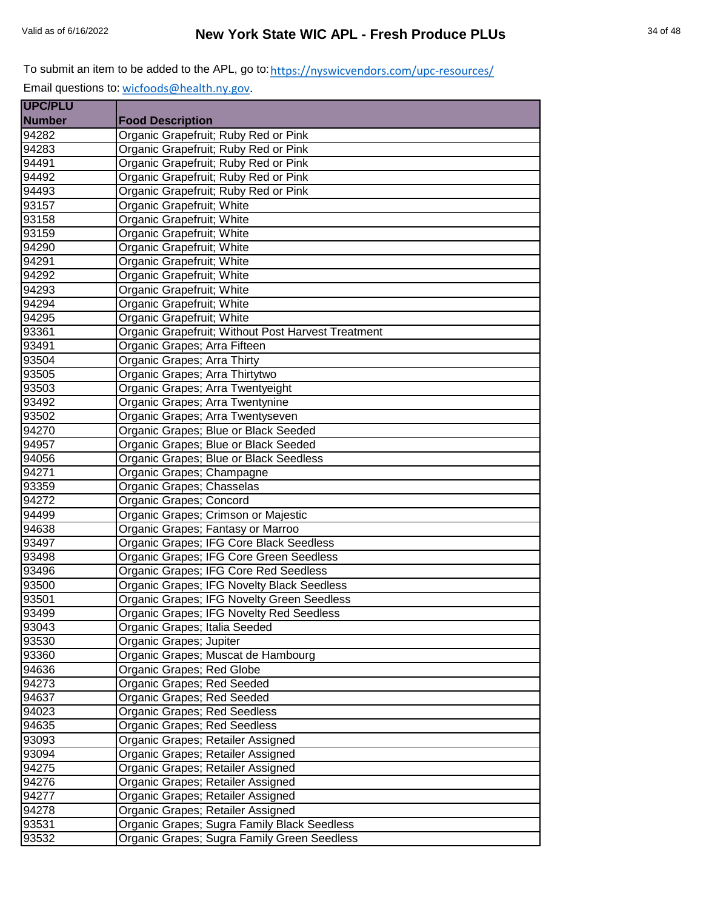| <b>UPC/PLU</b> |                                                    |
|----------------|----------------------------------------------------|
| <b>Number</b>  | <b>Food Description</b>                            |
| 94282          | Organic Grapefruit; Ruby Red or Pink               |
| 94283          | Organic Grapefruit; Ruby Red or Pink               |
| 94491          | Organic Grapefruit; Ruby Red or Pink               |
| 94492          | Organic Grapefruit; Ruby Red or Pink               |
| 94493          | Organic Grapefruit; Ruby Red or Pink               |
| 93157          | Organic Grapefruit; White                          |
| 93158          | Organic Grapefruit; White                          |
| 93159          | Organic Grapefruit; White                          |
| 94290          | Organic Grapefruit; White                          |
| 94291          | Organic Grapefruit; White                          |
| 94292          | Organic Grapefruit; White                          |
| 94293          | Organic Grapefruit; White                          |
| 94294          | Organic Grapefruit; White                          |
| 94295          | Organic Grapefruit; White                          |
| 93361          | Organic Grapefruit; Without Post Harvest Treatment |
| 93491          | Organic Grapes; Arra Fifteen                       |
| 93504          | Organic Grapes; Arra Thirty                        |
| 93505          | Organic Grapes; Arra Thirtytwo                     |
| 93503          | Organic Grapes; Arra Twentyeight                   |
| 93492          | Organic Grapes; Arra Twentynine                    |
| 93502          | Organic Grapes; Arra Twentyseven                   |
| 94270          | Organic Grapes; Blue or Black Seeded               |
| 94957          | Organic Grapes; Blue or Black Seeded               |
| 94056          | Organic Grapes; Blue or Black Seedless             |
| 94271          | Organic Grapes; Champagne                          |
| 93359          | Organic Grapes; Chasselas                          |
| 94272          | Organic Grapes; Concord                            |
| 94499          | Organic Grapes; Crimson or Majestic                |
| 94638          | Organic Grapes; Fantasy or Marroo                  |
| 93497          | Organic Grapes; IFG Core Black Seedless            |
| 93498          | Organic Grapes; IFG Core Green Seedless            |
| 93496          | Organic Grapes; IFG Core Red Seedless              |
| 93500          | Organic Grapes; IFG Novelty Black Seedless         |
| 93501          | Organic Grapes; IFG Novelty Green Seedless         |
| 93499          | Organic Grapes; IFG Novelty Red Seedless           |
| 93043          | Organic Grapes; Italia Seeded                      |
| 93530          | Organic Grapes; Jupiter                            |
| 93360          | Organic Grapes; Muscat de Hambourg                 |
| 94636          | Organic Grapes; Red Globe                          |
| 94273          | Organic Grapes; Red Seeded                         |
| 94637          | Organic Grapes; Red Seeded                         |
| 94023          | Organic Grapes; Red Seedless                       |
| 94635          | Organic Grapes; Red Seedless                       |
| 93093          | Organic Grapes; Retailer Assigned                  |
| 93094          | Organic Grapes; Retailer Assigned                  |
| 94275          | Organic Grapes; Retailer Assigned                  |
| 94276          | Organic Grapes; Retailer Assigned                  |
| 94277          | Organic Grapes; Retailer Assigned                  |
| 94278          | Organic Grapes; Retailer Assigned                  |
| 93531          | Organic Grapes; Sugra Family Black Seedless        |
| 93532          | Organic Grapes; Sugra Family Green Seedless        |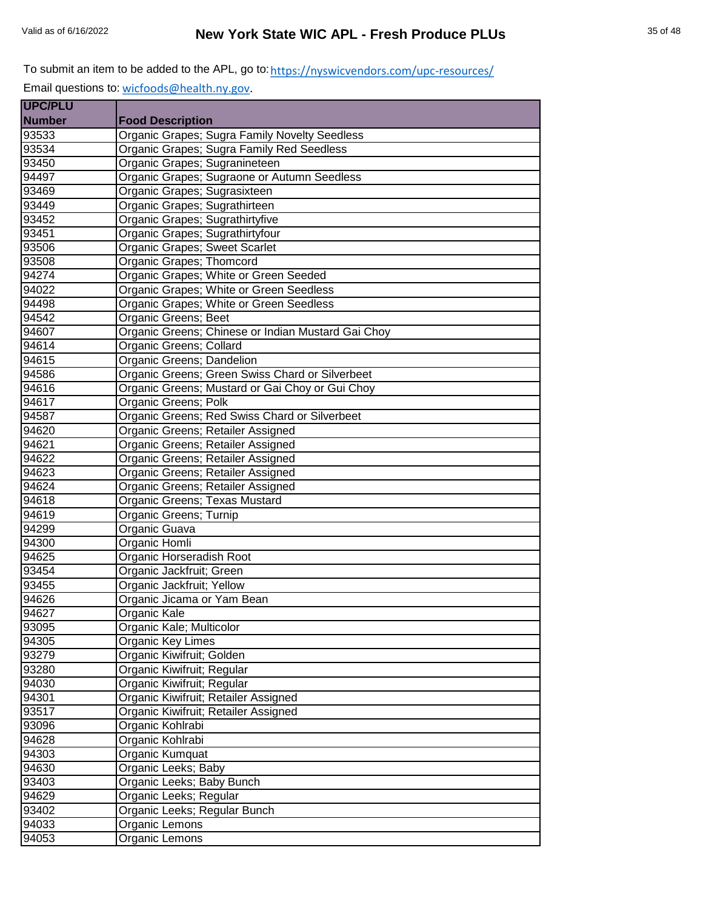| <b>UPC/PLU</b> |                                                    |
|----------------|----------------------------------------------------|
| <b>Number</b>  | <b>Food Description</b>                            |
| 93533          | Organic Grapes; Sugra Family Novelty Seedless      |
| 93534          | Organic Grapes; Sugra Family Red Seedless          |
| 93450          | Organic Grapes; Sugranineteen                      |
| 94497          | Organic Grapes; Sugraone or Autumn Seedless        |
| 93469          | Organic Grapes; Sugrasixteen                       |
| 93449          | Organic Grapes; Sugrathirteen                      |
| 93452          | Organic Grapes; Sugrathirtyfive                    |
| 93451          | Organic Grapes; Sugrathirtyfour                    |
| 93506          | Organic Grapes; Sweet Scarlet                      |
| 93508          | Organic Grapes; Thomcord                           |
| 94274          | Organic Grapes; White or Green Seeded              |
| 94022          | Organic Grapes; White or Green Seedless            |
| 94498          | Organic Grapes; White or Green Seedless            |
| 94542          | Organic Greens; Beet                               |
| 94607          | Organic Greens; Chinese or Indian Mustard Gai Choy |
| 94614          | Organic Greens; Collard                            |
| 94615          | Organic Greens; Dandelion                          |
| 94586          | Organic Greens; Green Swiss Chard or Silverbeet    |
| 94616          | Organic Greens; Mustard or Gai Choy or Gui Choy    |
| 94617          | Organic Greens; Polk                               |
| 94587          | Organic Greens; Red Swiss Chard or Silverbeet      |
| 94620          | Organic Greens; Retailer Assigned                  |
| 94621          | Organic Greens; Retailer Assigned                  |
| 94622          | Organic Greens; Retailer Assigned                  |
| 94623          | Organic Greens; Retailer Assigned                  |
| 94624          | Organic Greens; Retailer Assigned                  |
| 94618          | Organic Greens; Texas Mustard                      |
| 94619          | Organic Greens; Turnip                             |
| 94299          | Organic Guava                                      |
| 94300          | Organic Homli                                      |
| 94625          | Organic Horseradish Root                           |
| 93454          | Organic Jackfruit; Green                           |
| 93455          | Organic Jackfruit; Yellow                          |
| 94626          | Organic Jicama or Yam Bean                         |
| 94627          | Organic Kale                                       |
| 93095          | Organic Kale; Multicolor                           |
| 94305          | Organic Key Limes                                  |
| 93279          | Organic Kiwifruit; Golden                          |
| 93280          | Organic Kiwifruit; Regular                         |
| 94030          | Organic Kiwifruit; Regular                         |
| 94301          | Organic Kiwifruit; Retailer Assigned               |
| 93517          | Organic Kiwifruit; Retailer Assigned               |
| 93096          | Organic Kohlrabi                                   |
| 94628          | Organic Kohlrabi                                   |
| 94303          | Organic Kumquat                                    |
| 94630          | Organic Leeks; Baby                                |
| 93403          | Organic Leeks; Baby Bunch                          |
| 94629          | Organic Leeks; Regular                             |
| 93402          | Organic Leeks; Regular Bunch                       |
| 94033          | Organic Lemons                                     |
| 94053          | Organic Lemons                                     |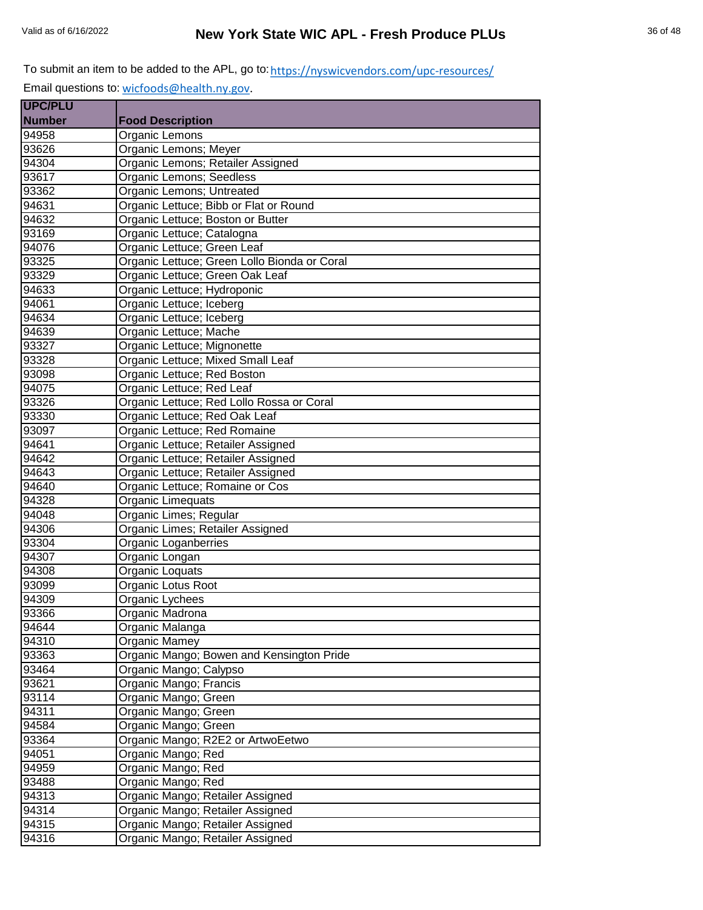Email questions to: [wicfoods@health.ny.gov.](mailto:wicfoods@health.ny.gov)

| <b>UPC/PLU</b> |                                              |
|----------------|----------------------------------------------|
| <b>Number</b>  | <b>Food Description</b>                      |
| 94958          | Organic Lemons                               |
| 93626          | Organic Lemons; Meyer                        |
| 94304          | Organic Lemons; Retailer Assigned            |
| 93617          | Organic Lemons; Seedless                     |
| 93362          | Organic Lemons; Untreated                    |
| 94631          | Organic Lettuce; Bibb or Flat or Round       |
| 94632          | Organic Lettuce; Boston or Butter            |
| 93169          | Organic Lettuce; Catalogna                   |
| 94076          | Organic Lettuce; Green Leaf                  |
| 93325          | Organic Lettuce; Green Lollo Bionda or Coral |
| 93329          | Organic Lettuce; Green Oak Leaf              |
| 94633          | Organic Lettuce; Hydroponic                  |
| 94061          | Organic Lettuce; Iceberg                     |
| 94634          | Organic Lettuce; Iceberg                     |
| 94639          | Organic Lettuce; Mache                       |
| 93327          | Organic Lettuce; Mignonette                  |
| 93328          | Organic Lettuce; Mixed Small Leaf            |
| 93098          | Organic Lettuce; Red Boston                  |
| 94075          | Organic Lettuce; Red Leaf                    |
| 93326          | Organic Lettuce; Red Lollo Rossa or Coral    |
| 93330          | Organic Lettuce; Red Oak Leaf                |
| 93097          | Organic Lettuce; Red Romaine                 |
| 94641          | Organic Lettuce; Retailer Assigned           |
| 94642          | Organic Lettuce; Retailer Assigned           |
| 94643          | Organic Lettuce; Retailer Assigned           |
| 94640          | Organic Lettuce; Romaine or Cos              |
| 94328          | Organic Limequats                            |
| 94048          | Organic Limes; Regular                       |
| 94306          | Organic Limes; Retailer Assigned             |
| 93304          | Organic Loganberries                         |
| 94307          | Organic Longan                               |
| 94308          | Organic Loquats                              |
| 93099          | Organic Lotus Root                           |
| 94309          | Organic Lychees                              |
| 93366          | Organic Madrona                              |
| 94644          | Organic Malanga                              |
| 94310          | Organic Mamey                                |
| 93363          | Organic Mango; Bowen and Kensington Pride    |
| 93464          | Organic Mango; Calypso                       |
| 93621          | Organic Mango; Francis                       |
| 93114          | Organic Mango; Green                         |
| 94311          | Organic Mango; Green                         |
| 94584          | Organic Mango; Green                         |
| 93364          | Organic Mango; R2E2 or ArtwoEetwo            |
| 94051          | Organic Mango; Red                           |
| 94959          | Organic Mango; Red                           |
| 93488          | Organic Mango; Red                           |
| 94313          | Organic Mango; Retailer Assigned             |
| 94314          | Organic Mango; Retailer Assigned             |
| 94315          | Organic Mango; Retailer Assigned             |
| 94316          | Organic Mango; Retailer Assigned             |
|                |                                              |

÷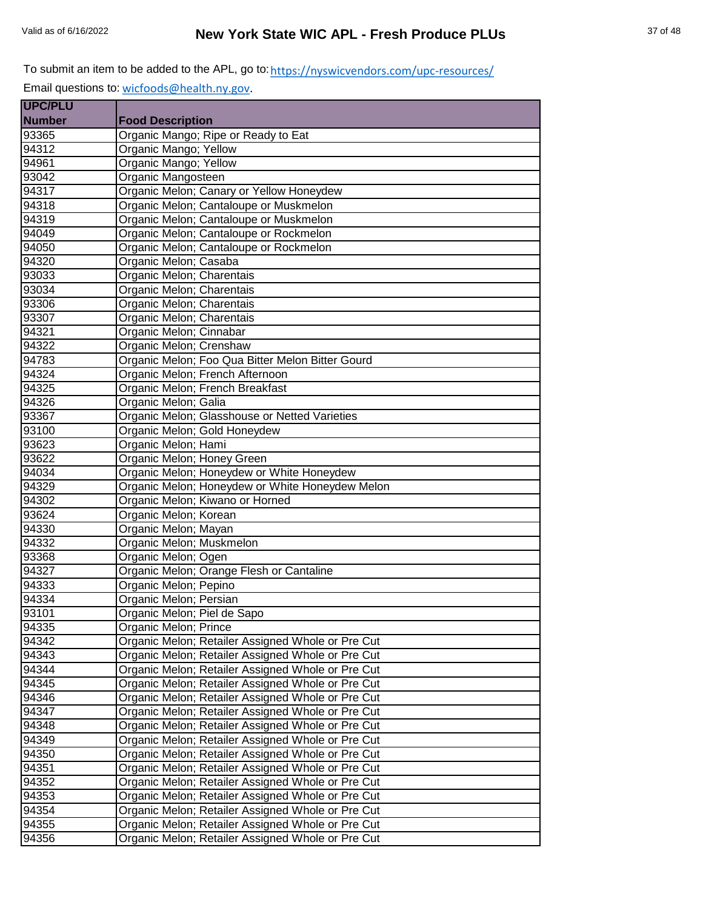Email questions to: [wicfoods@health.ny.gov.](mailto:wicfoods@health.ny.gov)

| <b>UPC/PLU</b>     |                                                   |
|--------------------|---------------------------------------------------|
| <b>Number</b>      | <b>Food Description</b>                           |
| 93365              | Organic Mango; Ripe or Ready to Eat               |
| 94312              | Organic Mango; Yellow                             |
| 94961              | Organic Mango; Yellow                             |
| 93042              | Organic Mangosteen                                |
| 94317              | Organic Melon; Canary or Yellow Honeydew          |
| 94318              | Organic Melon; Cantaloupe or Muskmelon            |
| 94319              | Organic Melon; Cantaloupe or Muskmelon            |
| 94049              | Organic Melon; Cantaloupe or Rockmelon            |
| 94050              | Organic Melon; Cantaloupe or Rockmelon            |
| 94320              | Organic Melon; Casaba                             |
| 93033              | Organic Melon; Charentais                         |
| 93034              | Organic Melon; Charentais                         |
| 93306              | Organic Melon; Charentais                         |
| 93307              | Organic Melon; Charentais                         |
| 94321              | Organic Melon; Cinnabar                           |
| 94322              | Organic Melon; Crenshaw                           |
| 94783              | Organic Melon; Foo Qua Bitter Melon Bitter Gourd  |
| 94324              | Organic Melon; French Afternoon                   |
| 94325              | Organic Melon; French Breakfast                   |
| 94326              | Organic Melon; Galia                              |
| 93367              | Organic Melon; Glasshouse or Netted Varieties     |
| 93100              | Organic Melon; Gold Honeydew                      |
| 93623              | Organic Melon; Hami                               |
| 93622              | Organic Melon; Honey Green                        |
| $9403\overline{4}$ | Organic Melon; Honeydew or White Honeydew         |
| 94329              | Organic Melon; Honeydew or White Honeydew Melon   |
| 94302              | Organic Melon; Kiwano or Horned                   |
| 93624              | Organic Melon; Korean                             |
| 94330              | Organic Melon; Mayan                              |
| 94332              | Organic Melon; Muskmelon                          |
| 93368              | Organic Melon; Ogen                               |
| 94327              | Organic Melon; Orange Flesh or Cantaline          |
| 94333              | Organic Melon; Pepino                             |
| 94334              | Organic Melon; Persian                            |
| 93101              | Organic Melon; Piel de Sapo                       |
| 94335              | Organic Melon; Prince                             |
| 94342              | Organic Melon; Retailer Assigned Whole or Pre Cut |
| 94343              | Organic Melon; Retailer Assigned Whole or Pre Cut |
| 94344              | Organic Melon; Retailer Assigned Whole or Pre Cut |
| 94345              | Organic Melon; Retailer Assigned Whole or Pre Cut |
| 94346              | Organic Melon; Retailer Assigned Whole or Pre Cut |
| 94347              | Organic Melon; Retailer Assigned Whole or Pre Cut |
| 94348              | Organic Melon; Retailer Assigned Whole or Pre Cut |
| 94349              | Organic Melon; Retailer Assigned Whole or Pre Cut |
|                    |                                                   |
| 94350              | Organic Melon; Retailer Assigned Whole or Pre Cut |
| 94351              | Organic Melon; Retailer Assigned Whole or Pre Cut |
| 94352              | Organic Melon; Retailer Assigned Whole or Pre Cut |
| 94353              | Organic Melon; Retailer Assigned Whole or Pre Cut |
| 94354              | Organic Melon; Retailer Assigned Whole or Pre Cut |
| 94355              | Organic Melon; Retailer Assigned Whole or Pre Cut |
| 94356              | Organic Melon; Retailer Assigned Whole or Pre Cut |

÷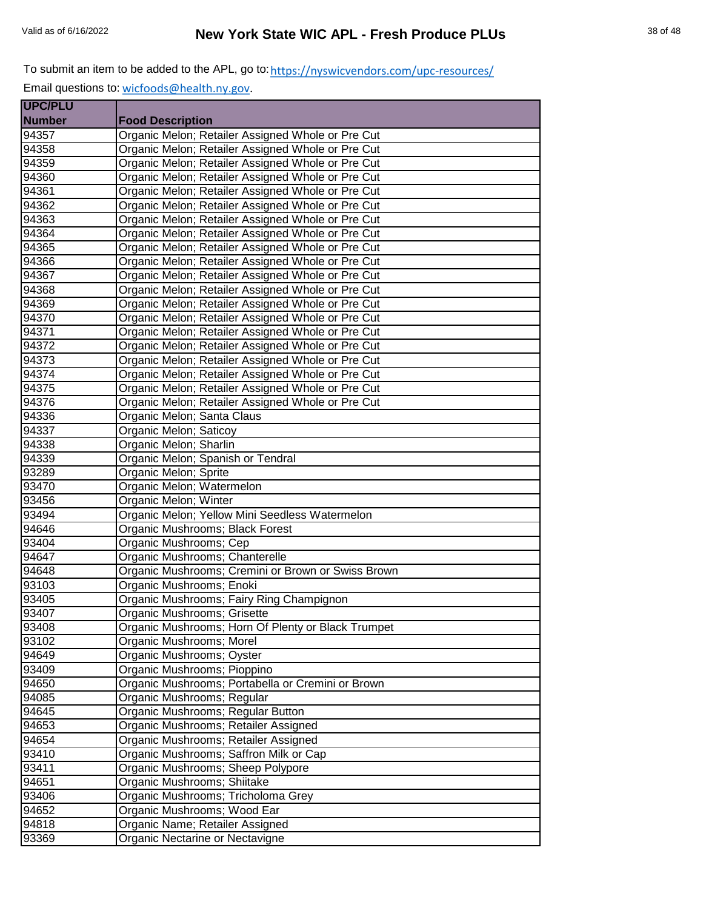| <b>UPC/PLU</b> |                                                    |
|----------------|----------------------------------------------------|
| <b>Number</b>  | <b>Food Description</b>                            |
| 94357          | Organic Melon; Retailer Assigned Whole or Pre Cut  |
| 94358          | Organic Melon; Retailer Assigned Whole or Pre Cut  |
| 94359          | Organic Melon; Retailer Assigned Whole or Pre Cut  |
| 94360          | Organic Melon; Retailer Assigned Whole or Pre Cut  |
| 94361          | Organic Melon; Retailer Assigned Whole or Pre Cut  |
| 94362          | Organic Melon; Retailer Assigned Whole or Pre Cut  |
| 94363          | Organic Melon; Retailer Assigned Whole or Pre Cut  |
| 94364          | Organic Melon; Retailer Assigned Whole or Pre Cut  |
| 94365          | Organic Melon; Retailer Assigned Whole or Pre Cut  |
| 94366          | Organic Melon; Retailer Assigned Whole or Pre Cut  |
| 94367          | Organic Melon; Retailer Assigned Whole or Pre Cut  |
| 94368          | Organic Melon; Retailer Assigned Whole or Pre Cut  |
| 94369          | Organic Melon; Retailer Assigned Whole or Pre Cut  |
| 94370          | Organic Melon; Retailer Assigned Whole or Pre Cut  |
| 94371          | Organic Melon; Retailer Assigned Whole or Pre Cut  |
| 94372          | Organic Melon; Retailer Assigned Whole or Pre Cut  |
| 94373          | Organic Melon; Retailer Assigned Whole or Pre Cut  |
| 94374          | Organic Melon; Retailer Assigned Whole or Pre Cut  |
| 94375          | Organic Melon; Retailer Assigned Whole or Pre Cut  |
| 94376          | Organic Melon; Retailer Assigned Whole or Pre Cut  |
| 94336          | Organic Melon; Santa Claus                         |
| 94337          | Organic Melon; Saticoy                             |
| 94338          | Organic Melon; Sharlin                             |
| 94339          | Organic Melon; Spanish or Tendral                  |
| 93289          | Organic Melon; Sprite                              |
| 93470          | Organic Melon; Watermelon                          |
| 93456          | Organic Melon; Winter                              |
| 93494          | Organic Melon; Yellow Mini Seedless Watermelon     |
| 94646          | Organic Mushrooms; Black Forest                    |
| 93404          | Organic Mushrooms; Cep                             |
| 94647          | Organic Mushrooms; Chanterelle                     |
| 94648          | Organic Mushrooms; Cremini or Brown or Swiss Brown |
| 93103          | Organic Mushrooms; Enoki                           |
| 93405          | Organic Mushrooms; Fairy Ring Champignon           |
| 93407          | Organic Mushrooms; Grisette                        |
| 93408          | Organic Mushrooms; Horn Of Plenty or Black Trumpet |
| 93102          | Organic Mushrooms; Morel                           |
| 94649          | Organic Mushrooms; Oyster                          |
| 93409          | Organic Mushrooms; Pioppino                        |
| 94650          | Organic Mushrooms; Portabella or Cremini or Brown  |
| 94085          | Organic Mushrooms; Regular                         |
| 94645          | Organic Mushrooms; Regular Button                  |
| 94653          | Organic Mushrooms; Retailer Assigned               |
| 94654          | Organic Mushrooms; Retailer Assigned               |
| 93410          | Organic Mushrooms; Saffron Milk or Cap             |
| 93411          | Organic Mushrooms; Sheep Polypore                  |
| 94651          | Organic Mushrooms; Shiitake                        |
| 93406          | Organic Mushrooms; Tricholoma Grey                 |
| 94652          | Organic Mushrooms; Wood Ear                        |
| 94818          | Organic Name; Retailer Assigned                    |
| 93369          | Organic Nectarine or Nectavigne                    |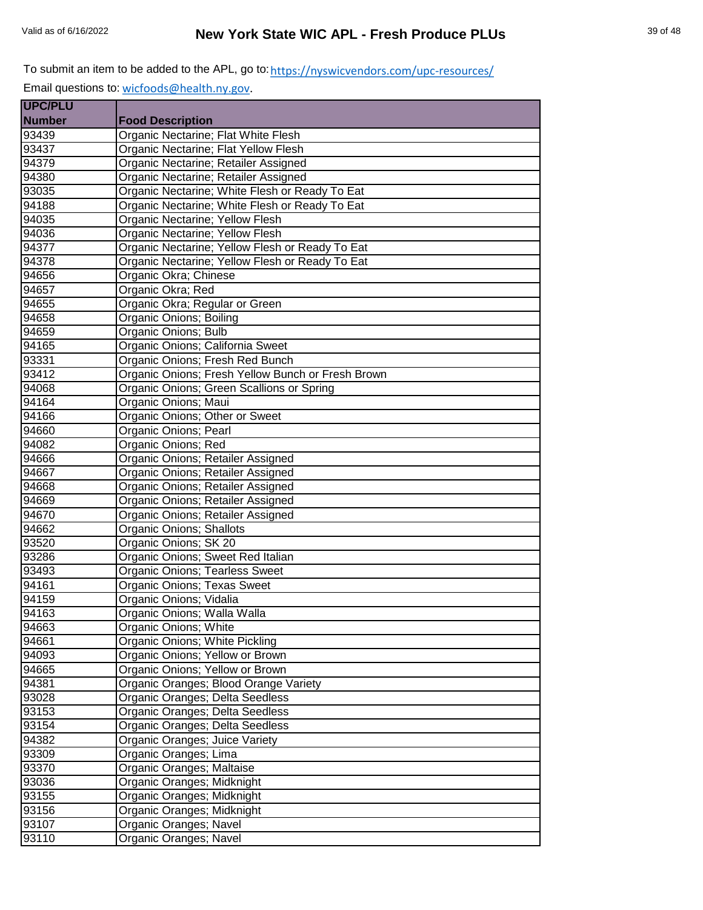| <b>UPC/PLU</b> |                                                   |
|----------------|---------------------------------------------------|
| <b>Number</b>  | <b>Food Description</b>                           |
| 93439          | Organic Nectarine; Flat White Flesh               |
| 93437          | Organic Nectarine; Flat Yellow Flesh              |
| 94379          | Organic Nectarine; Retailer Assigned              |
| 94380          | Organic Nectarine; Retailer Assigned              |
| 93035          | Organic Nectarine; White Flesh or Ready To Eat    |
| 94188          | Organic Nectarine; White Flesh or Ready To Eat    |
| 94035          | Organic Nectarine; Yellow Flesh                   |
| 94036          | Organic Nectarine; Yellow Flesh                   |
| 94377          | Organic Nectarine; Yellow Flesh or Ready To Eat   |
| 94378          | Organic Nectarine; Yellow Flesh or Ready To Eat   |
| 94656          | Organic Okra; Chinese                             |
| 94657          | Organic Okra; Red                                 |
| 94655          | Organic Okra; Regular or Green                    |
| 94658          | Organic Onions; Boiling                           |
| 94659          | Organic Onions; Bulb                              |
| 94165          | Organic Onions; California Sweet                  |
| 93331          | Organic Onions; Fresh Red Bunch                   |
| 93412          | Organic Onions; Fresh Yellow Bunch or Fresh Brown |
| 94068          | Organic Onions; Green Scallions or Spring         |
| 94164          | Organic Onions; Maui                              |
| 94166          | Organic Onions; Other or Sweet                    |
| 94660          | Organic Onions; Pearl                             |
| 94082          | Organic Onions; Red                               |
| 94666          | Organic Onions; Retailer Assigned                 |
| 94667          | Organic Onions; Retailer Assigned                 |
| 94668          | Organic Onions; Retailer Assigned                 |
| 94669          | Organic Onions; Retailer Assigned                 |
| 94670          | Organic Onions; Retailer Assigned                 |
| 94662          | Organic Onions; Shallots                          |
| 93520          | Organic Onions; SK 20                             |
| 93286          | Organic Onions; Sweet Red Italian                 |
| 93493          | Organic Onions; Tearless Sweet                    |
| 94161          | Organic Onions; Texas Sweet                       |
| 94159          | Organic Onions; Vidalia                           |
| 94163          | Organic Onions; Walla Walla                       |
| 94663          | Organic Onions; White                             |
| 94661          | Organic Onions; White Pickling                    |
| 94093          | Organic Onions; Yellow or Brown                   |
| 94665          | Organic Onions; Yellow or Brown                   |
| 94381          | Organic Oranges; Blood Orange Variety             |
| 93028          | Organic Oranges; Delta Seedless                   |
| 93153          | Organic Oranges; Delta Seedless                   |
| 93154          | Organic Oranges; Delta Seedless                   |
| 94382          | Organic Oranges; Juice Variety                    |
| 93309          | Organic Oranges; Lima                             |
| 93370          | Organic Oranges; Maltaise                         |
| 93036          | Organic Oranges; Midknight                        |
| 93155          | Organic Oranges; Midknight                        |
| 93156          | Organic Oranges; Midknight                        |
| 93107          | Organic Oranges; Navel                            |
| 93110          | Organic Oranges; Navel                            |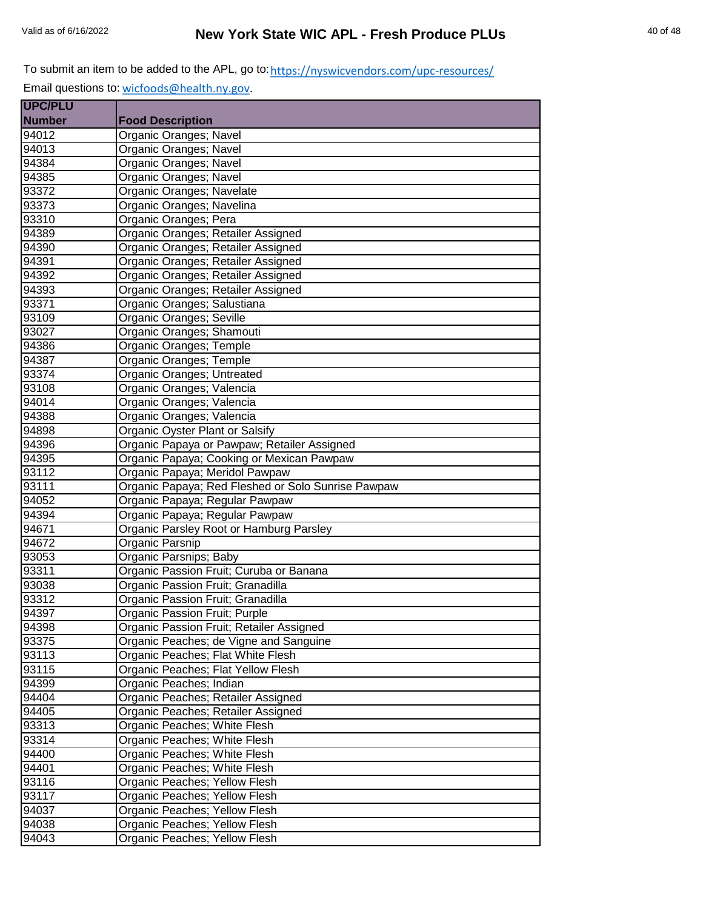| <b>UPC/PLU</b> |                                                    |
|----------------|----------------------------------------------------|
| <b>Number</b>  | <b>Food Description</b>                            |
| 94012          | Organic Oranges; Navel                             |
| 94013          | Organic Oranges; Navel                             |
| 94384          | Organic Oranges; Navel                             |
| 94385          | Organic Oranges; Navel                             |
| 93372          | Organic Oranges; Navelate                          |
| 93373          | Organic Oranges; Navelina                          |
| 93310          | Organic Oranges; Pera                              |
| 94389          | Organic Oranges; Retailer Assigned                 |
| 94390          | Organic Oranges; Retailer Assigned                 |
| 94391          | Organic Oranges; Retailer Assigned                 |
| 94392          | Organic Oranges; Retailer Assigned                 |
| 94393          | Organic Oranges; Retailer Assigned                 |
| 93371          | Organic Oranges; Salustiana                        |
| 93109          | Organic Oranges; Seville                           |
| 93027          | Organic Oranges; Shamouti                          |
| 94386          | Organic Oranges; Temple                            |
| 94387          | Organic Oranges; Temple                            |
| 93374          | Organic Oranges; Untreated                         |
| 93108          | Organic Oranges; Valencia                          |
| 94014          | Organic Oranges; Valencia                          |
| 94388          | Organic Oranges; Valencia                          |
| 94898          | Organic Oyster Plant or Salsify                    |
| 94396          | Organic Papaya or Pawpaw; Retailer Assigned        |
| 94395          | Organic Papaya; Cooking or Mexican Pawpaw          |
| 93112          | Organic Papaya; Meridol Pawpaw                     |
| 93111          | Organic Papaya; Red Fleshed or Solo Sunrise Pawpaw |
| 94052          | Organic Papaya; Regular Pawpaw                     |
| 94394          | Organic Papaya; Regular Pawpaw                     |
| 94671          | Organic Parsley Root or Hamburg Parsley            |
| 94672          | Organic Parsnip                                    |
| 93053          | Organic Parsnips; Baby                             |
| 93311          | Organic Passion Fruit; Curuba or Banana            |
| 93038          | Organic Passion Fruit; Granadilla                  |
| 93312          | Organic Passion Fruit; Granadilla                  |
| 94397          | Organic Passion Fruit; Purple                      |
| 94398          | Organic Passion Fruit; Retailer Assigned           |
| 93375          | Organic Peaches; de Vigne and Sanguine             |
| 93113          | Organic Peaches; Flat White Flesh                  |
| 93115          | Organic Peaches; Flat Yellow Flesh                 |
| 94399          | Organic Peaches; Indian                            |
| 94404          | Organic Peaches; Retailer Assigned                 |
| 94405          | Organic Peaches; Retailer Assigned                 |
| 93313          | Organic Peaches; White Flesh                       |
| 93314          | Organic Peaches; White Flesh                       |
| 94400          | Organic Peaches; White Flesh                       |
| 94401          | Organic Peaches; White Flesh                       |
| 93116          | Organic Peaches; Yellow Flesh                      |
| 93117          | Organic Peaches; Yellow Flesh                      |
| 94037          | Organic Peaches; Yellow Flesh                      |
| 94038          | Organic Peaches; Yellow Flesh                      |
| 94043          | Organic Peaches; Yellow Flesh                      |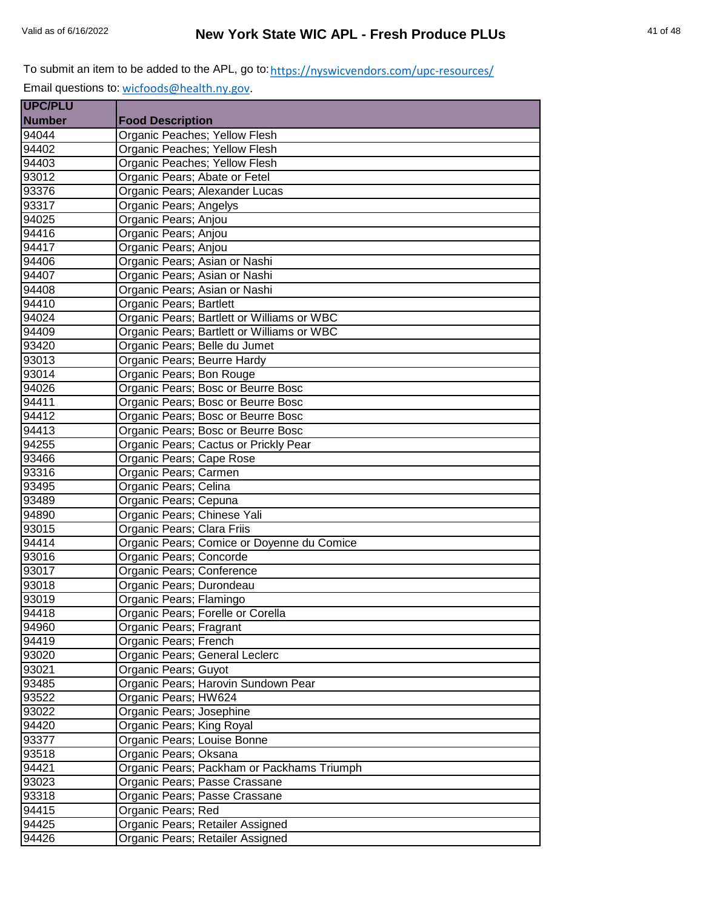| <b>UPC/PLU</b> |                                            |
|----------------|--------------------------------------------|
| <b>Number</b>  | <b>Food Description</b>                    |
| 94044          | Organic Peaches; Yellow Flesh              |
| 94402          | Organic Peaches; Yellow Flesh              |
| 94403          | Organic Peaches; Yellow Flesh              |
| 93012          | Organic Pears; Abate or Fetel              |
| 93376          | Organic Pears; Alexander Lucas             |
| 93317          | Organic Pears; Angelys                     |
| 94025          | Organic Pears; Anjou                       |
| 94416          | Organic Pears; Anjou                       |
| 94417          | Organic Pears; Anjou                       |
| 94406          | Organic Pears; Asian or Nashi              |
| 94407          | Organic Pears; Asian or Nashi              |
| 94408          | Organic Pears; Asian or Nashi              |
| 94410          | Organic Pears; Bartlett                    |
| 94024          | Organic Pears; Bartlett or Williams or WBC |
| 94409          | Organic Pears; Bartlett or Williams or WBC |
| 93420          | Organic Pears; Belle du Jumet              |
| 93013          | Organic Pears; Beurre Hardy                |
| 93014          | Organic Pears; Bon Rouge                   |
| 94026          | Organic Pears; Bosc or Beurre Bosc         |
| 94411          | Organic Pears; Bosc or Beurre Bosc         |
| 94412          | Organic Pears; Bosc or Beurre Bosc         |
| 94413          | Organic Pears; Bosc or Beurre Bosc         |
| 94255          | Organic Pears; Cactus or Prickly Pear      |
| 93466          | Organic Pears; Cape Rose                   |
| 93316          | Organic Pears; Carmen                      |
| 93495          | Organic Pears; Celina                      |
| 93489          | Organic Pears; Cepuna                      |
| 94890          | Organic Pears; Chinese Yali                |
| 93015          | Organic Pears; Clara Friis                 |
| 94414          | Organic Pears; Comice or Doyenne du Comice |
| 93016          | Organic Pears; Concorde                    |
| 93017          | Organic Pears; Conference                  |
| 93018          | Organic Pears; Durondeau                   |
| 93019          | Organic Pears; Flamingo                    |
| 94418          | Organic Pears; Forelle or Corella          |
| 94960          | Organic Pears; Fragrant                    |
| 94419          | Organic Pears; French                      |
| 93020          | Organic Pears; General Leclerc             |
| 93021          | Organic Pears; Guyot                       |
| 93485          | Organic Pears; Harovin Sundown Pear        |
| 93522          | Organic Pears; HW624                       |
| 93022          | Organic Pears; Josephine                   |
| 94420          | Organic Pears; King Royal                  |
| 93377          | Organic Pears; Louise Bonne                |
| 93518          | Organic Pears; Oksana                      |
| 94421          | Organic Pears; Packham or Packhams Triumph |
| 93023          | Organic Pears; Passe Crassane              |
| 93318          | Organic Pears; Passe Crassane              |
| 94415          | Organic Pears; Red                         |
| 94425          | Organic Pears; Retailer Assigned           |
| 94426          | Organic Pears; Retailer Assigned           |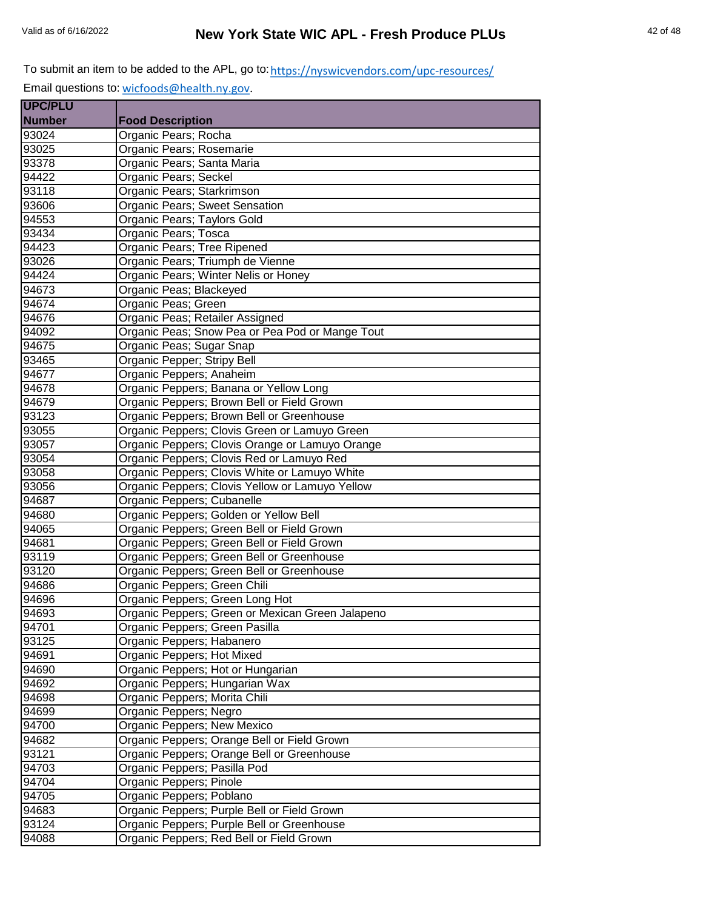| <b>UPC/PLU</b> |                                                  |
|----------------|--------------------------------------------------|
| <b>Number</b>  | <b>Food Description</b>                          |
| 93024          | Organic Pears; Rocha                             |
| 93025          | Organic Pears; Rosemarie                         |
| 93378          | Organic Pears; Santa Maria                       |
| 94422          | Organic Pears; Seckel                            |
| 93118          | Organic Pears; Starkrimson                       |
| 93606          | Organic Pears; Sweet Sensation                   |
| 94553          | Organic Pears; Taylors Gold                      |
| 93434          | Organic Pears; Tosca                             |
| 94423          | Organic Pears; Tree Ripened                      |
| 93026          | Organic Pears; Triumph de Vienne                 |
| 94424          | Organic Pears; Winter Nelis or Honey             |
| 94673          | Organic Peas; Blackeyed                          |
| 94674          | Organic Peas; Green                              |
| 94676          | Organic Peas; Retailer Assigned                  |
| 94092          | Organic Peas; Snow Pea or Pea Pod or Mange Tout  |
| 94675          | Organic Peas; Sugar Snap                         |
| 93465          | Organic Pepper; Stripy Bell                      |
| 94677          | Organic Peppers; Anaheim                         |
| 94678          | Organic Peppers; Banana or Yellow Long           |
| 94679          | Organic Peppers; Brown Bell or Field Grown       |
| 93123          | Organic Peppers; Brown Bell or Greenhouse        |
| 93055          | Organic Peppers; Clovis Green or Lamuyo Green    |
| 93057          | Organic Peppers; Clovis Orange or Lamuyo Orange  |
| 93054          | Organic Peppers; Clovis Red or Lamuyo Red        |
| 93058          | Organic Peppers; Clovis White or Lamuyo White    |
| 93056          | Organic Peppers; Clovis Yellow or Lamuyo Yellow  |
| 94687          | Organic Peppers; Cubanelle                       |
| 94680          | Organic Peppers; Golden or Yellow Bell           |
| 94065          | Organic Peppers; Green Bell or Field Grown       |
| 94681          | Organic Peppers; Green Bell or Field Grown       |
| 93119          | Organic Peppers; Green Bell or Greenhouse        |
| 93120          | Organic Peppers; Green Bell or Greenhouse        |
| 94686          | Organic Peppers; Green Chili                     |
| 94696          | Organic Peppers; Green Long Hot                  |
| 94693          | Organic Peppers; Green or Mexican Green Jalapeno |
| 94701          | Organic Peppers; Green Pasilla                   |
| 93125          | Organic Peppers; Habanero                        |
| 94691          | Organic Peppers; Hot Mixed                       |
| 94690          | Organic Peppers; Hot or Hungarian                |
| 94692          | Organic Peppers; Hungarian Wax                   |
| 94698          | Organic Peppers; Morita Chili                    |
| 94699          | Organic Peppers; Negro                           |
| 94700          | Organic Peppers; New Mexico                      |
| 94682          | Organic Peppers; Orange Bell or Field Grown      |
| 93121          | Organic Peppers; Orange Bell or Greenhouse       |
| 94703          | Organic Peppers; Pasilla Pod                     |
| 94704          | Organic Peppers; Pinole                          |
| 94705          | Organic Peppers; Poblano                         |
| 94683          | Organic Peppers; Purple Bell or Field Grown      |
| 93124          | Organic Peppers; Purple Bell or Greenhouse       |
| 94088          | Organic Peppers; Red Bell or Field Grown         |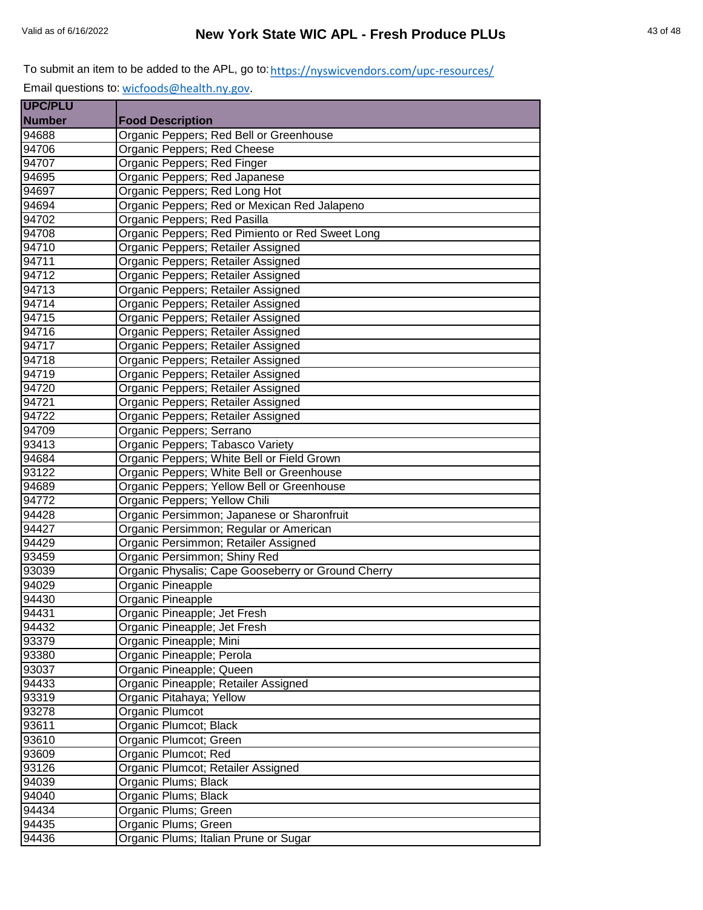| <b>UPC/PLU</b> |                                                    |
|----------------|----------------------------------------------------|
| <b>Number</b>  | <b>Food Description</b>                            |
| 94688          | Organic Peppers; Red Bell or Greenhouse            |
| 94706          | Organic Peppers; Red Cheese                        |
| 94707          | Organic Peppers; Red Finger                        |
| 94695          | Organic Peppers; Red Japanese                      |
| 94697          | Organic Peppers; Red Long Hot                      |
| 94694          | Organic Peppers; Red or Mexican Red Jalapeno       |
| 94702          | Organic Peppers; Red Pasilla                       |
| 94708          | Organic Peppers; Red Pimiento or Red Sweet Long    |
| 94710          | Organic Peppers; Retailer Assigned                 |
| 94711          | Organic Peppers; Retailer Assigned                 |
| 94712          | Organic Peppers; Retailer Assigned                 |
| 94713          | Organic Peppers; Retailer Assigned                 |
| 94714          | Organic Peppers; Retailer Assigned                 |
| 94715          | Organic Peppers; Retailer Assigned                 |
| 94716          | Organic Peppers; Retailer Assigned                 |
| 94717          | Organic Peppers; Retailer Assigned                 |
| 94718          | Organic Peppers; Retailer Assigned                 |
| 94719          | Organic Peppers; Retailer Assigned                 |
| 94720          | Organic Peppers; Retailer Assigned                 |
| 94721          | Organic Peppers; Retailer Assigned                 |
| 94722          | Organic Peppers; Retailer Assigned                 |
| 94709          | Organic Peppers; Serrano                           |
| 93413          | Organic Peppers; Tabasco Variety                   |
| 94684          | Organic Peppers; White Bell or Field Grown         |
| 93122          | Organic Peppers; White Bell or Greenhouse          |
| 94689          | Organic Peppers; Yellow Bell or Greenhouse         |
| 94772          | Organic Peppers; Yellow Chili                      |
| 94428          | Organic Persimmon; Japanese or Sharonfruit         |
| 94427          | Organic Persimmon; Regular or American             |
| 94429          | Organic Persimmon; Retailer Assigned               |
| 93459          | Organic Persimmon; Shiny Red                       |
| 93039          | Organic Physalis; Cape Gooseberry or Ground Cherry |
| 94029          | Organic Pineapple                                  |
| 94430          | Organic Pineapple                                  |
| 94431          | Organic Pineapple; Jet Fresh                       |
| 94432          | Organic Pineapple; Jet Fresh                       |
| 93379          | Organic Pineapple; Mini                            |
| 93380          | Organic Pineapple; Perola                          |
| 93037          | Organic Pineapple; Queen                           |
| 94433          | Organic Pineapple, Retailer Assigned               |
| 93319          | Organic Pitahaya; Yellow                           |
| 93278          | <b>Organic Plumcot</b>                             |
| 93611          | Organic Plumcot; Black                             |
| 93610          | Organic Plumcot; Green                             |
| 93609          | Organic Plumcot; Red                               |
| 93126          | Organic Plumcot; Retailer Assigned                 |
| 94039          | Organic Plums; Black                               |
| 94040          | Organic Plums; Black                               |
| 94434          | Organic Plums; Green                               |
| 94435          | Organic Plums; Green                               |
| 94436          | Organic Plums; Italian Prune or Sugar              |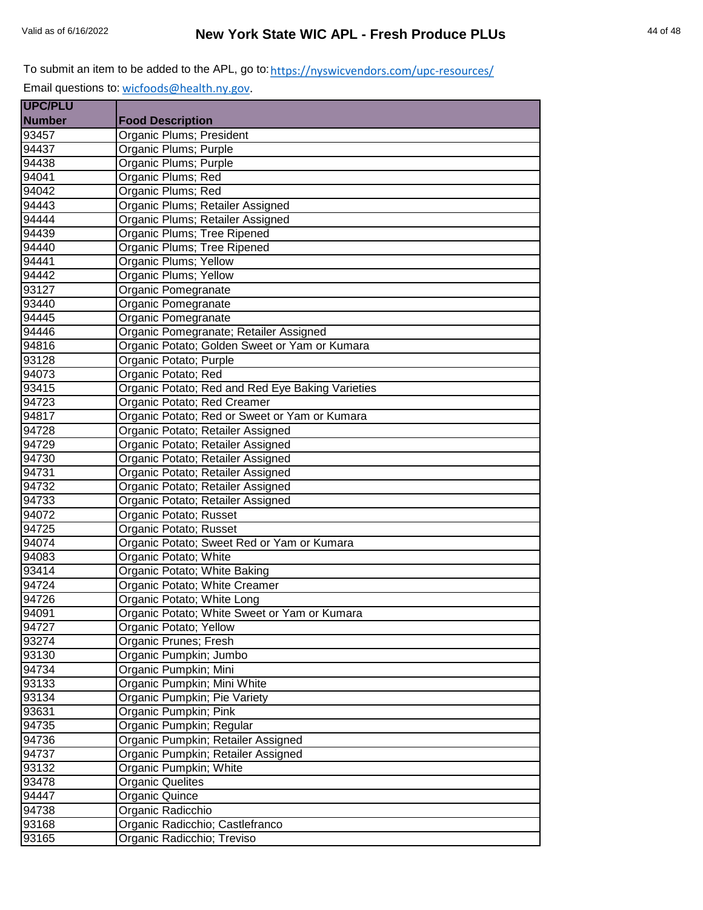| <b>UPC/PLU</b> |                                                  |
|----------------|--------------------------------------------------|
| <b>Number</b>  | <b>Food Description</b>                          |
| 93457          | Organic Plums; President                         |
| 94437          | Organic Plums; Purple                            |
| 94438          | Organic Plums; Purple                            |
| 94041          | Organic Plums; Red                               |
| 94042          | Organic Plums; Red                               |
| 94443          | Organic Plums; Retailer Assigned                 |
| 94444          | Organic Plums; Retailer Assigned                 |
| 94439          | Organic Plums; Tree Ripened                      |
| 94440          | Organic Plums; Tree Ripened                      |
| 94441          | Organic Plums; Yellow                            |
| 94442          | Organic Plums; Yellow                            |
| 93127          | Organic Pomegranate                              |
| 93440          | Organic Pomegranate                              |
| 94445          | Organic Pomegranate                              |
| 94446          | Organic Pomegranate; Retailer Assigned           |
| 94816          | Organic Potato; Golden Sweet or Yam or Kumara    |
| 93128          | Organic Potato; Purple                           |
| 94073          | Organic Potato; Red                              |
| 93415          | Organic Potato; Red and Red Eye Baking Varieties |
| 94723          | Organic Potato; Red Creamer                      |
| 94817          | Organic Potato; Red or Sweet or Yam or Kumara    |
| 94728          | Organic Potato; Retailer Assigned                |
| 94729          | Organic Potato; Retailer Assigned                |
| 94730          | Organic Potato; Retailer Assigned                |
| 94731          | Organic Potato; Retailer Assigned                |
| 94732          | Organic Potato; Retailer Assigned                |
| 94733          | Organic Potato; Retailer Assigned                |
| 94072          | Organic Potato; Russet                           |
| 94725          | Organic Potato; Russet                           |
| 94074          | Organic Potato; Sweet Red or Yam or Kumara       |
| 94083          | Organic Potato; White                            |
| 93414          | Organic Potato; White Baking                     |
| 94724          | Organic Potato; White Creamer                    |
| 94726          | Organic Potato; White Long                       |
| 94091          | Organic Potato; White Sweet or Yam or Kumara     |
| 94727          | Organic Potato; Yellow                           |
| 93274          | Organic Prunes; Fresh                            |
| 93130          | Organic Pumpkin; Jumbo                           |
| 94734          | Organic Pumpkin; Mini                            |
| 93133          | Organic Pumpkin; Mini White                      |
| 93134          | Organic Pumpkin; Pie Variety                     |
| 93631          | Organic Pumpkin; Pink                            |
| 94735          | Organic Pumpkin; Regular                         |
| 94736          | Organic Pumpkin; Retailer Assigned               |
| 94737          | Organic Pumpkin; Retailer Assigned               |
| 93132          | Organic Pumpkin; White                           |
| 93478          | <b>Organic Quelites</b>                          |
| 94447          | Organic Quince                                   |
| 94738          | Organic Radicchio                                |
| 93168          | Organic Radicchio; Castlefranco                  |
| 93165          | Organic Radicchio; Treviso                       |
|                |                                                  |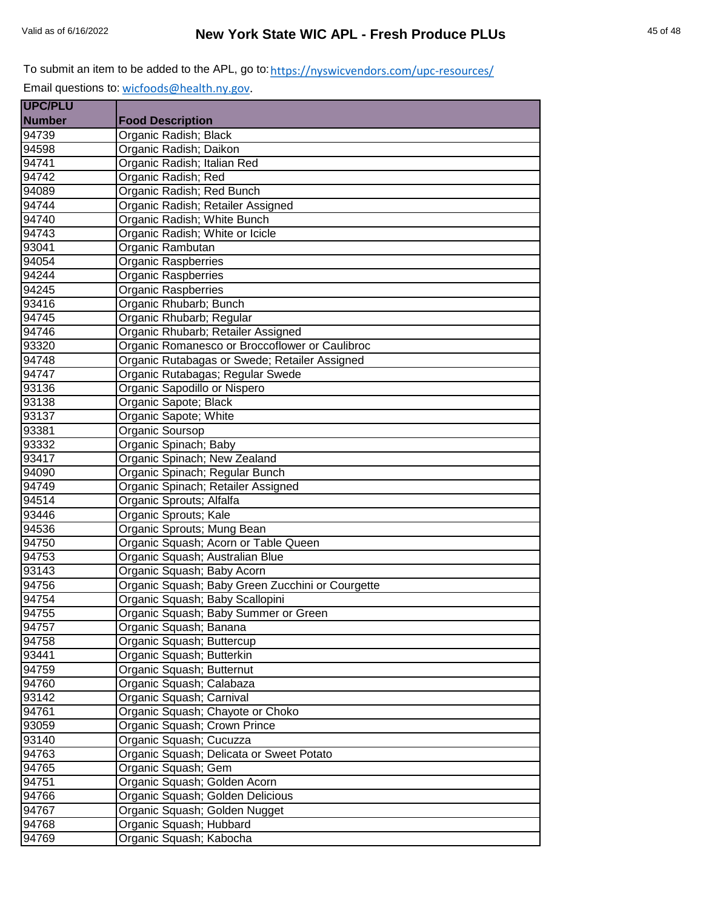| <b>UPC/PLU</b> |                                                  |
|----------------|--------------------------------------------------|
| <b>Number</b>  | <b>Food Description</b>                          |
| 94739          | Organic Radish; Black                            |
| 94598          | Organic Radish; Daikon                           |
| 94741          | Organic Radish; Italian Red                      |
| 94742          | Organic Radish; Red                              |
| 94089          | Organic Radish; Red Bunch                        |
| 94744          | Organic Radish; Retailer Assigned                |
| 94740          | Organic Radish; White Bunch                      |
| 94743          | Organic Radish; White or Icicle                  |
| 93041          | Organic Rambutan                                 |
| 94054          | <b>Organic Raspberries</b>                       |
| 94244          | <b>Organic Raspberries</b>                       |
| 94245          | Organic Raspberries                              |
| 93416          | Organic Rhubarb; Bunch                           |
| 94745          | Organic Rhubarb; Regular                         |
| 94746          | Organic Rhubarb; Retailer Assigned               |
| 93320          | Organic Romanesco or Broccoflower or Caulibroc   |
| 94748          | Organic Rutabagas or Swede; Retailer Assigned    |
| 94747          | Organic Rutabagas; Regular Swede                 |
| 93136          | Organic Sapodillo or Nispero                     |
| 93138          | Organic Sapote; Black                            |
| 93137          | Organic Sapote; White                            |
| 93381          | Organic Soursop                                  |
| 93332          | Organic Spinach; Baby                            |
| 93417          | Organic Spinach; New Zealand                     |
| 94090          | Organic Spinach; Regular Bunch                   |
| 94749          | Organic Spinach; Retailer Assigned               |
| 94514          | Organic Sprouts; Alfalfa                         |
| 93446          | Organic Sprouts; Kale                            |
| 94536          | Organic Sprouts; Mung Bean                       |
| 94750          | Organic Squash; Acorn or Table Queen             |
| 94753          | Organic Squash; Australian Blue                  |
| 93143          | Organic Squash; Baby Acorn                       |
| 94756          | Organic Squash; Baby Green Zucchini or Courgette |
| 94754          | Organic Squash; Baby Scallopini                  |
| 94755          | Organic Squash; Baby Summer or Green             |
| 94757          | Organic Squash; Banana                           |
| 94758          | Organic Squash; Buttercup                        |
| 93441          | Organic Squash; Butterkin                        |
| 94759          | Organic Squash; Butternut                        |
| 94760          | Organic Squash; Calabaza                         |
| 93142          | Organic Squash; Carnival                         |
| 94761          | Organic Squash; Chayote or Choko                 |
| 93059          | Organic Squash; Crown Prince                     |
| 93140          | Organic Squash; Cucuzza                          |
| 94763          | Organic Squash; Delicata or Sweet Potato         |
| 94765          | Organic Squash; Gem                              |
| 94751          | Organic Squash; Golden Acorn                     |
| 94766          | Organic Squash; Golden Delicious                 |
| 94767          | Organic Squash; Golden Nugget                    |
| 94768          | Organic Squash; Hubbard                          |
| 94769          | Organic Squash; Kabocha                          |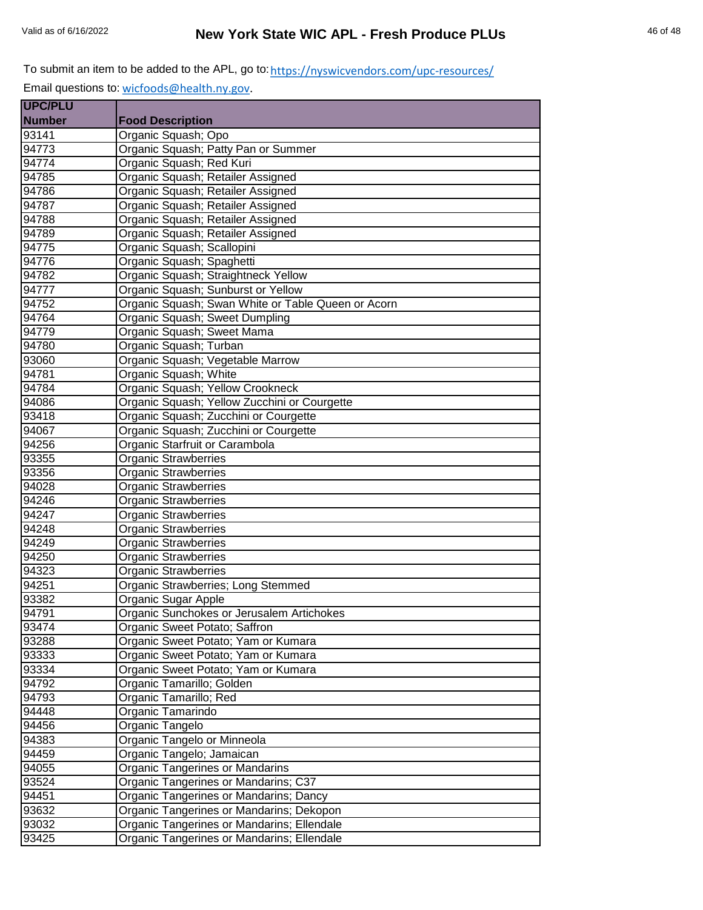| <b>UPC/PLU</b> |                                                    |
|----------------|----------------------------------------------------|
| <b>Number</b>  | <b>Food Description</b>                            |
| 93141          | Organic Squash; Opo                                |
| 94773          | Organic Squash; Patty Pan or Summer                |
| 94774          | Organic Squash; Red Kuri                           |
| 94785          | Organic Squash; Retailer Assigned                  |
| 94786          | Organic Squash; Retailer Assigned                  |
| 94787          | Organic Squash; Retailer Assigned                  |
| 94788          | Organic Squash; Retailer Assigned                  |
| 94789          | Organic Squash; Retailer Assigned                  |
| 94775          | Organic Squash; Scallopini                         |
| 94776          | Organic Squash; Spaghetti                          |
| 94782          | Organic Squash; Straightneck Yellow                |
| 94777          | Organic Squash; Sunburst or Yellow                 |
| 94752          | Organic Squash; Swan White or Table Queen or Acorn |
| 94764          | Organic Squash; Sweet Dumpling                     |
| 94779          | Organic Squash; Sweet Mama                         |
| 94780          | Organic Squash; Turban                             |
| 93060          | Organic Squash; Vegetable Marrow                   |
| 94781          | Organic Squash; White                              |
| 94784          | Organic Squash; Yellow Crookneck                   |
| 94086          | Organic Squash; Yellow Zucchini or Courgette       |
| 93418          | Organic Squash; Zucchini or Courgette              |
| 94067          | Organic Squash; Zucchini or Courgette              |
| 94256          | Organic Starfruit or Carambola                     |
| 93355          | <b>Organic Strawberries</b>                        |
| 93356          | <b>Organic Strawberries</b>                        |
| 94028          | <b>Organic Strawberries</b>                        |
| 94246          | <b>Organic Strawberries</b>                        |
| 94247          | <b>Organic Strawberries</b>                        |
| 94248          | <b>Organic Strawberries</b>                        |
| 94249          | <b>Organic Strawberries</b>                        |
| 94250          | <b>Organic Strawberries</b>                        |
| 94323          | <b>Organic Strawberries</b>                        |
| 94251          | Organic Strawberries; Long Stemmed                 |
| 93382          | Organic Sugar Apple                                |
| 94791          | Organic Sunchokes or Jerusalem Artichokes          |
| 93474          | Organic Sweet Potato; Saffron                      |
| 93288          | Organic Sweet Potato; Yam or Kumara                |
| 93333          | Organic Sweet Potato; Yam or Kumara                |
| 93334          | Organic Sweet Potato; Yam or Kumara                |
| 94792          | Organic Tamarillo; Golden                          |
| 94793          | Organic Tamarillo; Red                             |
| 94448          | Organic Tamarindo                                  |
| 94456          | Organic Tangelo                                    |
| 94383          | Organic Tangelo or Minneola                        |
| 94459          | Organic Tangelo; Jamaican                          |
| 94055          | Organic Tangerines or Mandarins                    |
| 93524          | Organic Tangerines or Mandarins; C37               |
| 94451          | Organic Tangerines or Mandarins; Dancy             |
| 93632          | Organic Tangerines or Mandarins; Dekopon           |
| 93032          | Organic Tangerines or Mandarins; Ellendale         |
| 93425          | Organic Tangerines or Mandarins; Ellendale         |
|                |                                                    |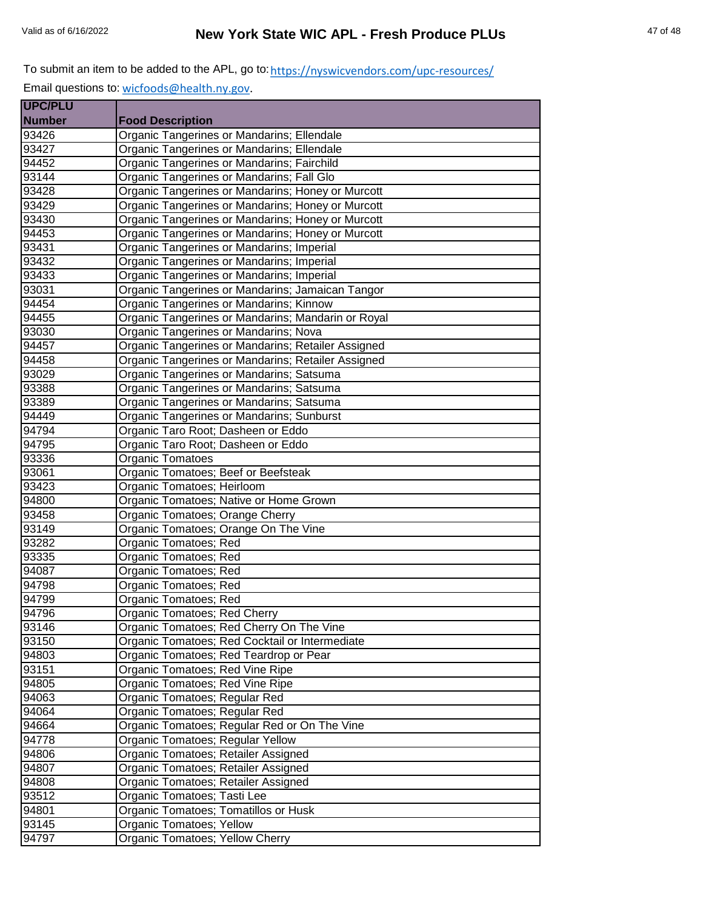| <b>UPC/PLU</b> |                                                    |
|----------------|----------------------------------------------------|
| <b>Number</b>  | <b>Food Description</b>                            |
| 93426          | Organic Tangerines or Mandarins; Ellendale         |
| 93427          | Organic Tangerines or Mandarins; Ellendale         |
| 94452          | Organic Tangerines or Mandarins; Fairchild         |
| 93144          | Organic Tangerines or Mandarins; Fall Glo          |
| 93428          | Organic Tangerines or Mandarins; Honey or Murcott  |
| 93429          | Organic Tangerines or Mandarins; Honey or Murcott  |
| 93430          | Organic Tangerines or Mandarins; Honey or Murcott  |
| 94453          | Organic Tangerines or Mandarins; Honey or Murcott  |
| 93431          | Organic Tangerines or Mandarins; Imperial          |
| 93432          | Organic Tangerines or Mandarins; Imperial          |
| 93433          | Organic Tangerines or Mandarins; Imperial          |
| 93031          | Organic Tangerines or Mandarins; Jamaican Tangor   |
| 94454          | Organic Tangerines or Mandarins; Kinnow            |
| 94455          | Organic Tangerines or Mandarins; Mandarin or Royal |
| 93030          | Organic Tangerines or Mandarins; Nova              |
| 94457          | Organic Tangerines or Mandarins; Retailer Assigned |
| 94458          | Organic Tangerines or Mandarins; Retailer Assigned |
| 93029          | Organic Tangerines or Mandarins; Satsuma           |
| 93388          | Organic Tangerines or Mandarins; Satsuma           |
| 93389          | Organic Tangerines or Mandarins; Satsuma           |
| 94449          | Organic Tangerines or Mandarins; Sunburst          |
| 94794          | Organic Taro Root; Dasheen or Eddo                 |
| 94795          | Organic Taro Root; Dasheen or Eddo                 |
| 93336          | Organic Tomatoes                                   |
| 93061          | Organic Tomatoes; Beef or Beefsteak                |
| 93423          | Organic Tomatoes; Heirloom                         |
| 94800          | Organic Tomatoes; Native or Home Grown             |
| 93458          | Organic Tomatoes; Orange Cherry                    |
| 93149          | Organic Tomatoes; Orange On The Vine               |
| 93282          | Organic Tomatoes; Red                              |
| 93335          | Organic Tomatoes; Red                              |
| 94087          | Organic Tomatoes; Red                              |
| 94798          | <b>Organic Tomatoes; Red</b>                       |
| 94799          | Organic Tomatoes; Red                              |
| 94796          | Organic Tomatoes; Red Cherry                       |
| 93146          | Organic Tomatoes; Red Cherry On The Vine           |
| 93150          | Organic Tomatoes; Red Cocktail or Intermediate     |
| 94803          | Organic Tomatoes; Red Teardrop or Pear             |
| 93151          | Organic Tomatoes; Red Vine Ripe                    |
| 94805          | Organic Tomatoes; Red Vine Ripe                    |
| 94063          | Organic Tomatoes; Regular Red                      |
| 94064          | Organic Tomatoes; Regular Red                      |
| 94664          | Organic Tomatoes; Regular Red or On The Vine       |
| 94778          | Organic Tomatoes; Regular Yellow                   |
| 94806          | Organic Tomatoes; Retailer Assigned                |
| 94807          | Organic Tomatoes; Retailer Assigned                |
| 94808          | Organic Tomatoes; Retailer Assigned                |
| 93512          | Organic Tomatoes; Tasti Lee                        |
| 94801          | Organic Tomatoes; Tomatillos or Husk               |
| 93145          | Organic Tomatoes; Yellow                           |
| 94797          | Organic Tomatoes; Yellow Cherry                    |